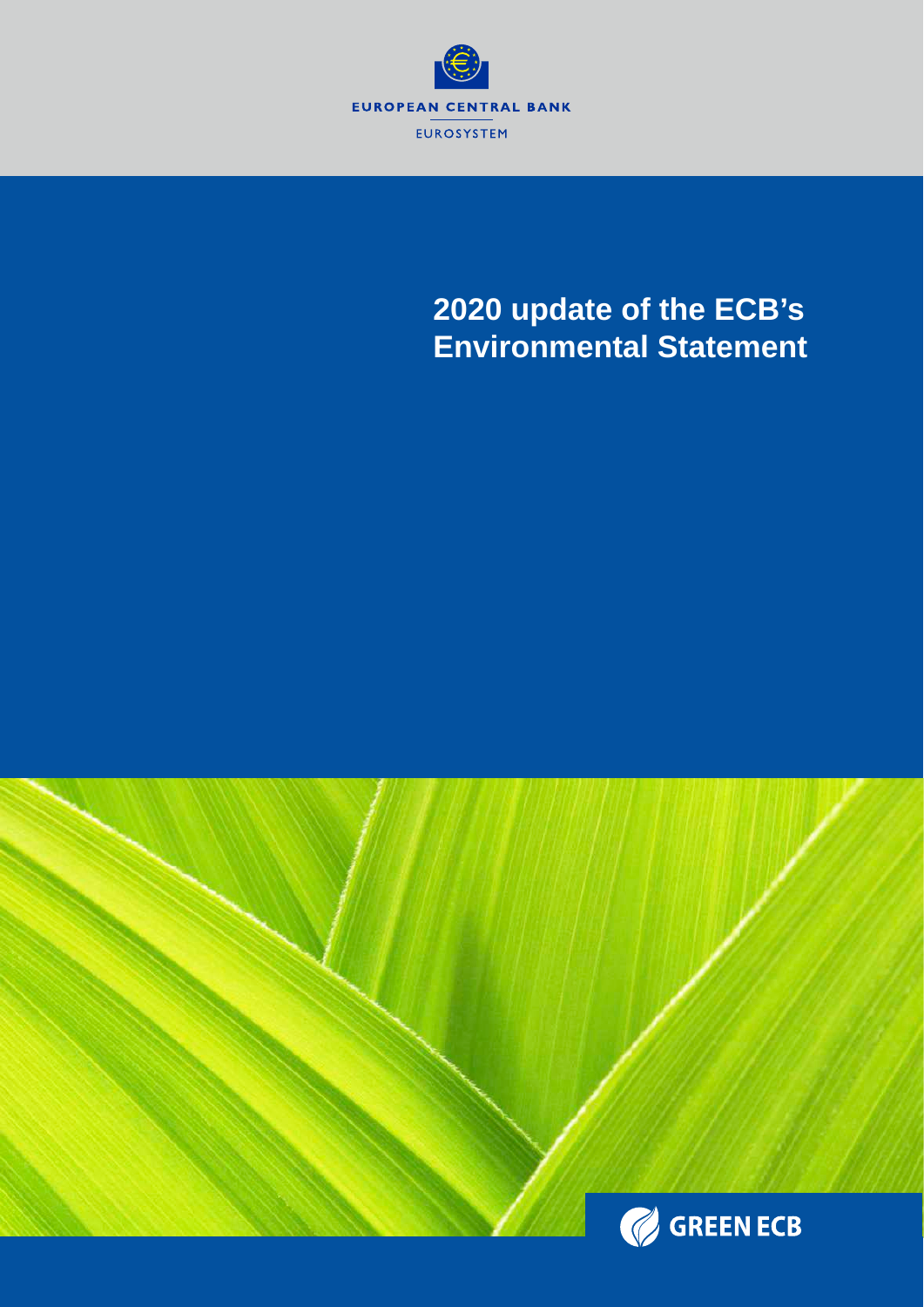

# **2020 update of the ECB's Environmental Statement**

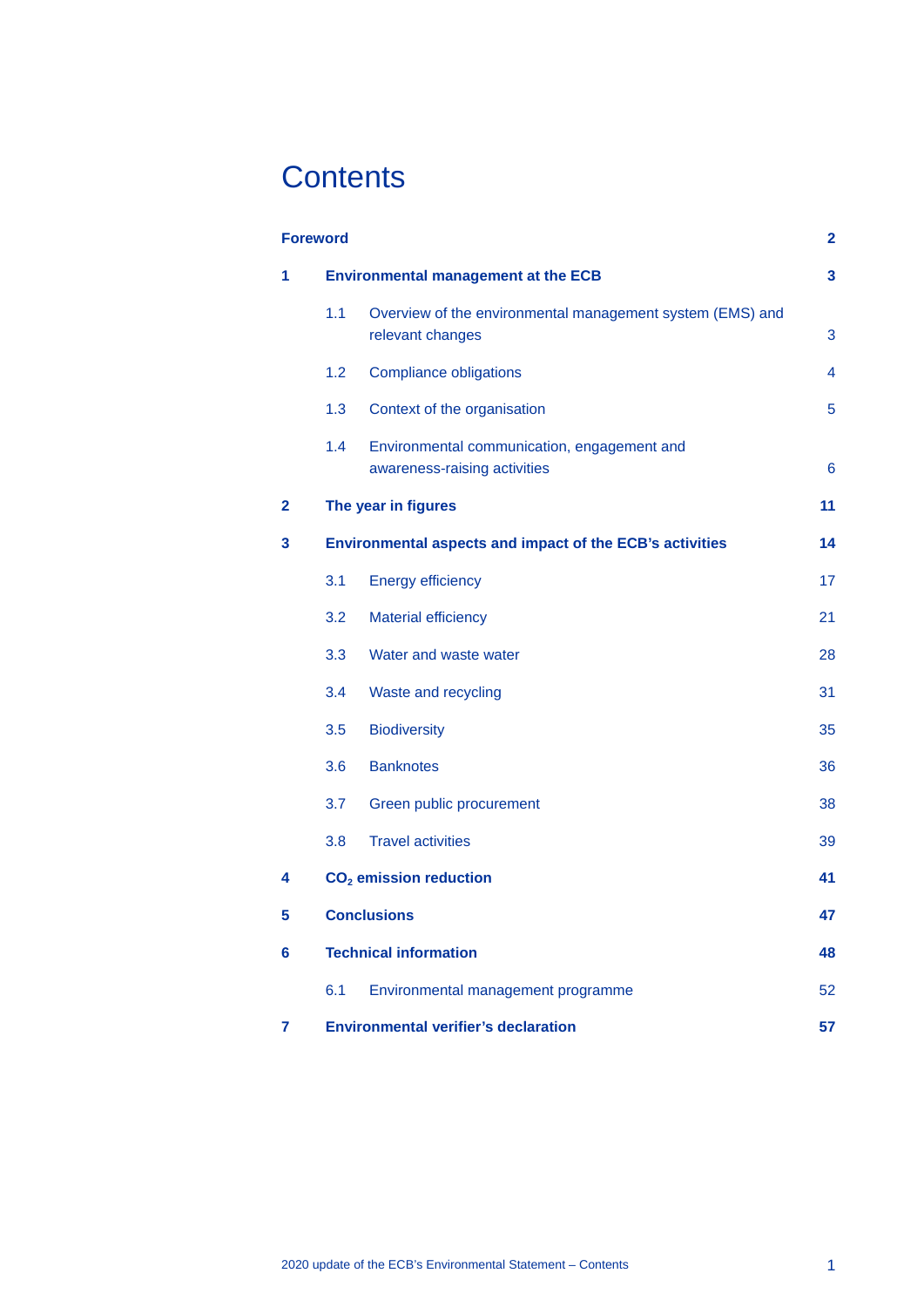# **Contents**

|              | <b>Foreword</b>  |                                                                               | $\mathbf{2}$ |
|--------------|------------------|-------------------------------------------------------------------------------|--------------|
| 1            |                  | <b>Environmental management at the ECB</b>                                    | 3            |
|              | 1.1              | Overview of the environmental management system (EMS) and<br>relevant changes | 3            |
|              | 1.2              | <b>Compliance obligations</b>                                                 | 4            |
|              | 1.3              | Context of the organisation                                                   | 5            |
|              | 1.4              | Environmental communication, engagement and<br>awareness-raising activities   | 6            |
| $\mathbf{2}$ |                  | The year in figures                                                           | 11           |
| 3            |                  | Environmental aspects and impact of the ECB's activities                      | 14           |
|              | 3.1              | <b>Energy efficiency</b>                                                      | 17           |
|              | 3.2              | <b>Material efficiency</b>                                                    | 21           |
|              | 3.3 <sub>2</sub> | Water and waste water                                                         | 28           |
|              | 3.4              | Waste and recycling                                                           | 31           |
|              | 3.5              | <b>Biodiversity</b>                                                           | 35           |
|              | 3.6              | <b>Banknotes</b>                                                              | 36           |
|              | 3.7              | Green public procurement                                                      | 38           |
|              | 3.8              | <b>Travel activities</b>                                                      | 39           |
| 4            |                  | CO <sub>2</sub> emission reduction                                            | 41           |
| 5            |                  | <b>Conclusions</b>                                                            | 47           |
| 6            |                  | <b>Technical information</b>                                                  | 48           |
|              | 6.1              | Environmental management programme                                            | 52           |
| 7            |                  | <b>Environmental verifier's declaration</b>                                   | 57           |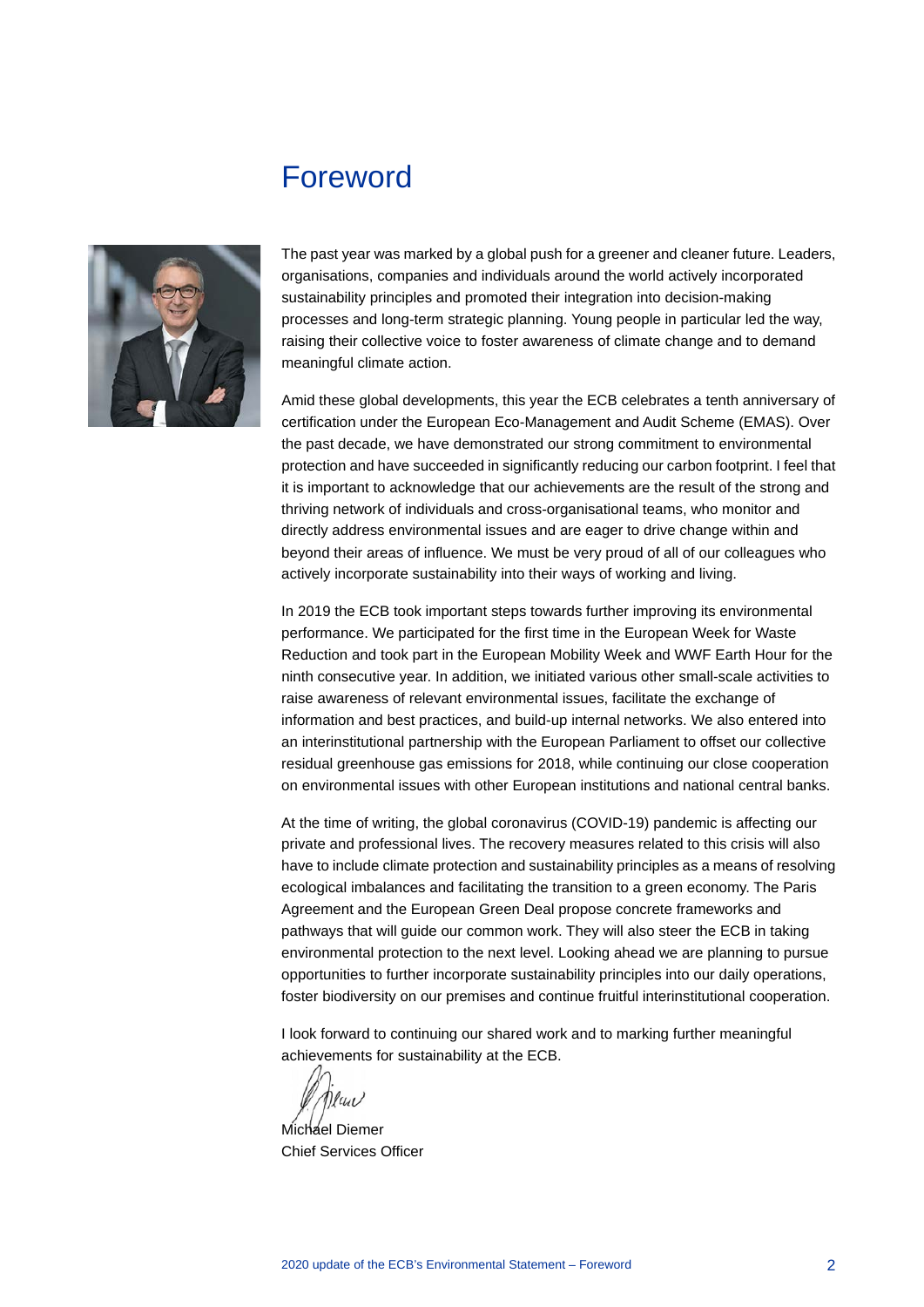## <span id="page-2-0"></span>Foreword



The past year was marked by a global push for a greener and cleaner future. Leaders, organisations, companies and individuals around the world actively incorporated sustainability principles and promoted their integration into decision-making processes and long-term strategic planning. Young people in particular led the way, raising their collective voice to foster awareness of climate change and to demand meaningful climate action.

Amid these global developments, this year the ECB celebrates a tenth anniversary of certification under the European Eco-Management and Audit Scheme (EMAS). Over the past decade, we have demonstrated our strong commitment to environmental protection and have succeeded in significantly reducing our carbon footprint. I feel that it is important to acknowledge that our achievements are the result of the strong and thriving network of individuals and cross-organisational teams, who monitor and directly address environmental issues and are eager to drive change within and beyond their areas of influence. We must be very proud of all of our colleagues who actively incorporate sustainability into their ways of working and living.

In 2019 the ECB took important steps towards further improving its environmental performance. We participated for the first time in the European Week for Waste Reduction and took part in the European Mobility Week and WWF Earth Hour for the ninth consecutive year. In addition, we initiated various other small-scale activities to raise awareness of relevant environmental issues, facilitate the exchange of information and best practices, and build-up internal networks. We also entered into an interinstitutional partnership with the European Parliament to offset our collective residual greenhouse gas emissions for 2018, while continuing our close cooperation on environmental issues with other European institutions and national central banks.

At the time of writing, the global coronavirus (COVID-19) pandemic is affecting our private and professional lives. The recovery measures related to this crisis will also have to include climate protection and sustainability principles as a means of resolving ecological imbalances and facilitating the transition to a green economy. The Paris Agreement and the European Green Deal propose concrete frameworks and pathways that will guide our common work. They will also steer the ECB in taking environmental protection to the next level. Looking ahead we are planning to pursue opportunities to further incorporate sustainability principles into our daily operations, foster biodiversity on our premises and continue fruitful interinstitutional cooperation.

I look forward to continuing our shared work and to marking further meaningful achievements for sustainability at the ECB.

 $\eta$ luu

Michael Diemer Chief Services Officer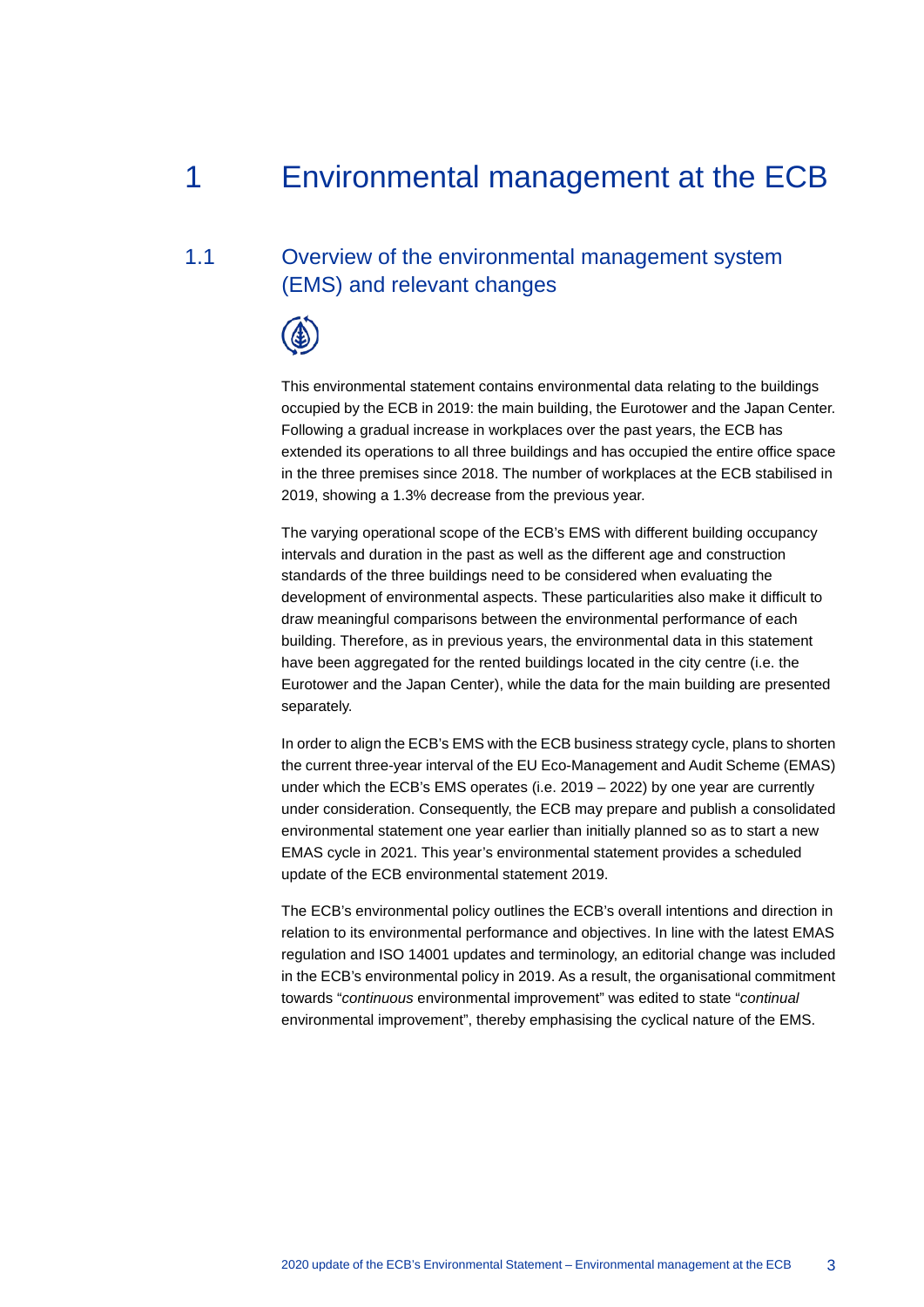## <span id="page-3-0"></span>1 Environmental management at the ECB

## 1.1 Overview of the environmental management system (EMS) and relevant changes

<span id="page-3-1"></span>

This environmental statement contains environmental data relating to the buildings occupied by the ECB in 2019: the main building, the Eurotower and the Japan Center. Following a gradual increase in workplaces over the past years, the ECB has extended its operations to all three buildings and has occupied the entire office space in the three premises since 2018. The number of workplaces at the ECB stabilised in 2019, showing a 1.3% decrease from the previous year.

The varying operational scope of the ECB's EMS with different building occupancy intervals and duration in the past as well as the different age and construction standards of the three buildings need to be considered when evaluating the development of environmental aspects. These particularities also make it difficult to draw meaningful comparisons between the environmental performance of each building. Therefore, as in previous years, the environmental data in this statement have been aggregated for the rented buildings located in the city centre (i.e. the Eurotower and the Japan Center), while the data for the main building are presented separately.

In order to align the ECB's EMS with the ECB business strategy cycle, plans to shorten the current three-year interval of the EU Eco-Management and Audit Scheme (EMAS) under which the ECB's EMS operates (i.e. 2019 – 2022) by one year are currently under consideration. Consequently, the ECB may prepare and publish a consolidated environmental statement one year earlier than initially planned so as to start a new EMAS cycle in 2021. This year's environmental statement provides a scheduled update of the ECB environmental statement 2019.

The ECB's environmental policy outlines the ECB's overall intentions and direction in relation to its environmental performance and objectives. In line with the latest EMAS regulation and ISO 14001 updates and terminology, an editorial change was included in the ECB's environmental policy in 2019. As a result, the organisational commitment towards "*continuous* environmental improvement" was edited to state "*continual* environmental improvement", thereby emphasising the cyclical nature of the EMS.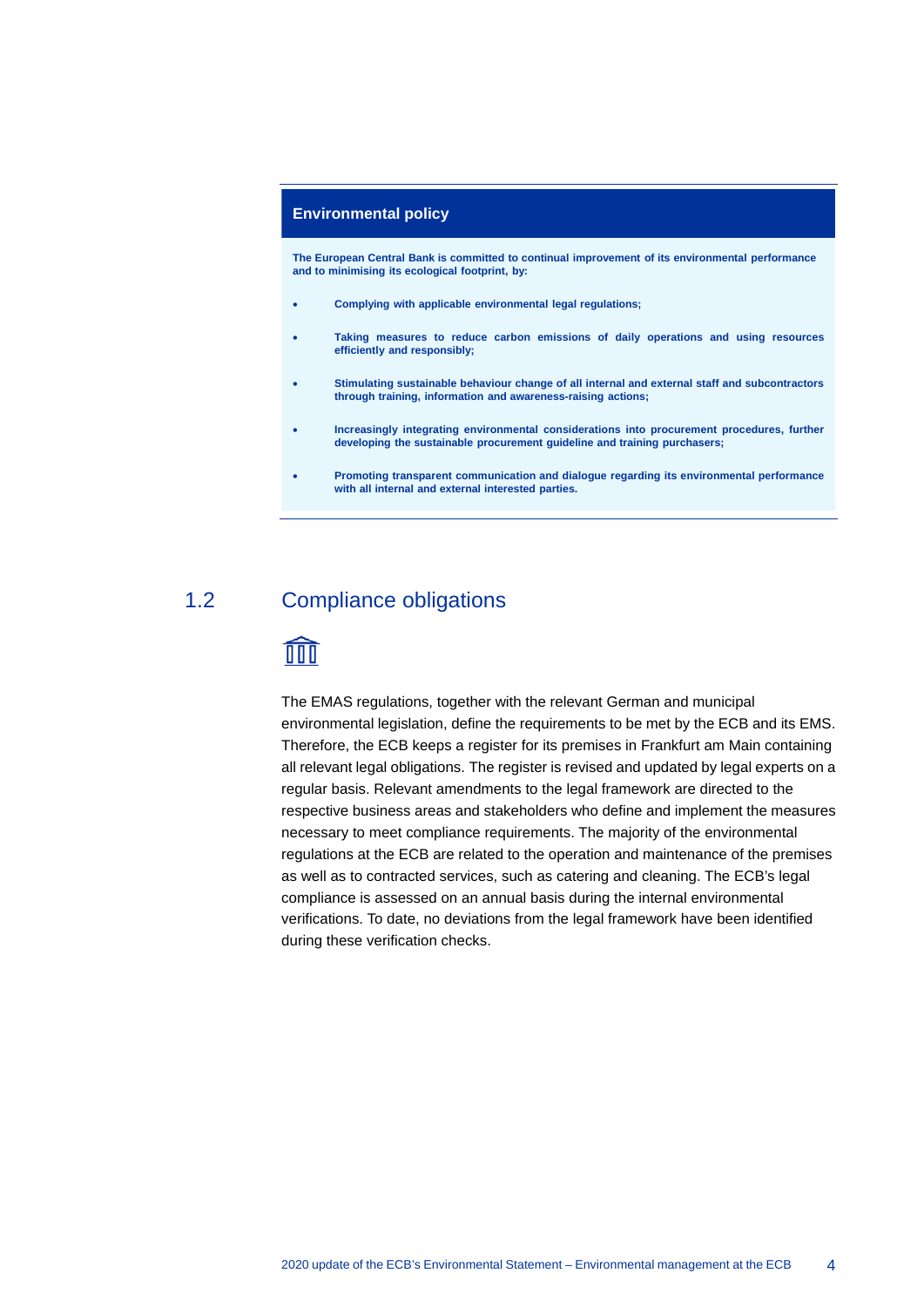#### **Environmental policy**

**The European Central Bank is committed to continual improvement of its environmental performance and to minimising its ecological footprint, by:**

- **Complying with applicable environmental legal regulations;**
- **Taking measures to reduce carbon emissions of daily operations and using resources efficiently and responsibly;**
- **Stimulating sustainable behaviour change of all internal and external staff and subcontractors through training, information and awareness-raising actions;**
- **Increasingly integrating environmental considerations into procurement procedures, further developing the sustainable procurement guideline and training purchasers;**
- <span id="page-4-0"></span>• **Promoting transparent communication and dialogue regarding its environmental performance with all internal and external interested parties.**

## 1.2 Compliance obligations

## **TITT**

The EMAS regulations, together with the relevant German and municipal environmental legislation, define the requirements to be met by the ECB and its EMS. Therefore, the ECB keeps a register for its premises in Frankfurt am Main containing all relevant legal obligations. The register is revised and updated by legal experts on a regular basis. Relevant amendments to the legal framework are directed to the respective business areas and stakeholders who define and implement the measures necessary to meet compliance requirements. The majority of the environmental regulations at the ECB are related to the operation and maintenance of the premises as well as to contracted services, such as catering and cleaning. The ECB's legal compliance is assessed on an annual basis during the internal environmental verifications. To date, no deviations from the legal framework have been identified during these verification checks.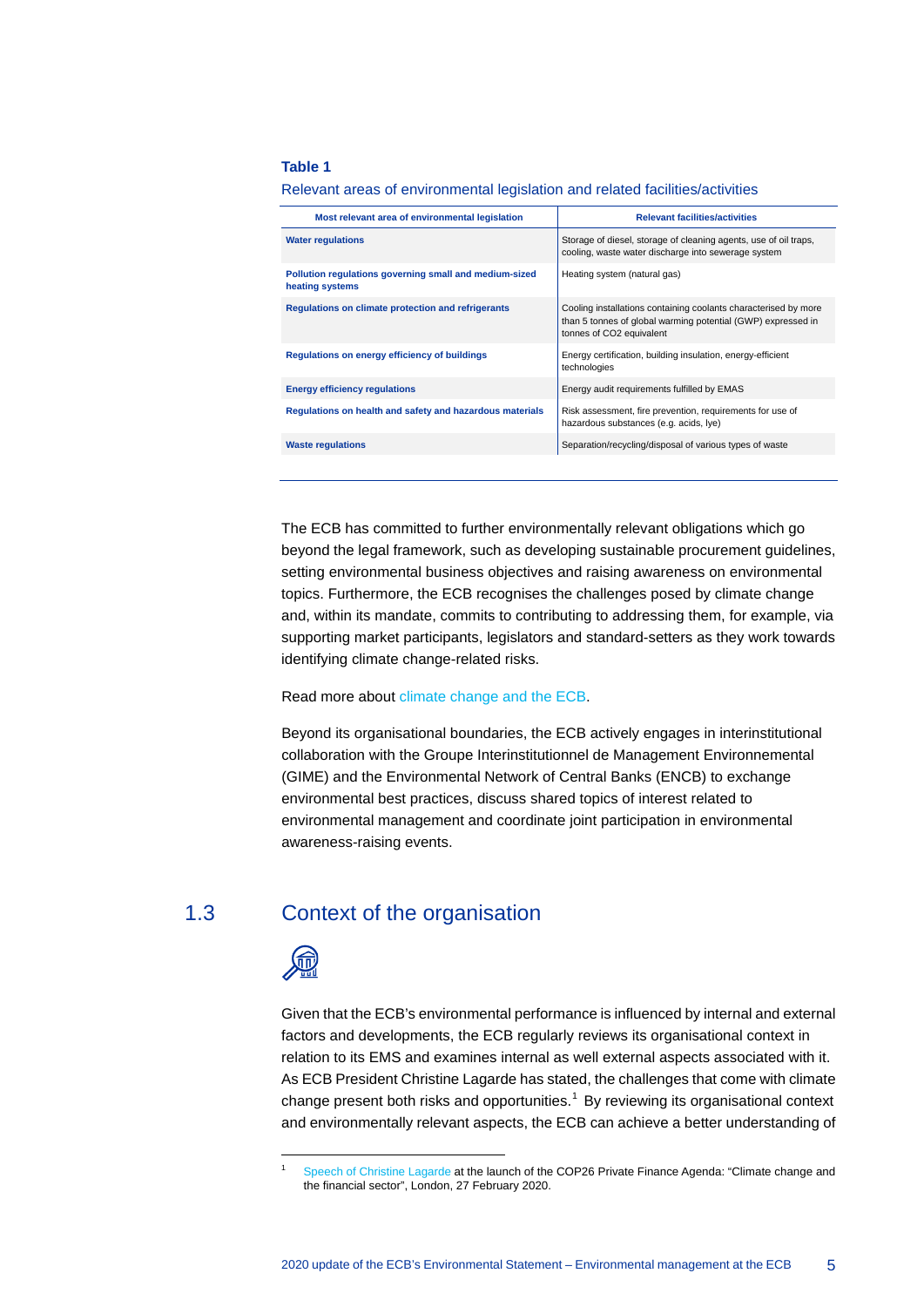#### **Table 1**

| Relevant areas of environmental legislation and related facilities/activities |  |  |  |  |
|-------------------------------------------------------------------------------|--|--|--|--|
|                                                                               |  |  |  |  |

| Most relevant area of environmental legislation                           | <b>Relevant facilities/activities</b>                                                                                                                       |
|---------------------------------------------------------------------------|-------------------------------------------------------------------------------------------------------------------------------------------------------------|
| <b>Water regulations</b>                                                  | Storage of diesel, storage of cleaning agents, use of oil traps,<br>cooling, waste water discharge into sewerage system                                     |
| Pollution regulations governing small and medium-sized<br>heating systems | Heating system (natural gas)                                                                                                                                |
| Regulations on climate protection and refrigerants                        | Cooling installations containing coolants characterised by more<br>than 5 tonnes of global warming potential (GWP) expressed in<br>tonnes of CO2 equivalent |
| Regulations on energy efficiency of buildings                             | Energy certification, building insulation, energy-efficient<br>technologies                                                                                 |
| <b>Energy efficiency regulations</b>                                      | Energy audit requirements fulfilled by EMAS                                                                                                                 |
| Regulations on health and safety and hazardous materials                  | Risk assessment, fire prevention, requirements for use of<br>hazardous substances (e.g. acids, lye)                                                         |
| <b>Waste regulations</b>                                                  | Separation/recycling/disposal of various types of waste                                                                                                     |
|                                                                           |                                                                                                                                                             |

The ECB has committed to further environmentally relevant obligations which go beyond the legal framework, such as developing sustainable procurement guidelines, setting environmental business objectives and raising awareness on environmental topics. Furthermore, the ECB recognises the challenges posed by climate change and, within its mandate, commits to contributing to addressing them, for example, via supporting market participants, legislators and standard-setters as they work towards identifying climate change-related risks.

#### Read more about [climate change and the ECB.](https://www.ecb.europa.eu/ecb/orga/climate/html/index.en.html)

Beyond its organisational boundaries, the ECB actively engages in interinstitutional collaboration with the Groupe Interinstitutionnel de Management Environnemental (GIME) and the Environmental Network of Central Banks (ENCB) to exchange environmental best practices, discuss shared topics of interest related to environmental management and coordinate joint participation in environmental awareness-raising events.

#### 1.3 Context of the organisation

<span id="page-5-0"></span>

<span id="page-5-1"></span> $\overline{a}$ 

Given that the ECB's environmental performance is influenced by internal and external factors and developments, the ECB regularly reviews its organisational context in relation to its EMS and examines internal as well external aspects associated with it. As ECB President Christine Lagarde has stated, the challenges that come with climate change present both risks and opportunities.<sup>[1](#page-5-1)</sup> By reviewing its organisational context and environmentally relevant aspects, the ECB can achieve a better understanding of

<sup>1</sup> Speech of [Christine Lagarde](https://www.ecb.europa.eu/press/key/date/2020/html/ecb.sp200227_1%7E5eac0ce39a.en.html) at the launch of the COP26 Private Finance Agenda: "Climate change and the financial sector", London, 27 February 2020.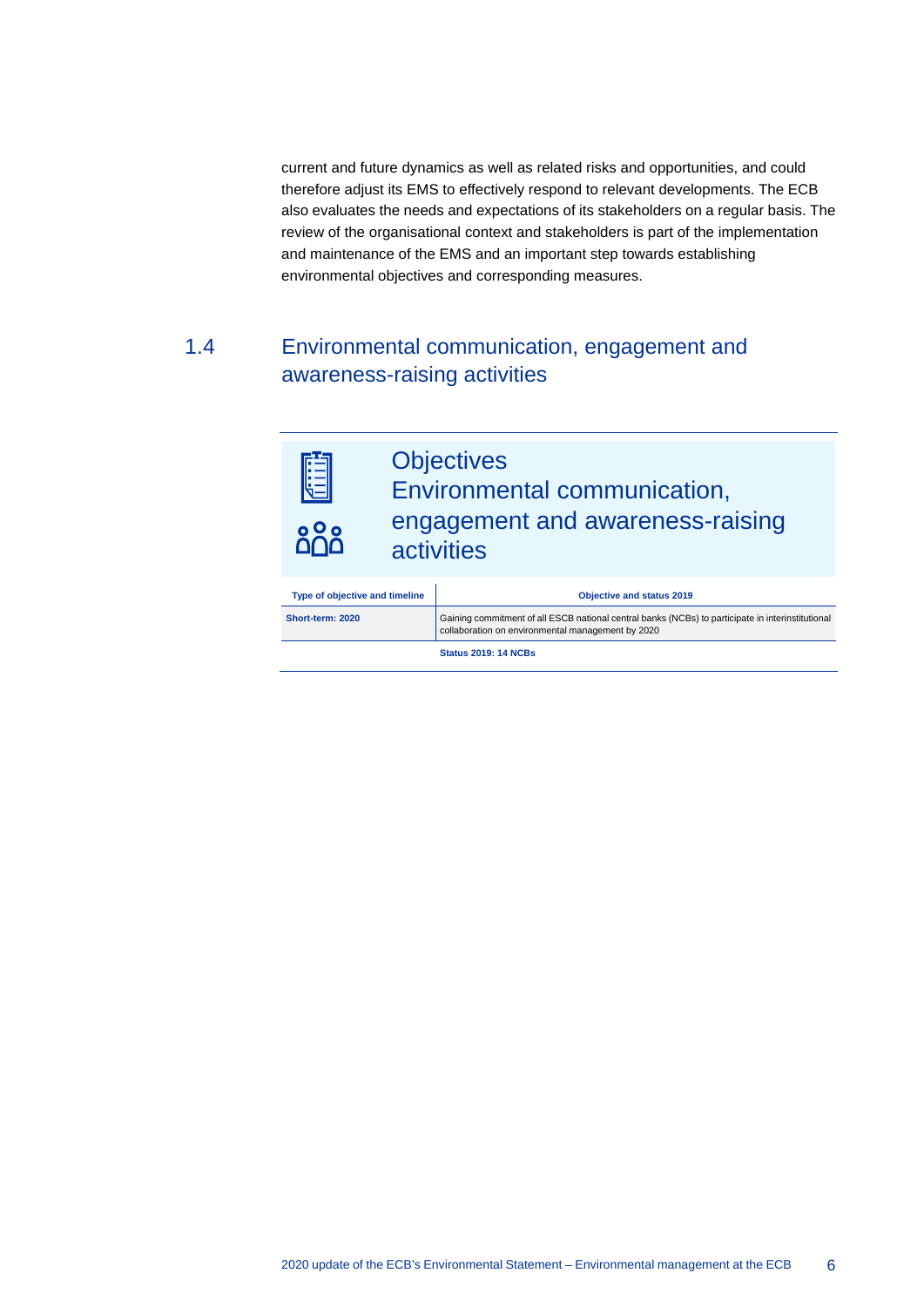current and future dynamics as well as related risks and opportunities, and could therefore adjust its EMS to effectively respond to relevant developments. The ECB also evaluates the needs and expectations of its stakeholders on a regular basis. The review of the organisational context and stakeholders is part of the implementation and maintenance of the EMS and an important step towards establishing environmental objectives and corresponding measures.

## <span id="page-6-0"></span>1.4 Environmental communication, engagement and awareness-raising activities



| Type of objective and timeline | <b>Objective and status 2019</b>                                                                                                                       |
|--------------------------------|--------------------------------------------------------------------------------------------------------------------------------------------------------|
| Short-term: 2020               | Gaining commitment of all ESCB national central banks (NCBs) to participate in interinstitutional<br>collaboration on environmental management by 2020 |
|                                | <b>Status 2019: 14 NCBs</b>                                                                                                                            |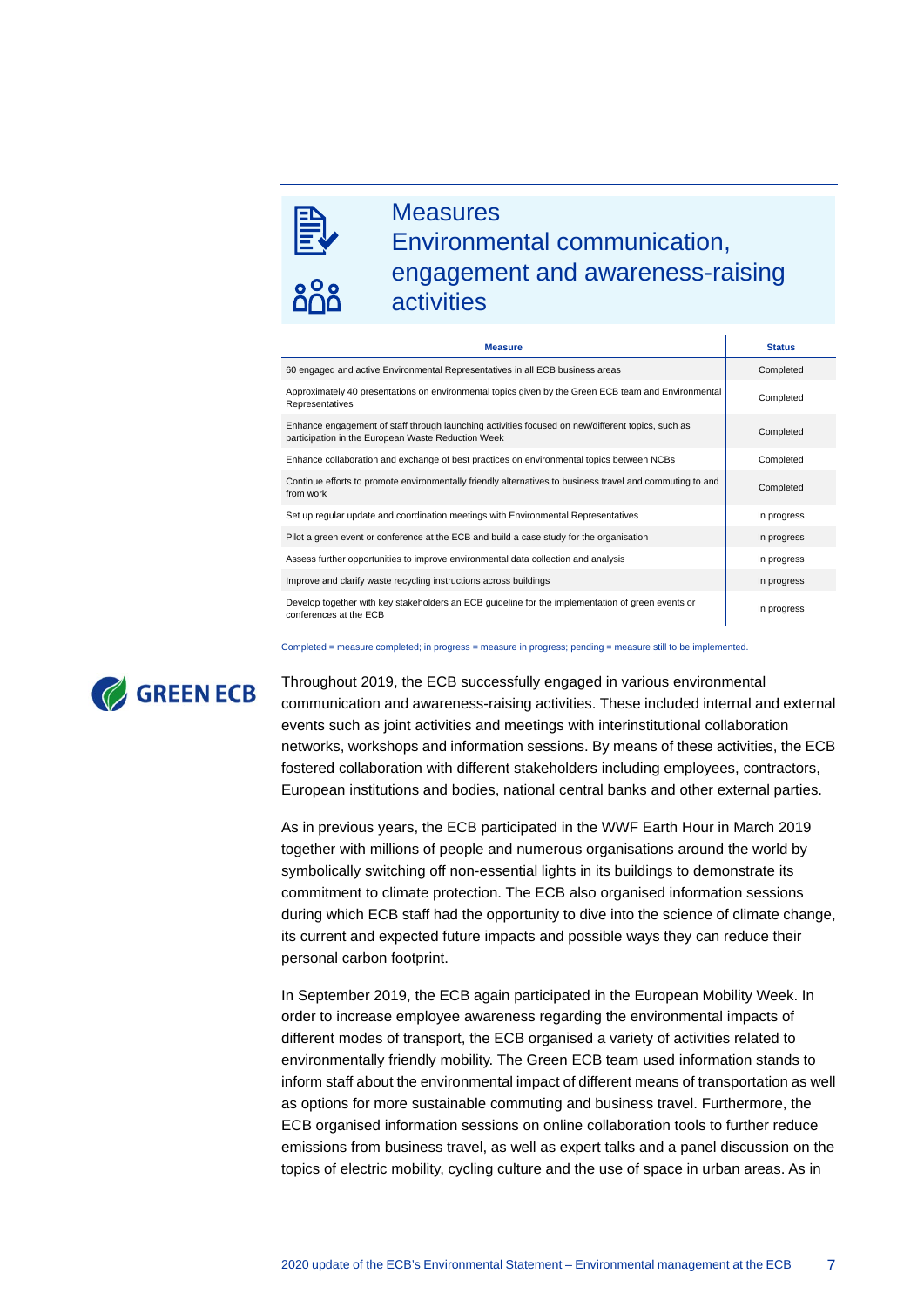

## **Measures** Environmental communication, engagement and awareness-raising activities

| <b>Measure</b>                                                                                                                                          | <b>Status</b> |
|---------------------------------------------------------------------------------------------------------------------------------------------------------|---------------|
| 60 engaged and active Environmental Representatives in all ECB business areas                                                                           | Completed     |
| Approximately 40 presentations on environmental topics given by the Green ECB team and Environmental<br>Representatives                                 | Completed     |
| Enhance engagement of staff through launching activities focused on new/different topics, such as<br>participation in the European Waste Reduction Week | Completed     |
| Enhance collaboration and exchange of best practices on environmental topics between NCBs                                                               | Completed     |
| Continue efforts to promote environmentally friendly alternatives to business travel and commuting to and<br>from work                                  | Completed     |
| Set up regular update and coordination meetings with Environmental Representatives                                                                      | In progress   |
| Pilot a green event or conference at the ECB and build a case study for the organisation                                                                | In progress   |
| Assess further opportunities to improve environmental data collection and analysis                                                                      | In progress   |
| Improve and clarify waste recycling instructions across buildings                                                                                       | In progress   |
| Develop together with key stakeholders an ECB guideline for the implementation of green events or<br>conferences at the ECB                             | In progress   |

Completed = measure completed; in progress = measure in progress; pending = measure still to be implemented.



Throughout 2019, the ECB successfully engaged in various environmental communication and awareness-raising activities. These included internal and external events such as joint activities and meetings with interinstitutional collaboration networks, workshops and information sessions. By means of these activities, the ECB fostered collaboration with different stakeholders including employees, contractors, European institutions and bodies, national central banks and other external parties.

As in previous years, the ECB participated in the WWF Earth Hour in March 2019 together with millions of people and numerous organisations around the world by symbolically switching off non-essential lights in its buildings to demonstrate its commitment to climate protection. The ECB also organised information sessions during which ECB staff had the opportunity to dive into the science of climate change, its current and expected future impacts and possible ways they can reduce their personal carbon footprint.

In September 2019, the ECB again participated in the European Mobility Week. In order to increase employee awareness regarding the environmental impacts of different modes of transport, the ECB organised a variety of activities related to environmentally friendly mobility. The Green ECB team used information stands to inform staff about the environmental impact of different means of transportation as well as options for more sustainable commuting and business travel. Furthermore, the ECB organised information sessions on online collaboration tools to further reduce emissions from business travel, as well as expert talks and a panel discussion on the topics of electric mobility, cycling culture and the use of space in urban areas. As in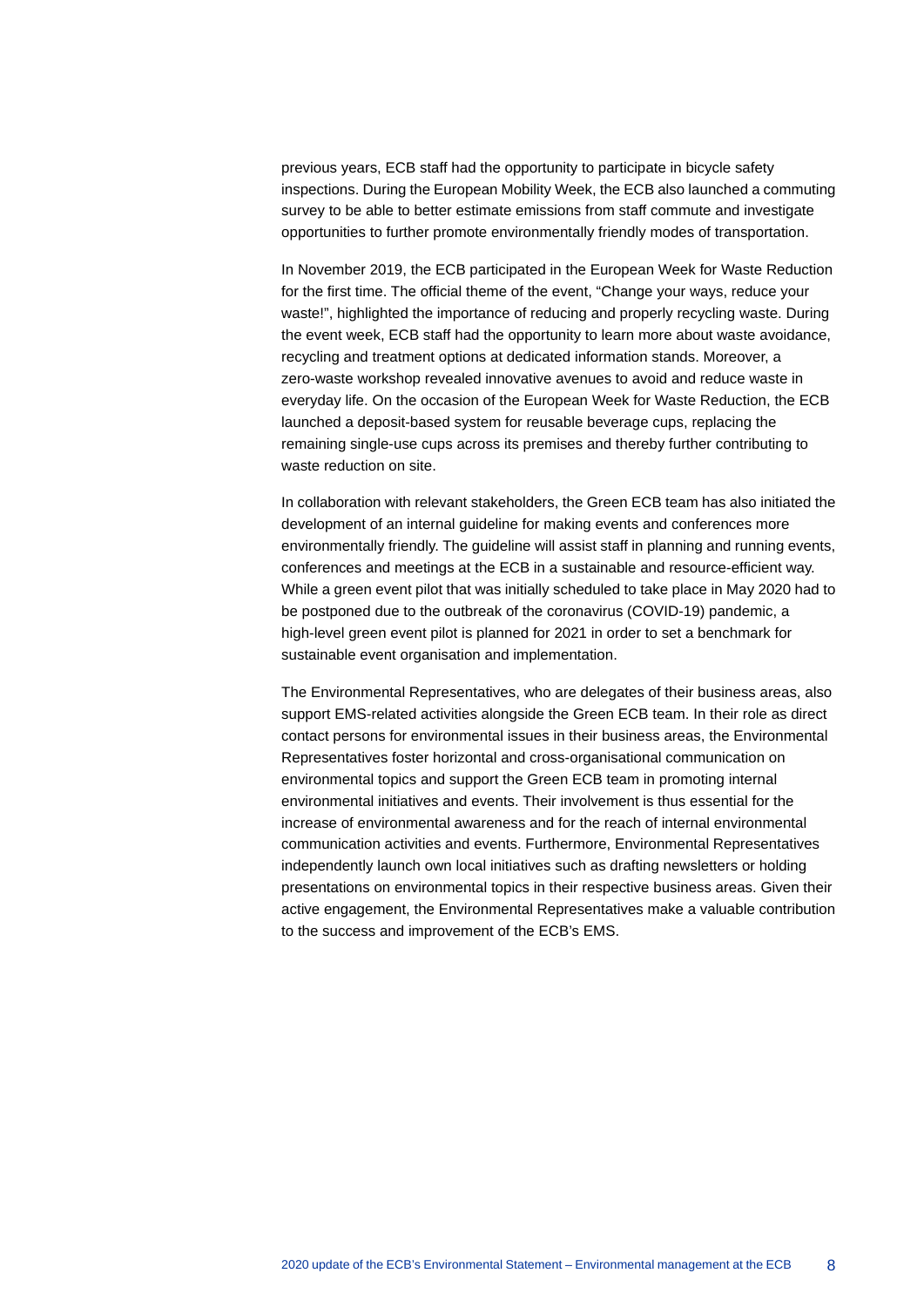previous years, ECB staff had the opportunity to participate in bicycle safety inspections. During the European Mobility Week, the ECB also launched a commuting survey to be able to better estimate emissions from staff commute and investigate opportunities to further promote environmentally friendly modes of transportation.

In November 2019, the ECB participated in the European Week for Waste Reduction for the first time. The official theme of the event, "Change your ways, reduce your waste!", highlighted the importance of reducing and properly recycling waste. During the event week, ECB staff had the opportunity to learn more about waste avoidance, recycling and treatment options at dedicated information stands. Moreover, a zero-waste workshop revealed innovative avenues to avoid and reduce waste in everyday life. On the occasion of the European Week for Waste Reduction, the ECB launched a deposit-based system for reusable beverage cups, replacing the remaining single-use cups across its premises and thereby further contributing to waste reduction on site.

In collaboration with relevant stakeholders, the Green ECB team has also initiated the development of an internal guideline for making events and conferences more environmentally friendly. The guideline will assist staff in planning and running events, conferences and meetings at the ECB in a sustainable and resource-efficient way. While a green event pilot that was initially scheduled to take place in May 2020 had to be postponed due to the outbreak of the coronavirus (COVID-19) pandemic, a high-level green event pilot is planned for 2021 in order to set a benchmark for sustainable event organisation and implementation.

The Environmental Representatives, who are delegates of their business areas, also support EMS-related activities alongside the Green ECB team. In their role as direct contact persons for environmental issues in their business areas, the Environmental Representatives foster horizontal and cross-organisational communication on environmental topics and support the Green ECB team in promoting internal environmental initiatives and events. Their involvement is thus essential for the increase of environmental awareness and for the reach of internal environmental communication activities and events. Furthermore, Environmental Representatives independently launch own local initiatives such as drafting newsletters or holding presentations on environmental topics in their respective business areas. Given their active engagement, the Environmental Representatives make a valuable contribution to the success and improvement of the ECB's EMS.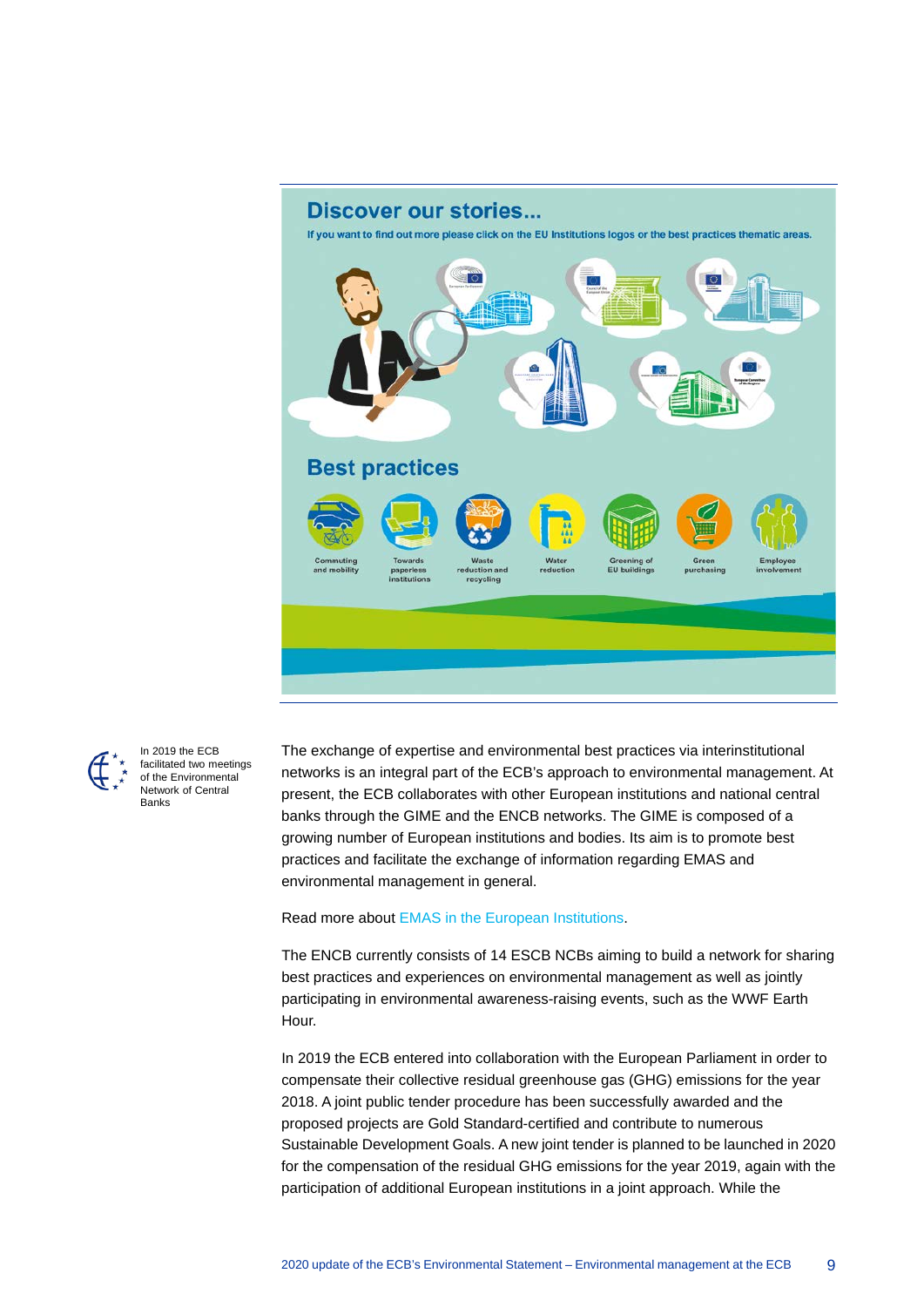



In 2019 the ECB facilitated two meetings of the Environmental Network of Central Banks

The exchange of expertise and environmental best practices via interinstitutional networks is an integral part of the ECB's approach to environmental management. At present, the ECB collaborates with other European institutions and national central banks through the GIME and the ENCB networks. The GIME is composed of a growing number of European institutions and bodies. Its aim is to promote best practices and facilitate the exchange of information regarding EMAS and environmental management in general.

#### Read more about [EMAS in the European Institutions.](http://ec.europa.eu/environment/emas/emas_registrations/emas_in_the_european_institutions_en.htm)

The ENCB currently consists of 14 ESCB NCBs aiming to build a network for sharing best practices and experiences on environmental management as well as jointly participating in environmental awareness-raising events, such as the WWF Earth Hour.

In 2019 the ECB entered into collaboration with the European Parliament in order to compensate their collective residual greenhouse gas (GHG) emissions for the year 2018. A joint public tender procedure has been successfully awarded and the proposed projects are Gold Standard-certified and contribute to numerous Sustainable Development Goals. A new joint tender is planned to be launched in 2020 for the compensation of the residual GHG emissions for the year 2019, again with the participation of additional European institutions in a joint approach. While the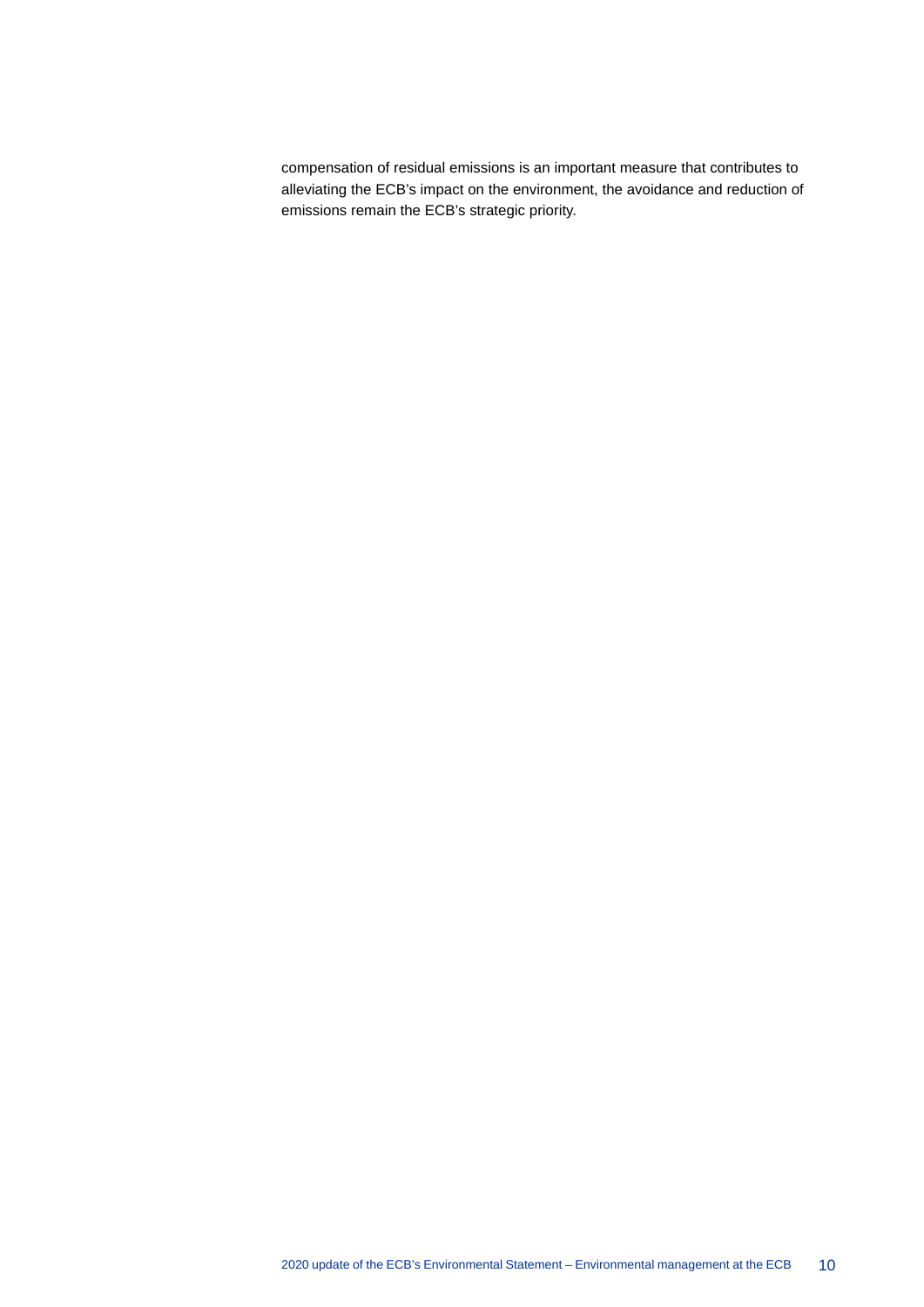compensation of residual emissions is an important measure that contributes to alleviating the ECB's impact on the environment, the avoidance and reduction of emissions remain the ECB's strategic priority.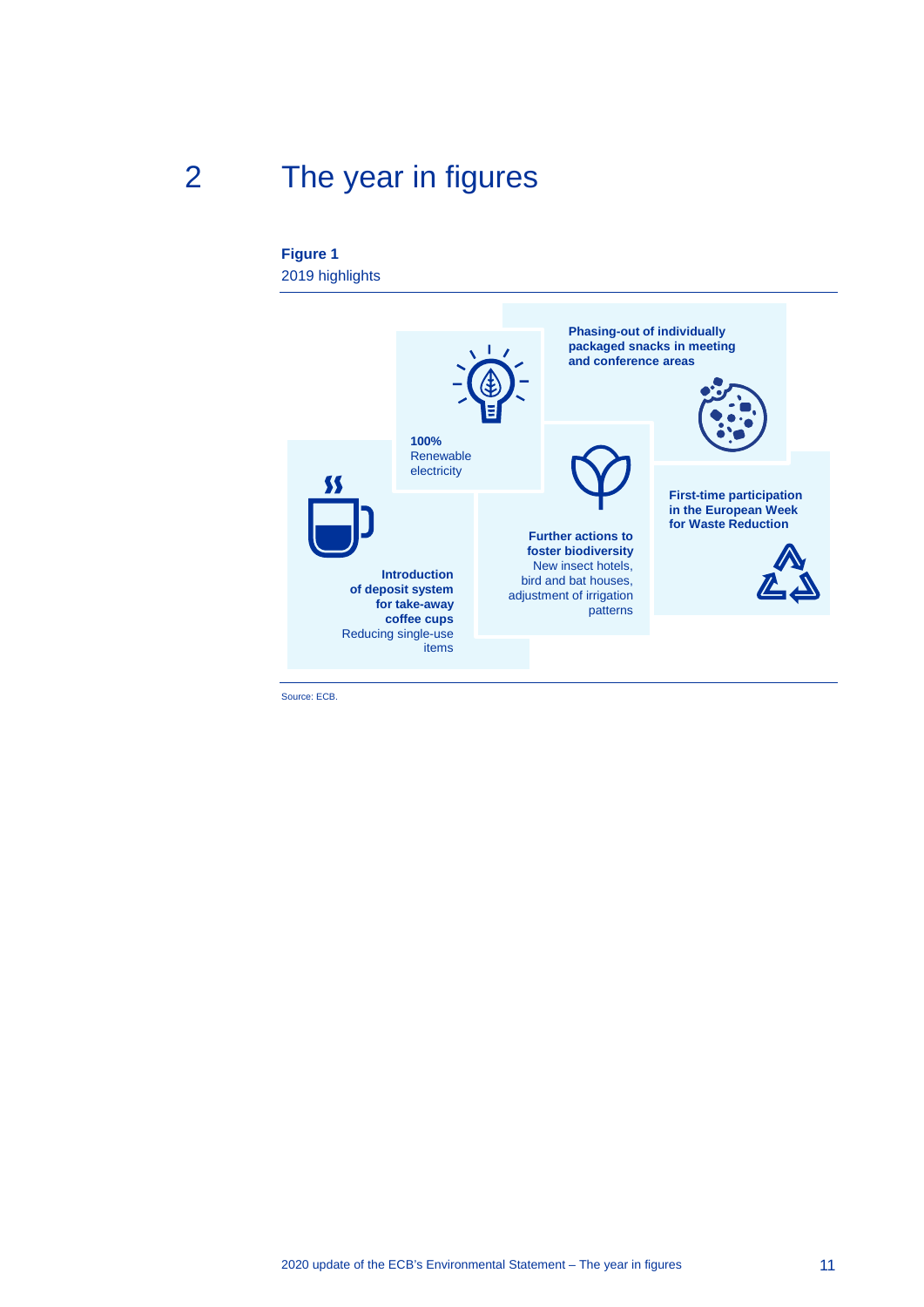# 2 The year in figures

#### <span id="page-11-0"></span>**Figure 1** 2019 highlights



Source: ECB.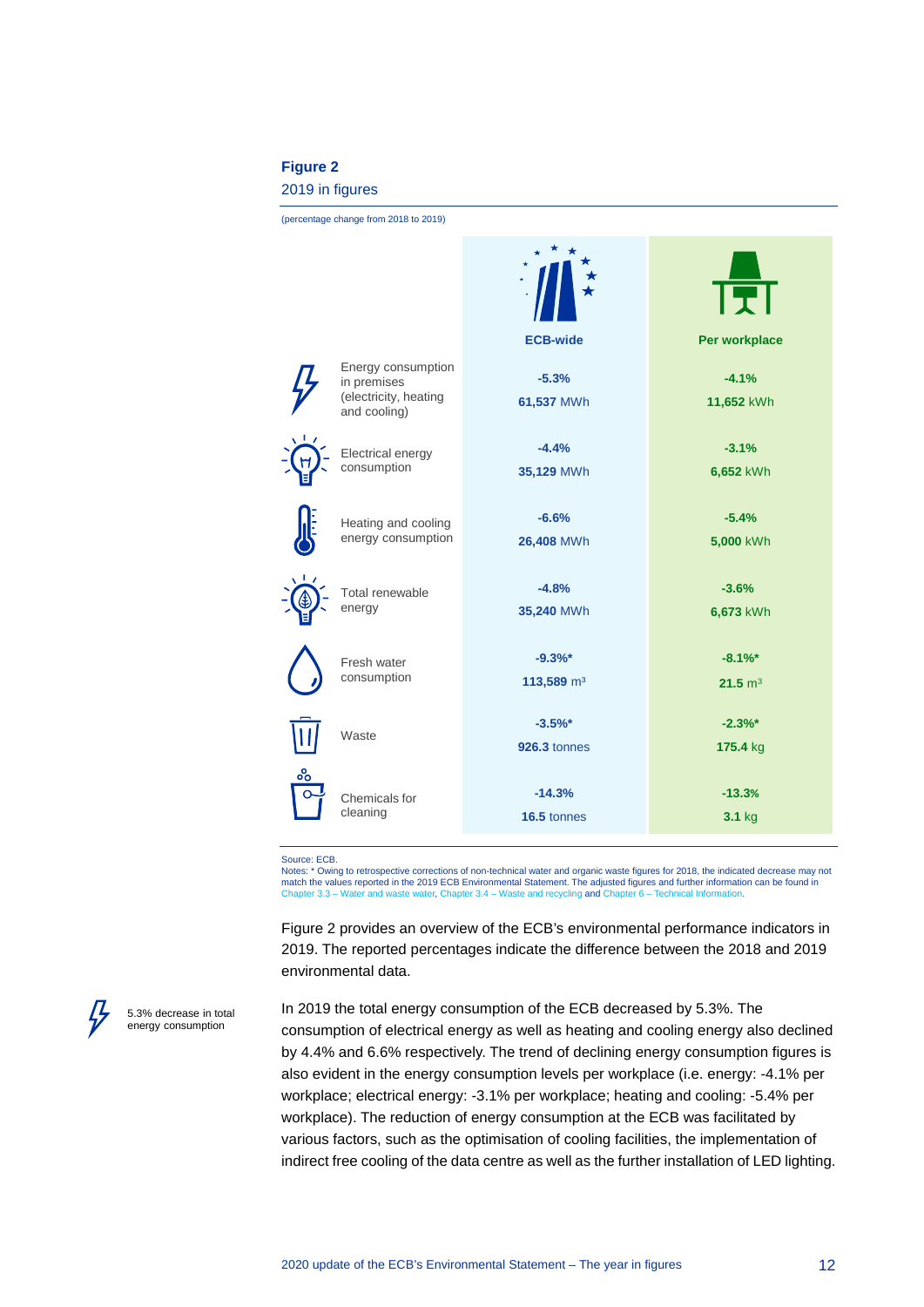#### **Figure 2**

#### 2019 in figures

(percentage change from 2018 to 2019)

|   |                                       |                        | GJ                 |
|---|---------------------------------------|------------------------|--------------------|
|   |                                       | <b>ECB-wide</b>        | Per workplace      |
|   | Energy consumption<br>in premises     | $-5.3%$                | $-4.1%$            |
|   | (electricity, heating<br>and cooling) | 61,537 MWh             | 11,652 kWh         |
|   | Electrical energy                     | $-4.4%$                | $-3.1%$            |
|   | consumption                           | 35,129 MWh             | 6,652 kWh          |
|   |                                       |                        |                    |
|   | Heating and cooling                   | $-6.6%$                | $-5.4%$            |
|   | energy consumption                    | 26,408 MWh             | 5,000 kWh          |
|   |                                       |                        |                    |
|   | Total renewable<br>energy             | $-4.8%$<br>35,240 MWh  | $-3.6%$            |
|   |                                       |                        | 6,673 kWh          |
|   | Fresh water                           | $-9.3%$ *              | $-8.1%$            |
|   | consumption                           | 113,589 m <sup>3</sup> | $21.5 \text{ m}^3$ |
|   |                                       |                        |                    |
|   | Waste                                 | $-3.5%$                | $-2.3%$ *          |
|   |                                       | <b>926.3 tonnes</b>    | 175.4 kg           |
| ஃ |                                       |                        |                    |
|   | Chemicals for<br>cleaning             | $-14.3%$               | $-13.3%$           |
|   |                                       | 16.5 tonnes            | $3.1$ kg           |

Source: ECB.

Notes: \* Owing to retrospective corrections of non-technical water and organic waste figures for 2018, the indicated decrease may not match the values reported in the 2019 ECB Environmental Statement. The adjusted figures and further information can be found in<br>Chapter 3.3 – [Water and waste water,](#page-28-0) Chapter 3.4 – [Waste and recycling](#page-30-0) and Chapter 6 – Technic

Figure 2 provides an overview of the ECB's environmental performance indicators in 2019. The reported percentages indicate the difference between the 2018 and 2019 environmental data.

5.3% decrease in total energy consumption

In 2019 the total energy consumption of the ECB decreased by 5.3%. The consumption of electrical energy as well as heating and cooling energy also declined by 4.4% and 6.6% respectively. The trend of declining energy consumption figures is also evident in the energy consumption levels per workplace (i.e. energy: -4.1% per workplace; electrical energy: -3.1% per workplace; heating and cooling: -5.4% per workplace). The reduction of energy consumption at the ECB was facilitated by various factors, such as the optimisation of cooling facilities, the implementation of indirect free cooling of the data centre as well as the further installation of LED lighting.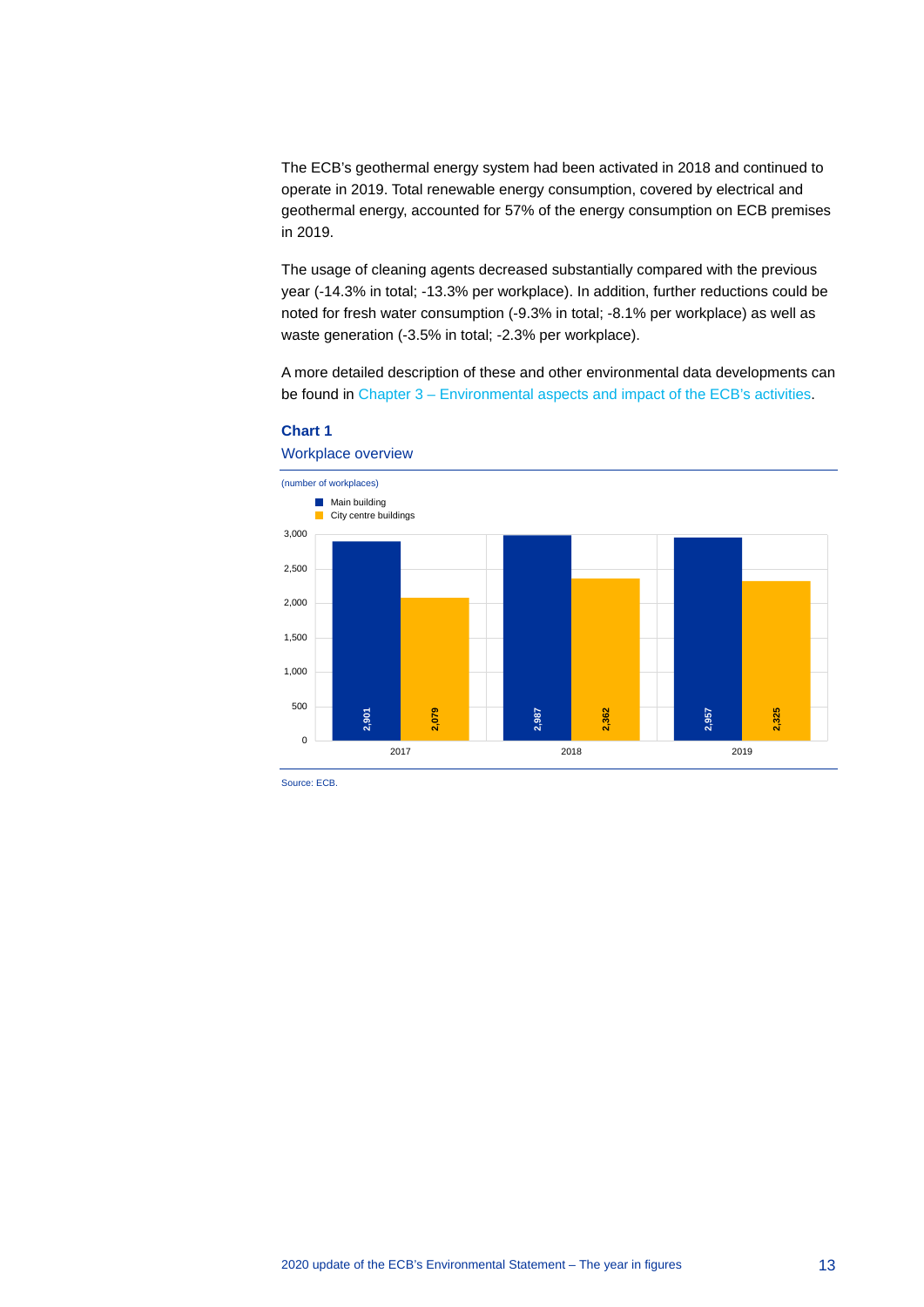The ECB's geothermal energy system had been activated in 2018 and continued to operate in 2019. Total renewable energy consumption, covered by electrical and geothermal energy, accounted for 57% of the energy consumption on ECB premises in 2019.

The usage of cleaning agents decreased substantially compared with the previous year (-14.3% in total; -13.3% per workplace). In addition, further reductions could be noted for fresh water consumption (-9.3% in total; -8.1% per workplace) as well as waste generation (-3.5% in total; -2.3% per workplace).

A more detailed description of these and other environmental data developments can be found in Chapter 3 – [Environmental aspects and impact of the ECB's activities.](#page-14-0)



#### **Chart 1**

Source: ECB.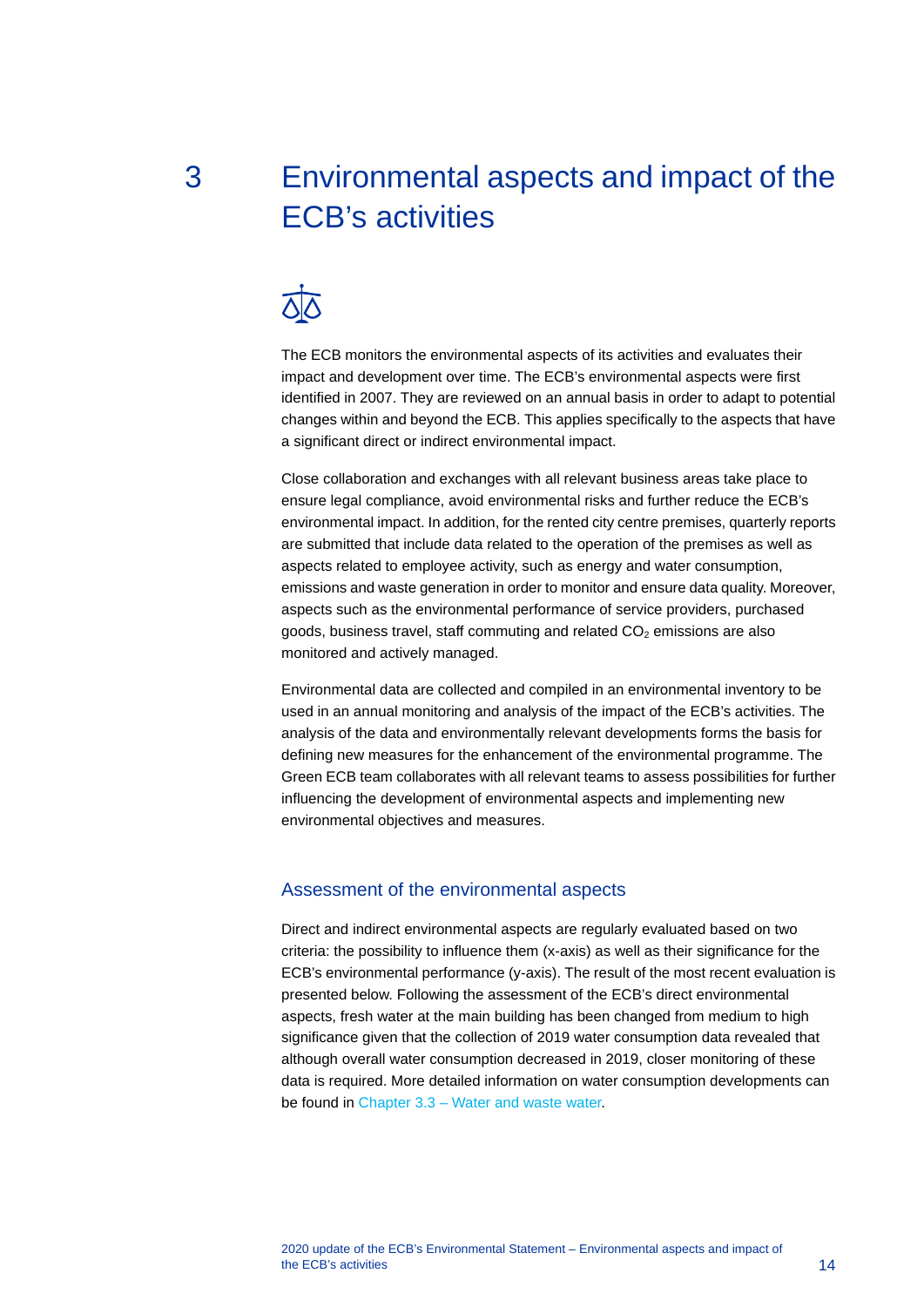# <span id="page-14-0"></span>3 Environmental aspects and impact of the ECB's activities



The ECB monitors the environmental aspects of its activities and evaluates their impact and development over time. The ECB's environmental aspects were first identified in 2007. They are reviewed on an annual basis in order to adapt to potential changes within and beyond the ECB. This applies specifically to the aspects that have a significant direct or indirect environmental impact.

Close collaboration and exchanges with all relevant business areas take place to ensure legal compliance, avoid environmental risks and further reduce the ECB's environmental impact. In addition, for the rented city centre premises, quarterly reports are submitted that include data related to the operation of the premises as well as aspects related to employee activity, such as energy and water consumption, emissions and waste generation in order to monitor and ensure data quality. Moreover, aspects such as the environmental performance of service providers, purchased goods, business travel, staff commuting and related  $CO<sub>2</sub>$  emissions are also monitored and actively managed.

Environmental data are collected and compiled in an environmental inventory to be used in an annual monitoring and analysis of the impact of the ECB's activities. The analysis of the data and environmentally relevant developments forms the basis for defining new measures for the enhancement of the environmental programme. The Green ECB team collaborates with all relevant teams to assess possibilities for further influencing the development of environmental aspects and implementing new environmental objectives and measures.

#### Assessment of the environmental aspects

Direct and indirect environmental aspects are regularly evaluated based on two criteria: the possibility to influence them (x-axis) as well as their significance for the ECB's environmental performance (y-axis). The result of the most recent evaluation is presented below. Following the assessment of the ECB's direct environmental aspects, fresh water at the main building has been changed from medium to high significance given that the collection of 2019 water consumption data revealed that although overall water consumption decreased in 2019, closer monitoring of these data is required. More detailed information on water consumption developments can be found in Chapter 3.3 – [Water and waste water.](#page-28-0)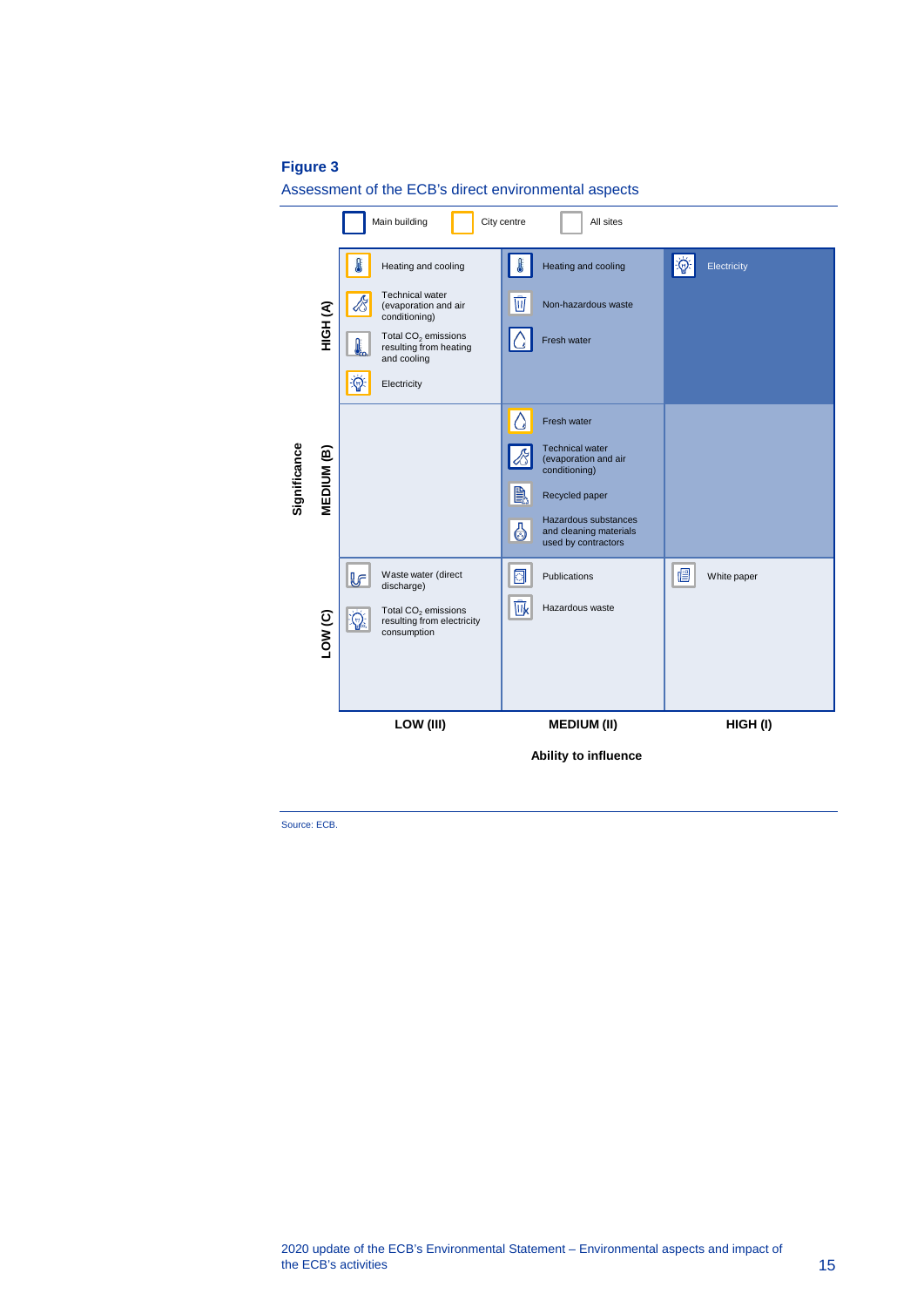#### **Figure 3**

Assessment of the ECB's direct environmental aspects

|              |                    |                                                                                             | Ability to influence                                                       |                                     |
|--------------|--------------------|---------------------------------------------------------------------------------------------|----------------------------------------------------------------------------|-------------------------------------|
|              |                    | LOW (III)                                                                                   | <b>MEDIUM (II)</b>                                                         | HIGH(I)                             |
|              |                    |                                                                                             |                                                                            |                                     |
|              |                    |                                                                                             |                                                                            |                                     |
|              | LOW <sub>(C)</sub> | Total CO <sub>2</sub> emissions<br>$Q_{\rm s}$<br>resulting from electricity<br>consumption | 咏<br>Hazardous waste                                                       |                                     |
|              |                    | Waste water (direct<br><u>ie</u><br>discharge)                                              | ◙<br>Publications                                                          | 眉<br>White paper                    |
|              |                    |                                                                                             | Hazardous substances<br>4<br>and cleaning materials<br>used by contractors |                                     |
|              |                    |                                                                                             | B<br>Recycled paper                                                        |                                     |
| Significance | MEDIUM (B)         |                                                                                             | <b>Technical water</b><br>(evaporation and air<br>conditioning)            |                                     |
|              |                    |                                                                                             | Ω<br>Fresh water                                                           |                                     |
|              |                    | $\phi$<br>Electricity                                                                       |                                                                            |                                     |
|              |                    | Total CO <sub>2</sub> emissions<br>resulting from heating<br>and cooling                    | Fresh water                                                                |                                     |
|              | HIGH (A)           | <b>Technical water</b><br>(evaporation and air<br>conditioning)                             | Ŵ<br>Non-hazardous waste                                                   |                                     |
|              |                    | Heating and cooling                                                                         | I<br>Heating and cooling                                                   | $ \hat{\mathbb{Q}} $<br>Electricity |

Source: ECB.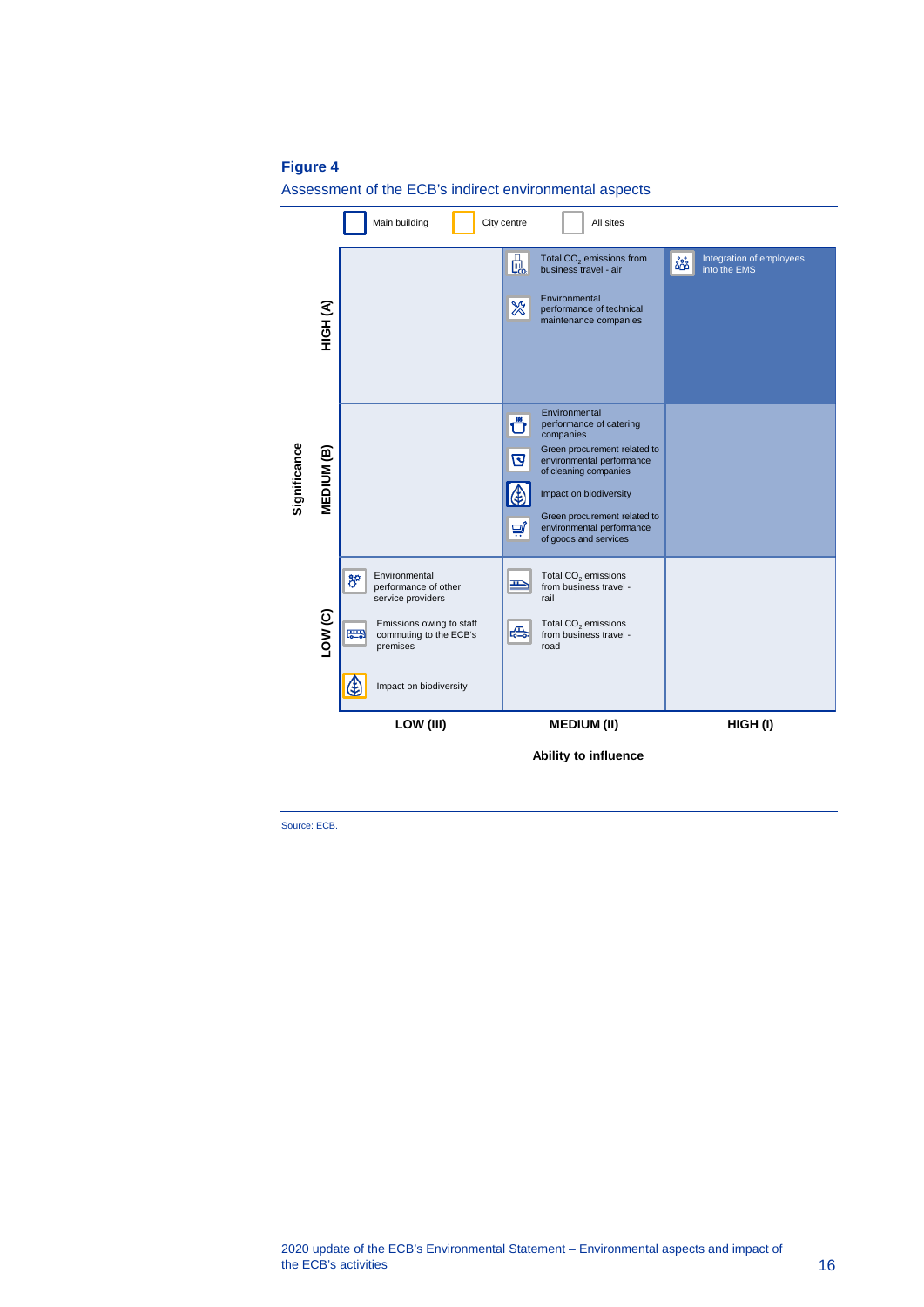#### **Figure 4**

Ξ

Assessment of the ECB's indirect environmental aspects

|                                                                | Ë  | Green procurement related to<br>environmental performance<br>of goods and services |                      |         |
|----------------------------------------------------------------|----|------------------------------------------------------------------------------------|----------------------|---------|
| Environmental<br>performance of other<br>service providers     | ≞  | Total CO <sub>2</sub> emissions<br>from business travel -<br>rail                  |                      |         |
| Emissions owing to staff<br>commuting to the ECB's<br>premises | ÆЫ | Total $CO2$ emissions<br>from business travel -<br>road                            |                      |         |
| Impact on biodiversity                                         |    |                                                                                    |                      |         |
| LOW (III)                                                      |    | <b>MEDIUM (II)</b>                                                                 |                      | HIGH(I) |
| 體                                                              |    |                                                                                    | Ability to influence |         |

Source: ECB.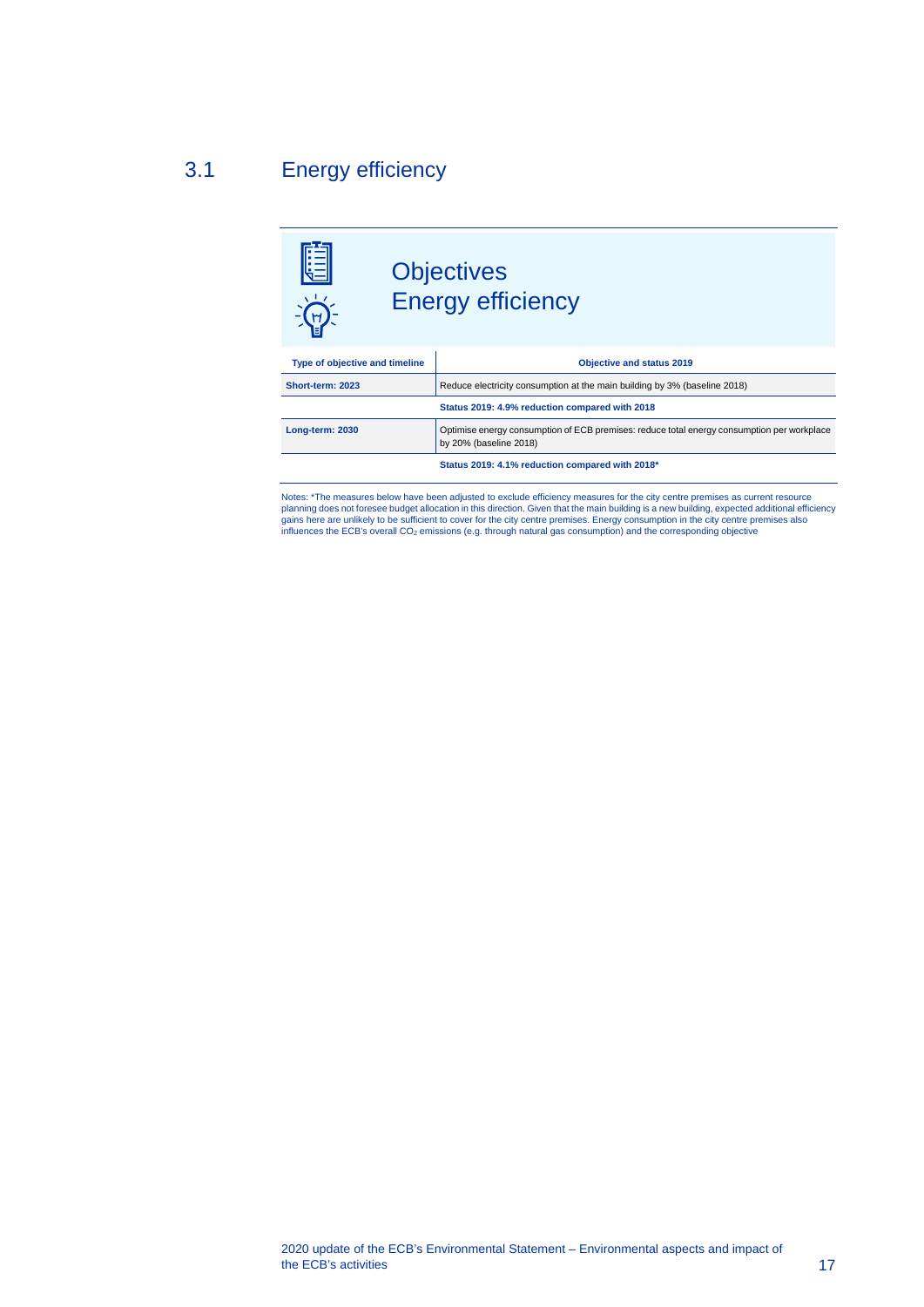## 3.1 Energy efficiency

<span id="page-17-0"></span>

Notes: \*The measures below have been adjusted to exclude efficiency measures for the city centre premises as current resource planning does not foresee budget allocation in this direction. Given that the main building is a new building, expected additional efficiency<br>gains here are unlikely to be sufficient to cover for the city centre premises. influences the ECB's overall CO<sub>2</sub> emissions (e.g. through natural gas consumption) and the corresponding objective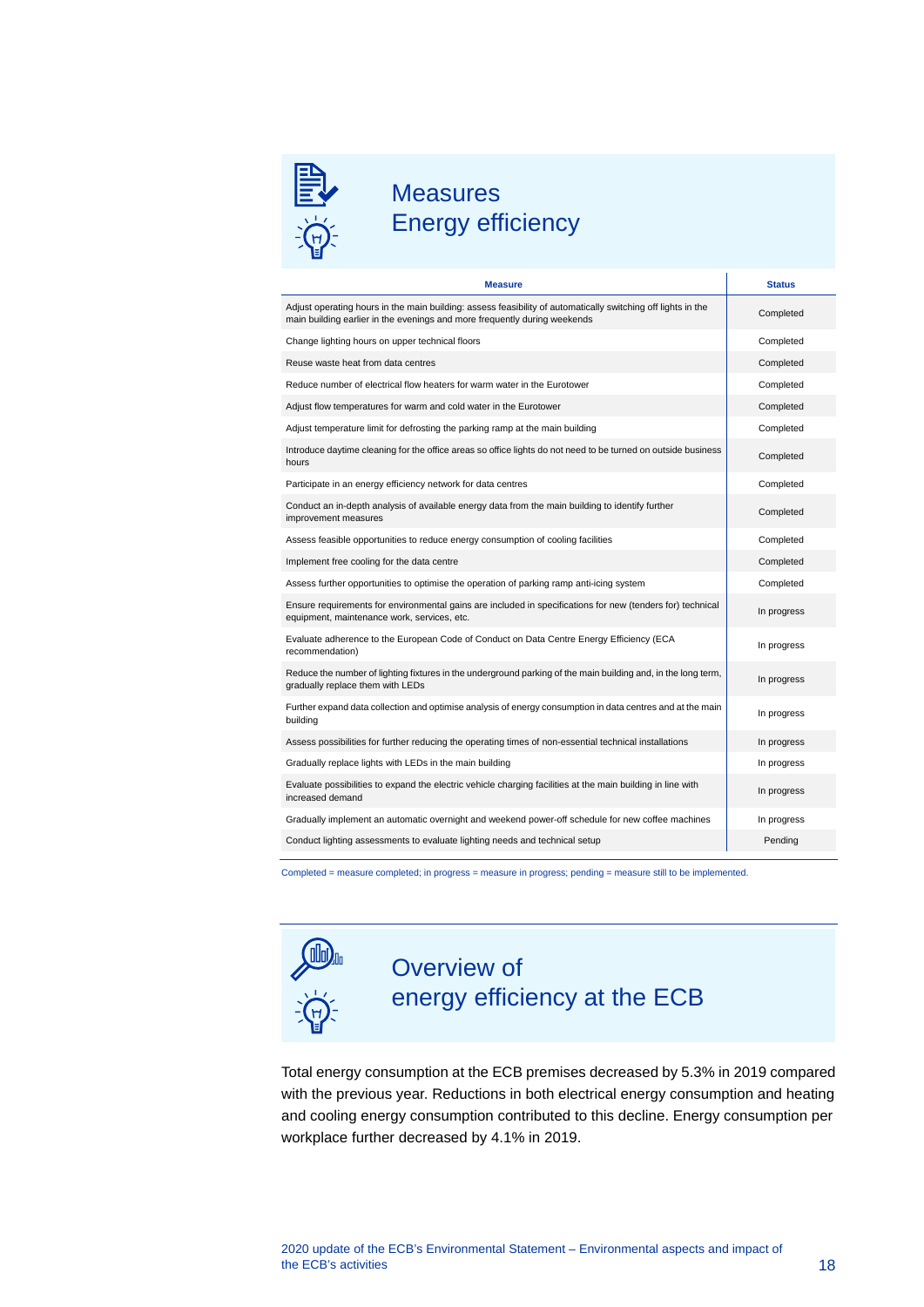

## **Measures** Energy efficiency

| <b>Measure</b>                                                                                                                                                                            | <b>Status</b> |
|-------------------------------------------------------------------------------------------------------------------------------------------------------------------------------------------|---------------|
| Adjust operating hours in the main building: assess feasibility of automatically switching off lights in the<br>main building earlier in the evenings and more frequently during weekends | Completed     |
| Change lighting hours on upper technical floors                                                                                                                                           | Completed     |
| Reuse waste heat from data centres                                                                                                                                                        | Completed     |
| Reduce number of electrical flow heaters for warm water in the Eurotower                                                                                                                  | Completed     |
| Adjust flow temperatures for warm and cold water in the Eurotower                                                                                                                         | Completed     |
| Adjust temperature limit for defrosting the parking ramp at the main building                                                                                                             | Completed     |
| Introduce daytime cleaning for the office areas so office lights do not need to be turned on outside business<br>hours                                                                    | Completed     |
| Participate in an energy efficiency network for data centres                                                                                                                              | Completed     |
| Conduct an in-depth analysis of available energy data from the main building to identify further<br>improvement measures                                                                  | Completed     |
| Assess feasible opportunities to reduce energy consumption of cooling facilities                                                                                                          | Completed     |
| Implement free cooling for the data centre                                                                                                                                                | Completed     |
| Assess further opportunities to optimise the operation of parking ramp anti-icing system                                                                                                  | Completed     |
| Ensure requirements for environmental gains are included in specifications for new (tenders for) technical<br>equipment, maintenance work, services, etc.                                 | In progress   |
| Evaluate adherence to the European Code of Conduct on Data Centre Energy Efficiency (ECA<br>recommendation)                                                                               | In progress   |
| Reduce the number of lighting fixtures in the underground parking of the main building and, in the long term,<br>gradually replace them with LEDs                                         | In progress   |
| Further expand data collection and optimise analysis of energy consumption in data centres and at the main<br>building                                                                    | In progress   |
| Assess possibilities for further reducing the operating times of non-essential technical installations                                                                                    | In progress   |
| Gradually replace lights with LEDs in the main building                                                                                                                                   | In progress   |
| Evaluate possibilities to expand the electric vehicle charging facilities at the main building in line with<br>increased demand                                                           | In progress   |
| Gradually implement an automatic overnight and weekend power-off schedule for new coffee machines                                                                                         | In progress   |
| Conduct lighting assessments to evaluate lighting needs and technical setup                                                                                                               | Pending       |

Completed = measure completed; in progress = measure in progress; pending = measure still to be implemented.



## Overview of energy efficiency at the ECB

Total energy consumption at the ECB premises decreased by 5.3% in 2019 compared with the previous year. Reductions in both electrical energy consumption and heating and cooling energy consumption contributed to this decline. Energy consumption per workplace further decreased by 4.1% in 2019.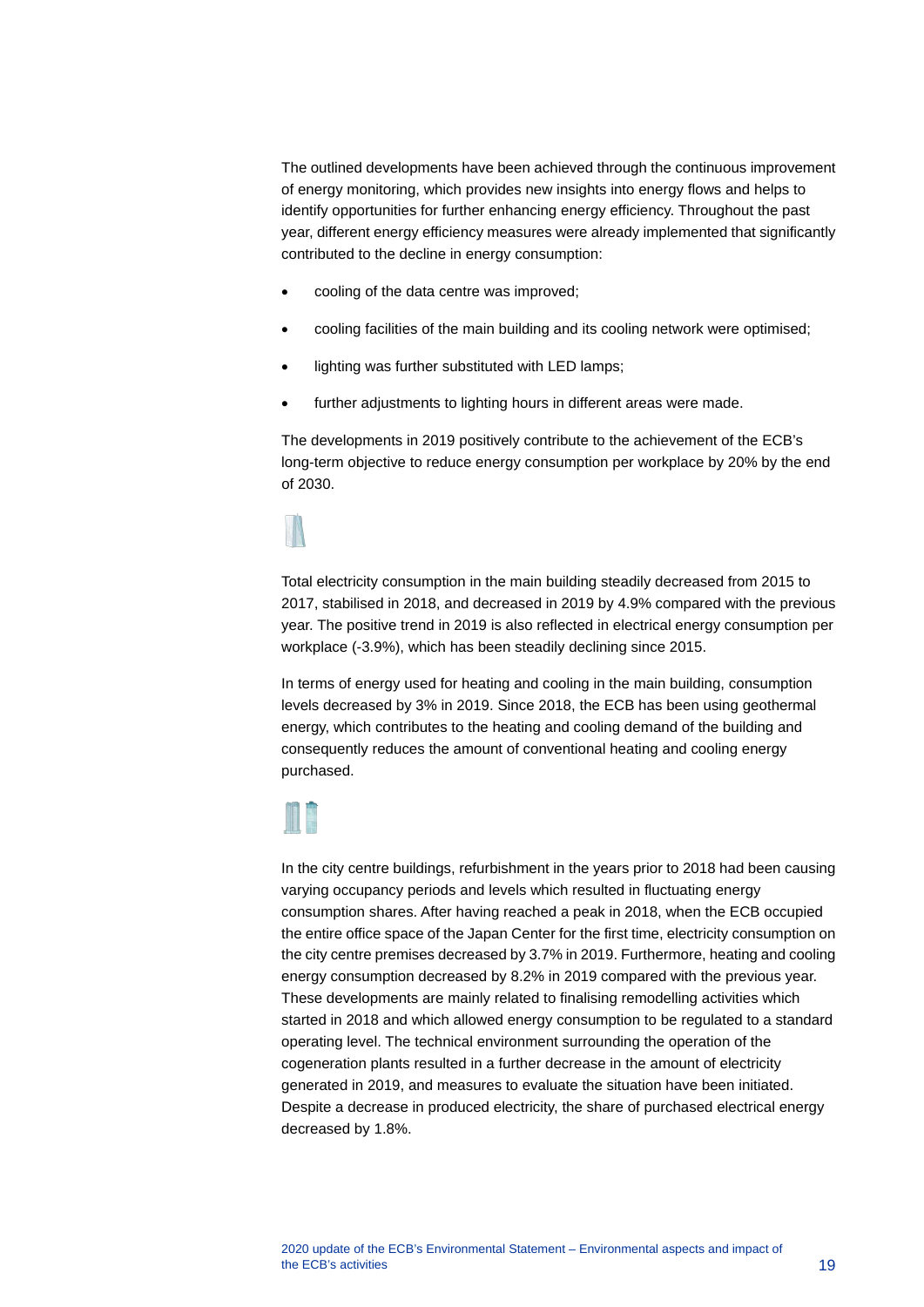The outlined developments have been achieved through the continuous improvement of energy monitoring, which provides new insights into energy flows and helps to identify opportunities for further enhancing energy efficiency. Throughout the past year, different energy efficiency measures were already implemented that significantly contributed to the decline in energy consumption:

- cooling of the data centre was improved;
- cooling facilities of the main building and its cooling network were optimised;
- lighting was further substituted with LED lamps;
- further adjustments to lighting hours in different areas were made.

The developments in 2019 positively contribute to the achievement of the ECB's long-term objective to reduce energy consumption per workplace by 20% by the end of 2030.

Total electricity consumption in the main building steadily decreased from 2015 to 2017, stabilised in 2018, and decreased in 2019 by 4.9% compared with the previous year. The positive trend in 2019 is also reflected in electrical energy consumption per workplace (-3.9%), which has been steadily declining since 2015.

In terms of energy used for heating and cooling in the main building, consumption levels decreased by 3% in 2019. Since 2018, the ECB has been using geothermal energy, which contributes to the heating and cooling demand of the building and consequently reduces the amount of conventional heating and cooling energy purchased.



In the city centre buildings, refurbishment in the years prior to 2018 had been causing varying occupancy periods and levels which resulted in fluctuating energy consumption shares. After having reached a peak in 2018, when the ECB occupied the entire office space of the Japan Center for the first time, electricity consumption on the city centre premises decreased by 3.7% in 2019. Furthermore, heating and cooling energy consumption decreased by 8.2% in 2019 compared with the previous year. These developments are mainly related to finalising remodelling activities which started in 2018 and which allowed energy consumption to be regulated to a standard operating level. The technical environment surrounding the operation of the cogeneration plants resulted in a further decrease in the amount of electricity generated in 2019, and measures to evaluate the situation have been initiated. Despite a decrease in produced electricity, the share of purchased electrical energy decreased by 1.8%.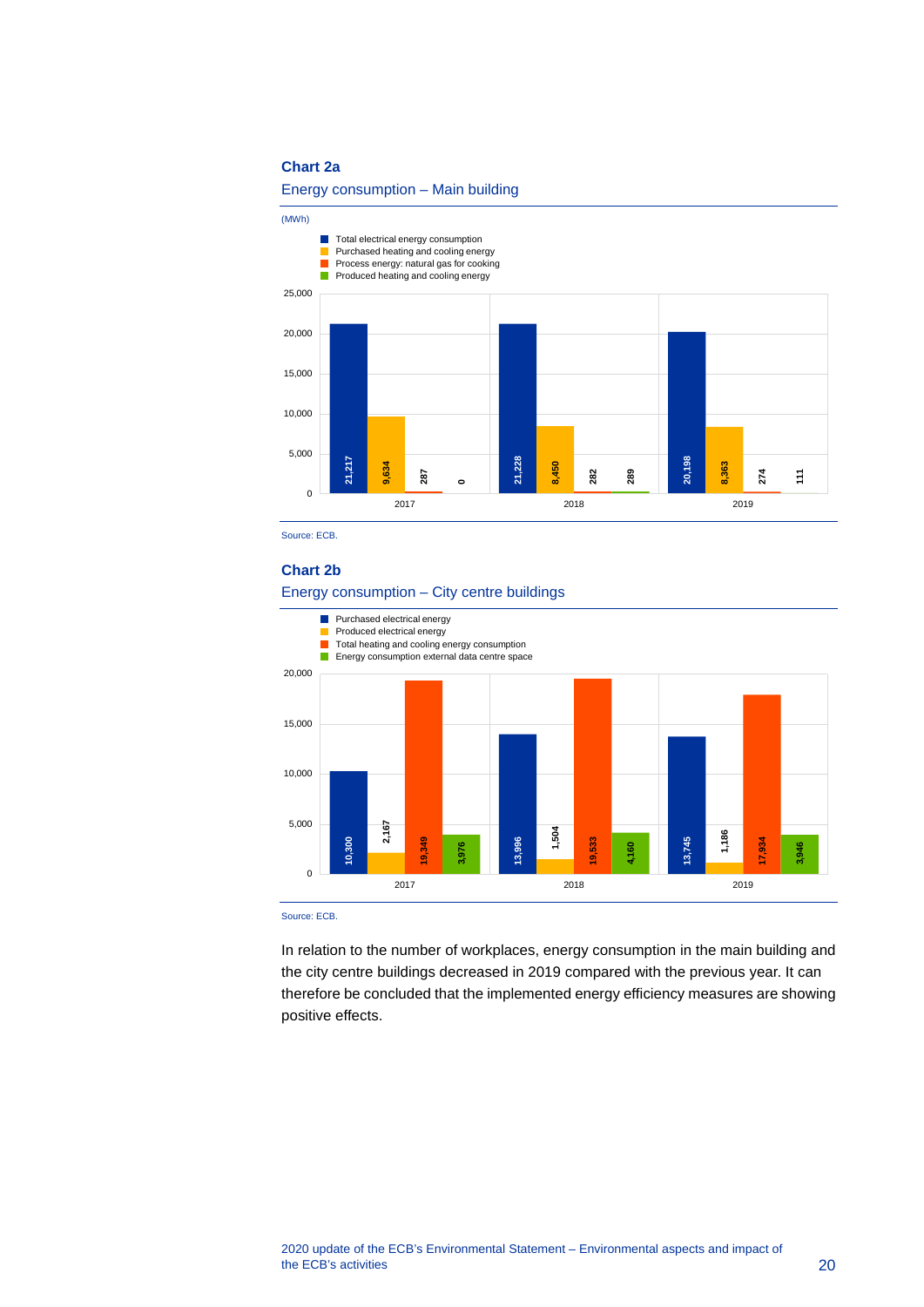#### **Chart 2a**

#### Energy consumption – Main building



Source: ECB.

#### **Chart 2b**



Source: ECB.

In relation to the number of workplaces, energy consumption in the main building and the city centre buildings decreased in 2019 compared with the previous year. It can therefore be concluded that the implemented energy efficiency measures are showing positive effects.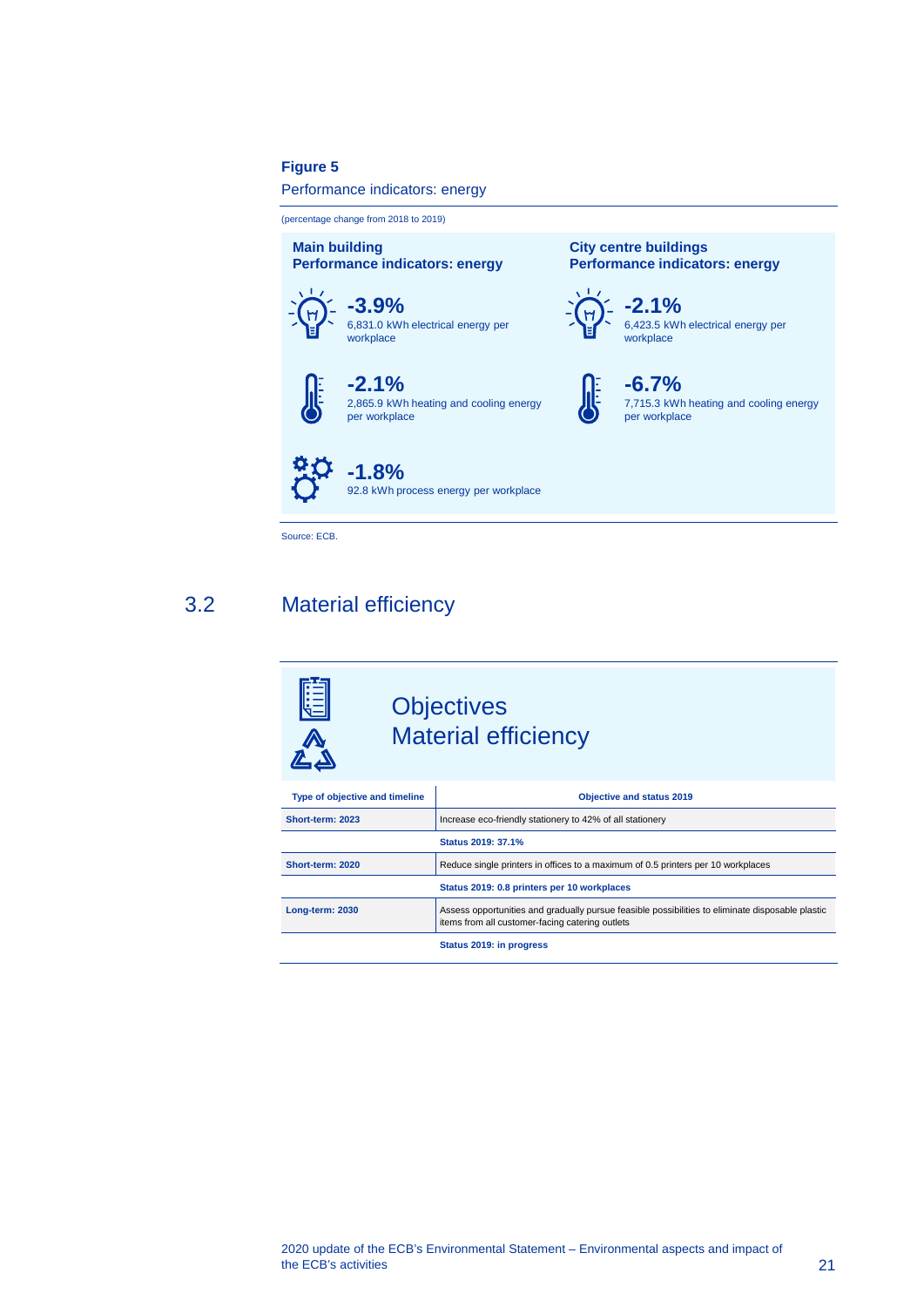#### **Figure 5**

#### Performance indicators: energy

(percentage change from 2018 to 2019)

**Main building Performance indicators: energy**





**-2.1%** 2,865.9 kWh heating and cooling energy per workplace

**-1.8%** 92.8 kWh process energy per workplace

<span id="page-21-0"></span>Source: ECB.

## 3.2 Material efficiency

## **Objectives** Material efficiency

| Type of objective and timeline | <b>Objective and status 2019</b>                                                                                                                    |
|--------------------------------|-----------------------------------------------------------------------------------------------------------------------------------------------------|
| Short-term: 2023               | Increase eco-friendly stationery to 42% of all stationery                                                                                           |
|                                | Status 2019: 37.1%                                                                                                                                  |
| Short-term: 2020               | Reduce single printers in offices to a maximum of 0.5 printers per 10 workplaces                                                                    |
|                                | Status 2019: 0.8 printers per 10 workplaces                                                                                                         |
| Long-term: 2030                | Assess opportunities and gradually pursue feasible possibilities to eliminate disposable plastic<br>items from all customer-facing catering outlets |
|                                | Status 2019: in progress                                                                                                                            |

**City centre buildings**

 $H$ 

**-2.1%**

workplace

**-6.7%**

per workplace

**Performance indicators: energy**

6,423.5 kWh electrical energy per

7,715.3 kWh heating and cooling energy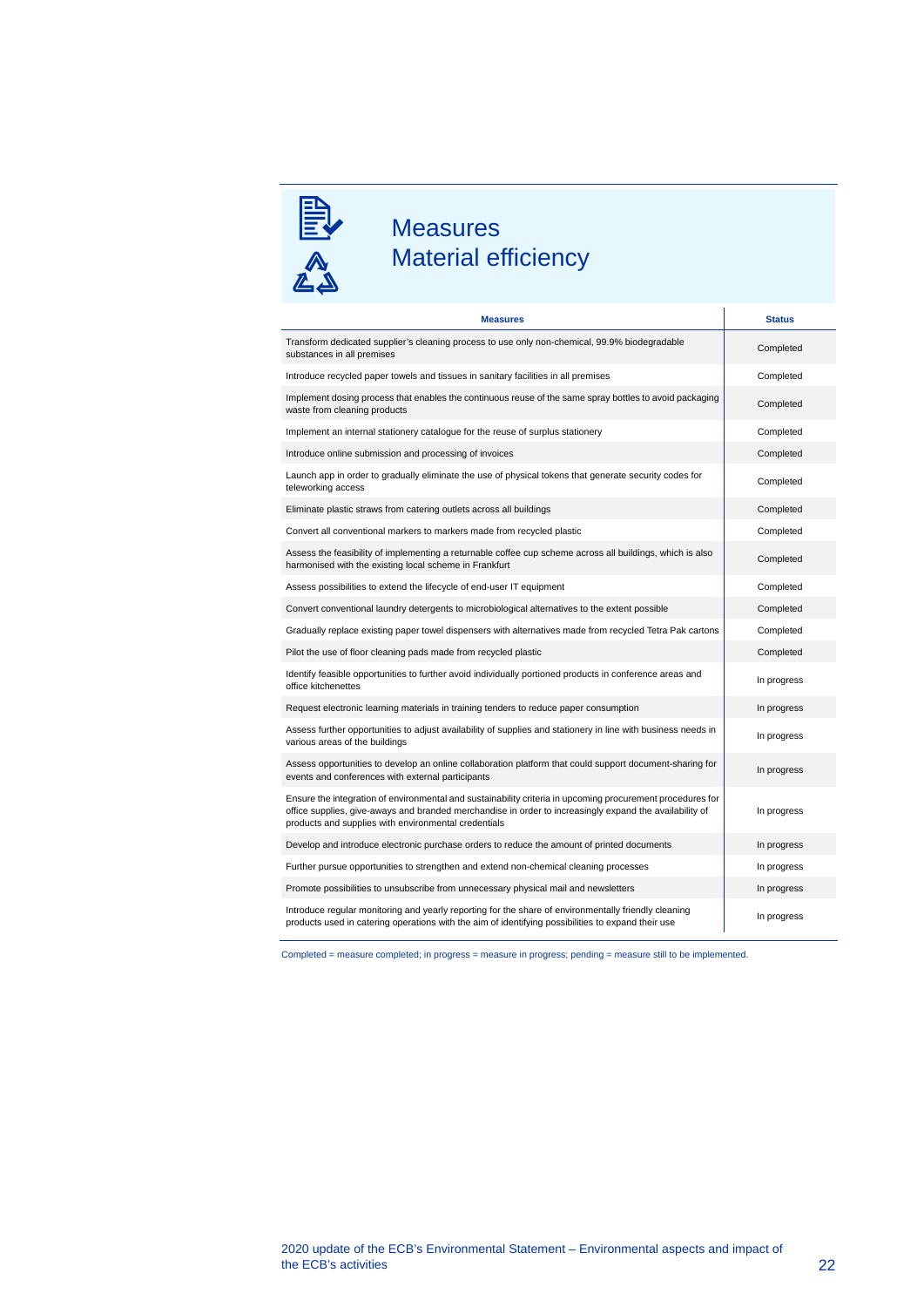

## Measures Material efficiency

| <b>Measures</b>                                                                                                                                                                                                                                                               | <b>Status</b> |
|-------------------------------------------------------------------------------------------------------------------------------------------------------------------------------------------------------------------------------------------------------------------------------|---------------|
| Transform dedicated supplier's cleaning process to use only non-chemical, 99.9% biodegradable<br>substances in all premises                                                                                                                                                   | Completed     |
| Introduce recycled paper towels and tissues in sanitary facilities in all premises                                                                                                                                                                                            | Completed     |
| Implement dosing process that enables the continuous reuse of the same spray bottles to avoid packaging<br>waste from cleaning products                                                                                                                                       | Completed     |
| Implement an internal stationery catalogue for the reuse of surplus stationery                                                                                                                                                                                                | Completed     |
| Introduce online submission and processing of invoices                                                                                                                                                                                                                        | Completed     |
| Launch app in order to gradually eliminate the use of physical tokens that generate security codes for<br>teleworking access                                                                                                                                                  | Completed     |
| Eliminate plastic straws from catering outlets across all buildings                                                                                                                                                                                                           | Completed     |
| Convert all conventional markers to markers made from recycled plastic                                                                                                                                                                                                        | Completed     |
| Assess the feasibility of implementing a returnable coffee cup scheme across all buildings, which is also<br>harmonised with the existing local scheme in Frankfurt                                                                                                           | Completed     |
| Assess possibilities to extend the lifecycle of end-user IT equipment                                                                                                                                                                                                         | Completed     |
| Convert conventional laundry detergents to microbiological alternatives to the extent possible                                                                                                                                                                                | Completed     |
| Gradually replace existing paper towel dispensers with alternatives made from recycled Tetra Pak cartons                                                                                                                                                                      | Completed     |
| Pilot the use of floor cleaning pads made from recycled plastic                                                                                                                                                                                                               | Completed     |
| Identify feasible opportunities to further avoid individually portioned products in conference areas and<br>office kitchenettes                                                                                                                                               | In progress   |
| Request electronic learning materials in training tenders to reduce paper consumption                                                                                                                                                                                         | In progress   |
| Assess further opportunities to adjust availability of supplies and stationery in line with business needs in<br>various areas of the buildings                                                                                                                               | In progress   |
| Assess opportunities to develop an online collaboration platform that could support document-sharing for<br>events and conferences with external participants                                                                                                                 | In progress   |
| Ensure the integration of environmental and sustainability criteria in upcoming procurement procedures for<br>office supplies, give-aways and branded merchandise in order to increasingly expand the availability of<br>products and supplies with environmental credentials | In progress   |
| Develop and introduce electronic purchase orders to reduce the amount of printed documents                                                                                                                                                                                    | In progress   |
| Further pursue opportunities to strengthen and extend non-chemical cleaning processes                                                                                                                                                                                         | In progress   |
| Promote possibilities to unsubscribe from unnecessary physical mail and newsletters                                                                                                                                                                                           | In progress   |
| Introduce regular monitoring and yearly reporting for the share of environmentally friendly cleaning<br>products used in catering operations with the aim of identifying possibilities to expand their use                                                                    | In progress   |

Completed = measure completed; in progress = measure in progress; pending = measure still to be implemented.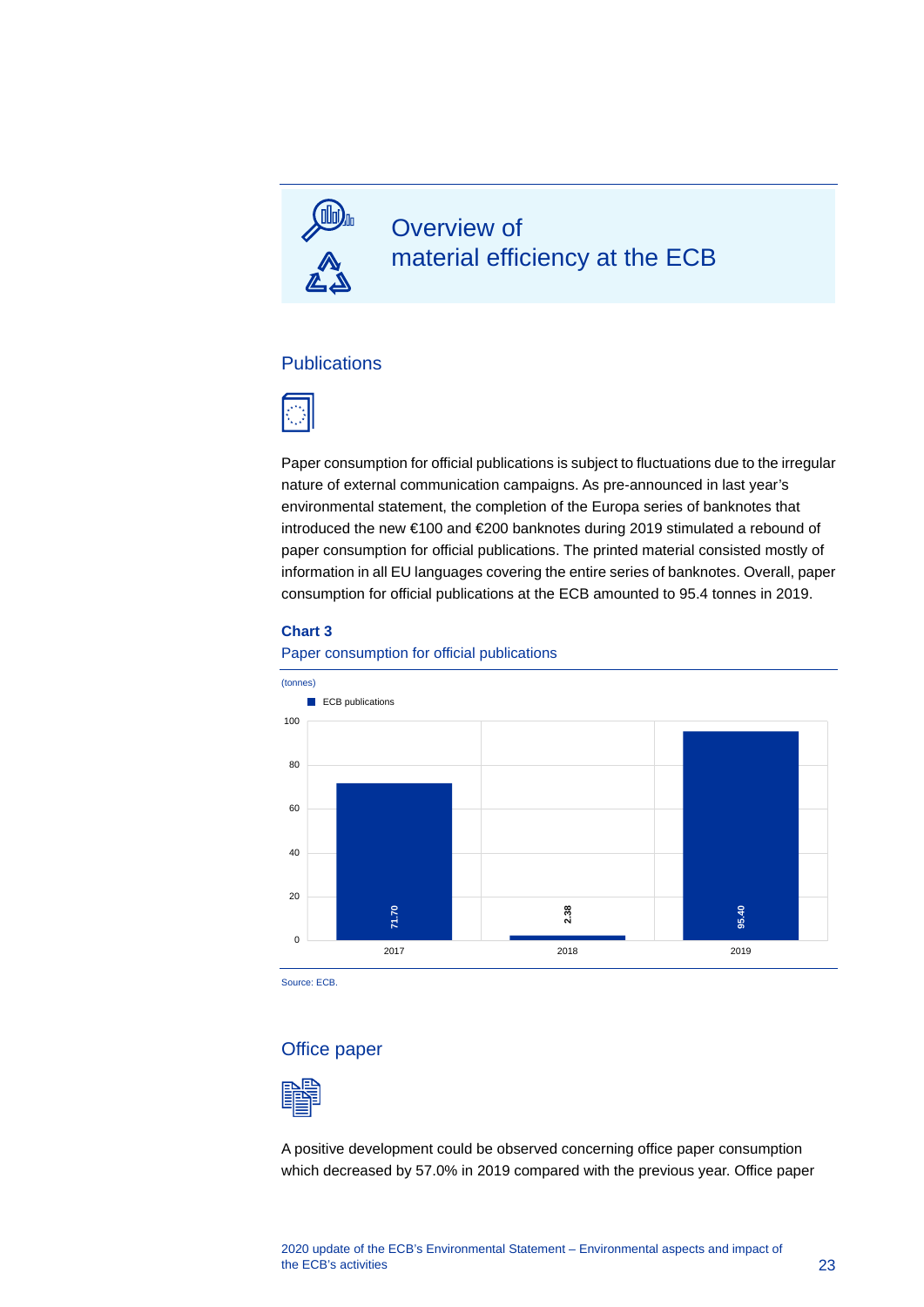

## Overview of material efficiency at the ECB

#### **Publications**



Paper consumption for official publications is subject to fluctuations due to the irregular nature of external communication campaigns. As pre-announced in last year's environmental statement, the completion of the Europa series of banknotes that introduced the new €100 and €200 banknotes during 2019 stimulated a rebound of paper consumption for official publications. The printed material consisted mostly of information in all EU languages covering the entire series of banknotes. Overall, paper consumption for official publications at the ECB amounted to 95.4 tonnes in 2019.

#### **Chart 3**





Source: ECB.

#### Office paper



A positive development could be observed concerning office paper consumption which decreased by 57.0% in 2019 compared with the previous year. Office paper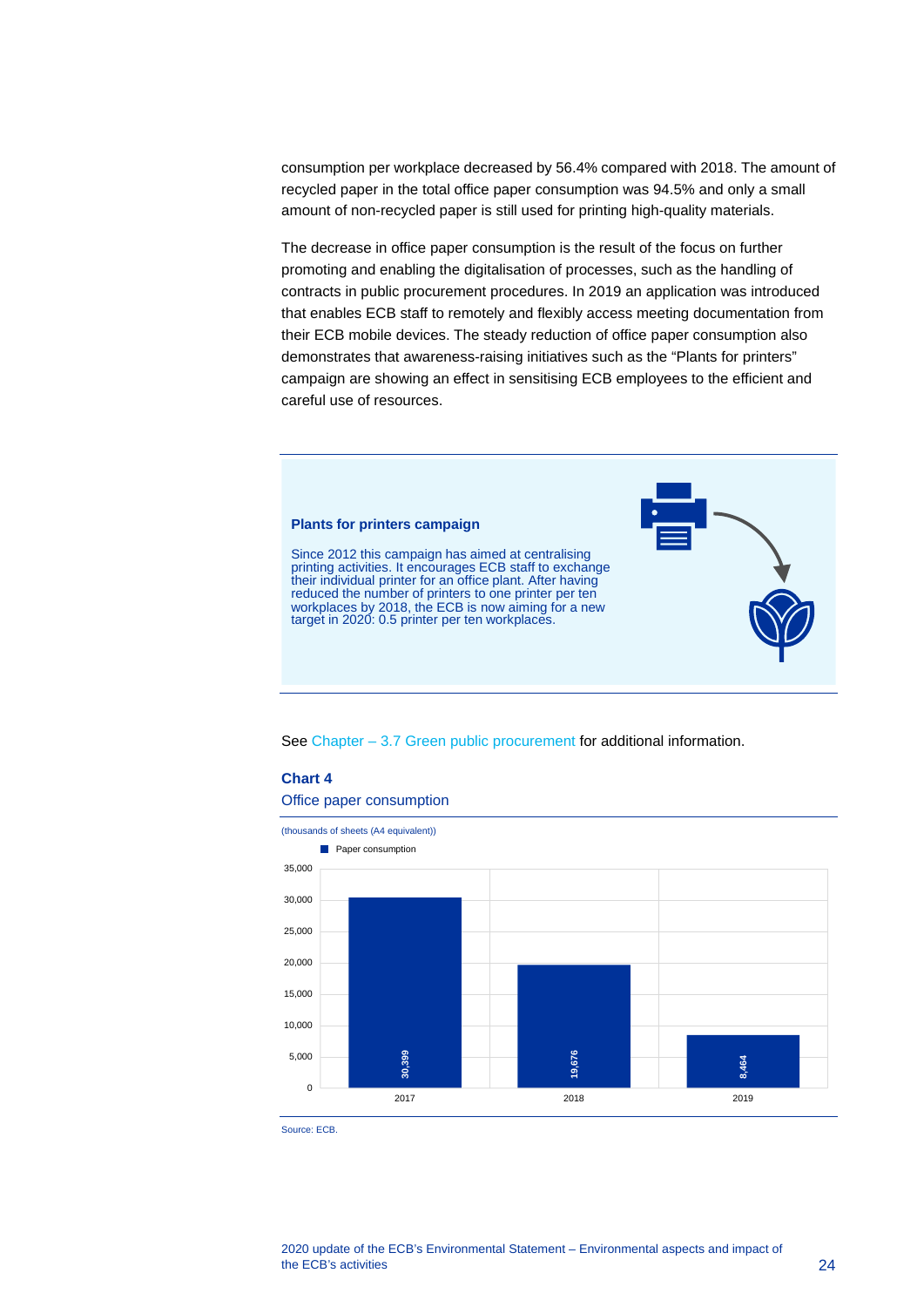consumption per workplace decreased by 56.4% compared with 2018. The amount of recycled paper in the total office paper consumption was 94.5% and only a small amount of non-recycled paper is still used for printing high-quality materials.

The decrease in office paper consumption is the result of the focus on further promoting and enabling the digitalisation of processes, such as the handling of contracts in public procurement procedures. In 2019 an application was introduced that enables ECB staff to remotely and flexibly access meeting documentation from their ECB mobile devices. The steady reduction of office paper consumption also demonstrates that awareness-raising initiatives such as the "Plants for printers" campaign are showing an effect in sensitising ECB employees to the efficient and careful use of resources.



See Chapter – 3.7 [Green public procurement](#page-38-0) for additional information.

#### **Chart 4**

Office paper consumption



Source: ECB.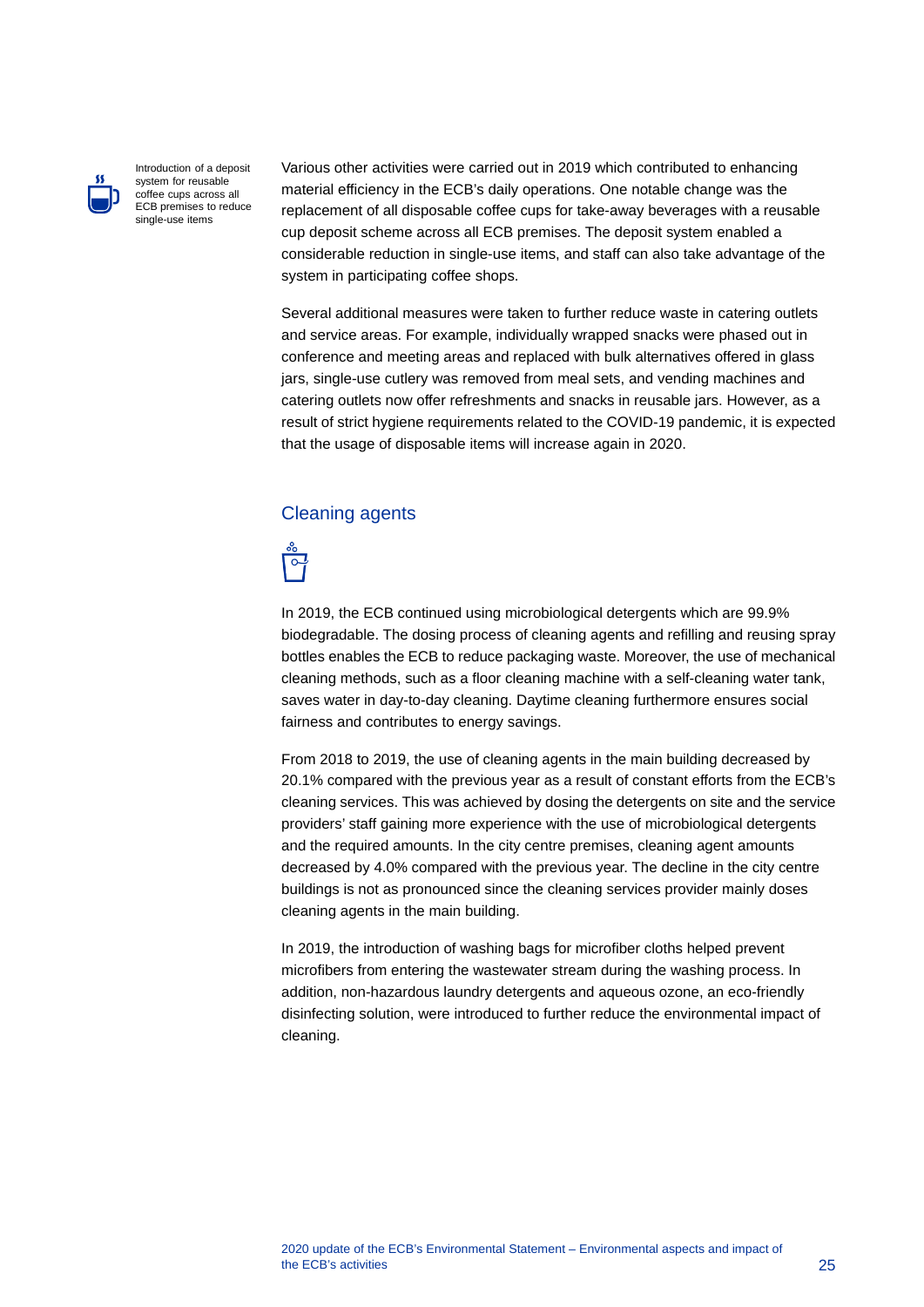

Introduction of a deposit system for reusable coffee cups across all ECB premises to reduce single-use items

Various other activities were carried out in 2019 which contributed to enhancing material efficiency in the ECB's daily operations. One notable change was the replacement of all disposable coffee cups for take-away beverages with a reusable cup deposit scheme across all ECB premises. The deposit system enabled a considerable reduction in single-use items, and staff can also take advantage of the system in participating coffee shops.

Several additional measures were taken to further reduce waste in catering outlets and service areas. For example, individually wrapped snacks were phased out in conference and meeting areas and replaced with bulk alternatives offered in glass jars, single-use cutlery was removed from meal sets, and vending machines and catering outlets now offer refreshments and snacks in reusable jars. However, as a result of strict hygiene requirements related to the COVID-19 pandemic, it is expected that the usage of disposable items will increase again in 2020.

#### Cleaning agents



In 2019, the ECB continued using microbiological detergents which are 99.9% biodegradable. The dosing process of cleaning agents and refilling and reusing spray bottles enables the ECB to reduce packaging waste. Moreover, the use of mechanical cleaning methods, such as a floor cleaning machine with a self-cleaning water tank, saves water in day-to-day cleaning. Daytime cleaning furthermore ensures social fairness and contributes to energy savings.

From 2018 to 2019, the use of cleaning agents in the main building decreased by 20.1% compared with the previous year as a result of constant efforts from the ECB's cleaning services. This was achieved by dosing the detergents on site and the service providers' staff gaining more experience with the use of microbiological detergents and the required amounts. In the city centre premises, cleaning agent amounts decreased by 4.0% compared with the previous year. The decline in the city centre buildings is not as pronounced since the cleaning services provider mainly doses cleaning agents in the main building.

In 2019, the introduction of washing bags for microfiber cloths helped prevent microfibers from entering the wastewater stream during the washing process. In addition, non-hazardous laundry detergents and aqueous ozone, an eco-friendly disinfecting solution, were introduced to further reduce the environmental impact of cleaning.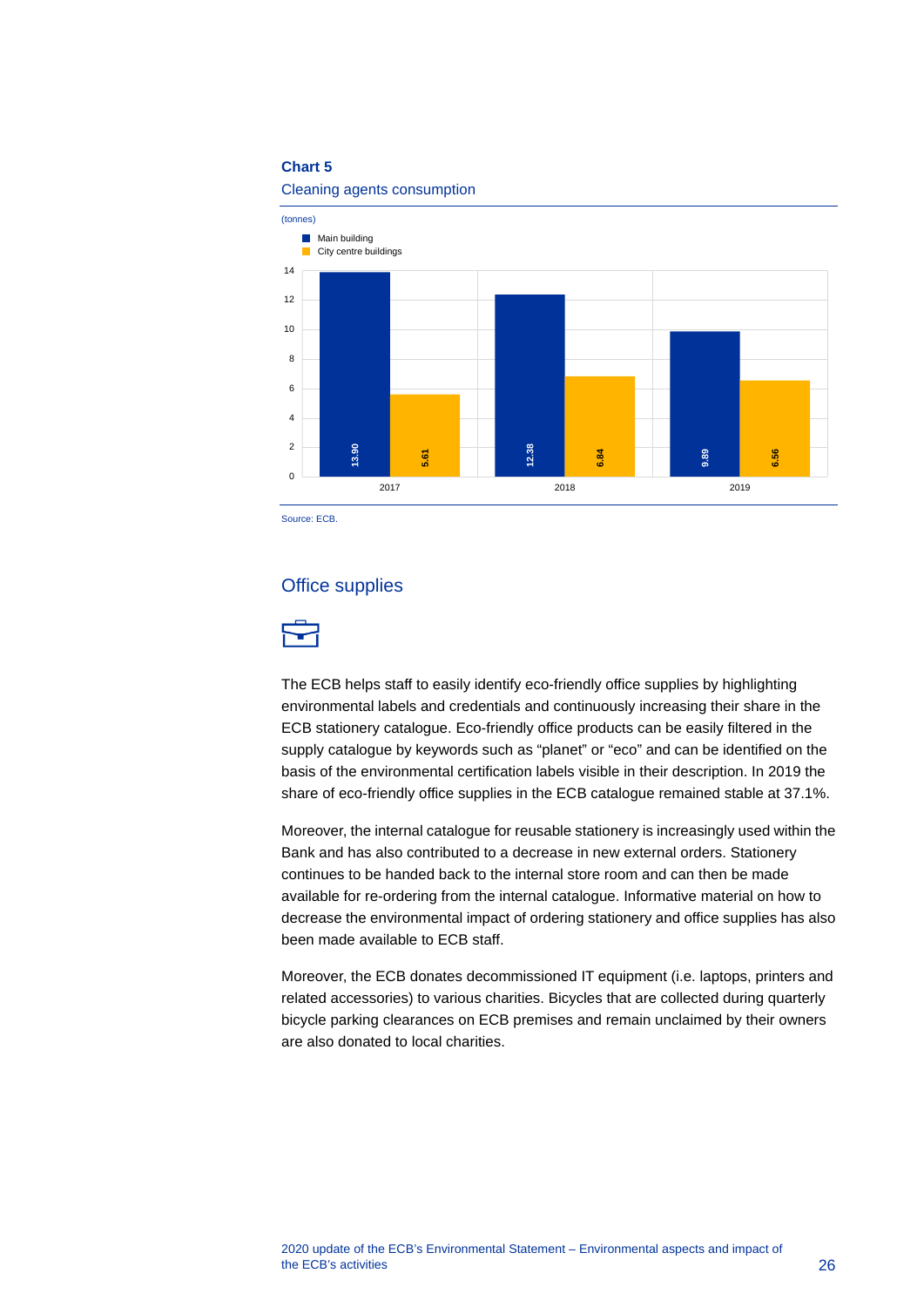#### **Chart 5**

Cleaning agents consumption



Source: ECB.

#### Office supplies



The ECB helps staff to easily identify eco-friendly office supplies by highlighting environmental labels and credentials and continuously increasing their share in the ECB stationery catalogue. Eco-friendly office products can be easily filtered in the supply catalogue by keywords such as "planet" or "eco" and can be identified on the basis of the environmental certification labels visible in their description. In 2019 the share of eco-friendly office supplies in the ECB catalogue remained stable at 37.1%.

Moreover, the internal catalogue for reusable stationery is increasingly used within the Bank and has also contributed to a decrease in new external orders. Stationery continues to be handed back to the internal store room and can then be made available for re-ordering from the internal catalogue. Informative material on how to decrease the environmental impact of ordering stationery and office supplies has also been made available to ECB staff. Example 1<br>
Source: ECB.<br>
Source: ECB.<br> **CFICCE SUPPLIES**<br>
The ECB helps staff to easily ident<br>
environmental labels and credentia<br>
ECB stationery catalogue. Eco-frie<br>
supply catalogue by keywords suce<br>
basis of the environ

Moreover, the ECB donates decommissioned IT equipment (i.e. laptops, printers and related accessories) to various charities. Bicycles that are collected during quarterly bicycle parking clearances on ECB premises and remain unclaimed by their owners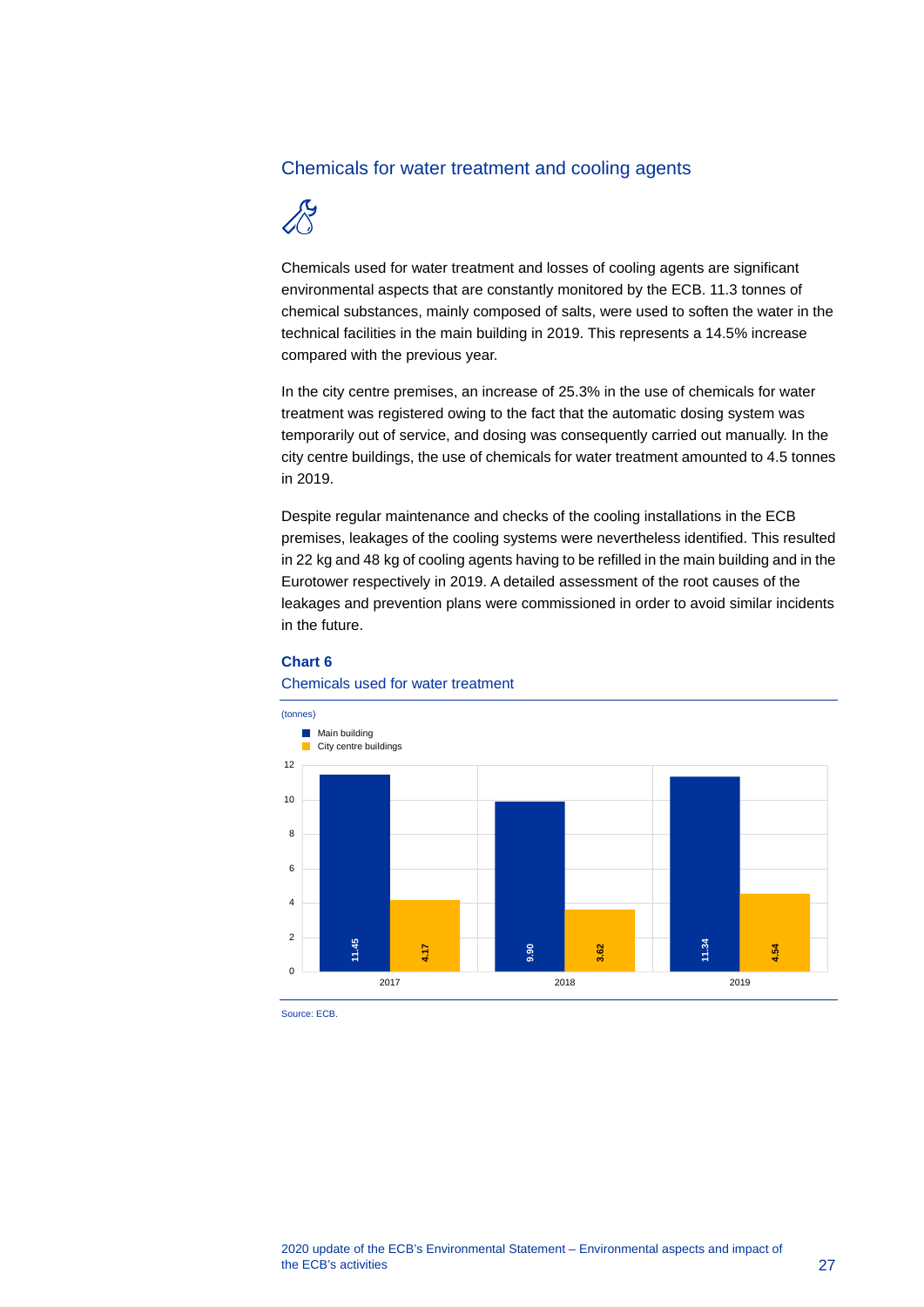#### Chemicals for water treatment and cooling agents



Chemicals used for water treatment and losses of cooling agents are significant environmental aspects that are constantly monitored by the ECB. 11.3 tonnes of chemical substances, mainly composed of salts, were used to soften the water in the technical facilities in the main building in 2019. This represents a 14.5% increase compared with the previous year.

In the city centre premises, an increase of 25.3% in the use of chemicals for water treatment was registered owing to the fact that the automatic dosing system was temporarily out of service, and dosing was consequently carried out manually. In the city centre buildings, the use of chemicals for water treatment amounted to 4.5 tonnes in 2019.

Despite regular maintenance and checks of the cooling installations in the ECB premises, leakages of the cooling systems were nevertheless identified. This resulted in 22 kg and 48 kg of cooling agents having to be refilled in the main building and in the Eurotower respectively in 2019. A detailed assessment of the root causes of the leakages and prevention plans were commissioned in order to avoid similar incidents in the future.



#### **Chart 6**

Source: ECB.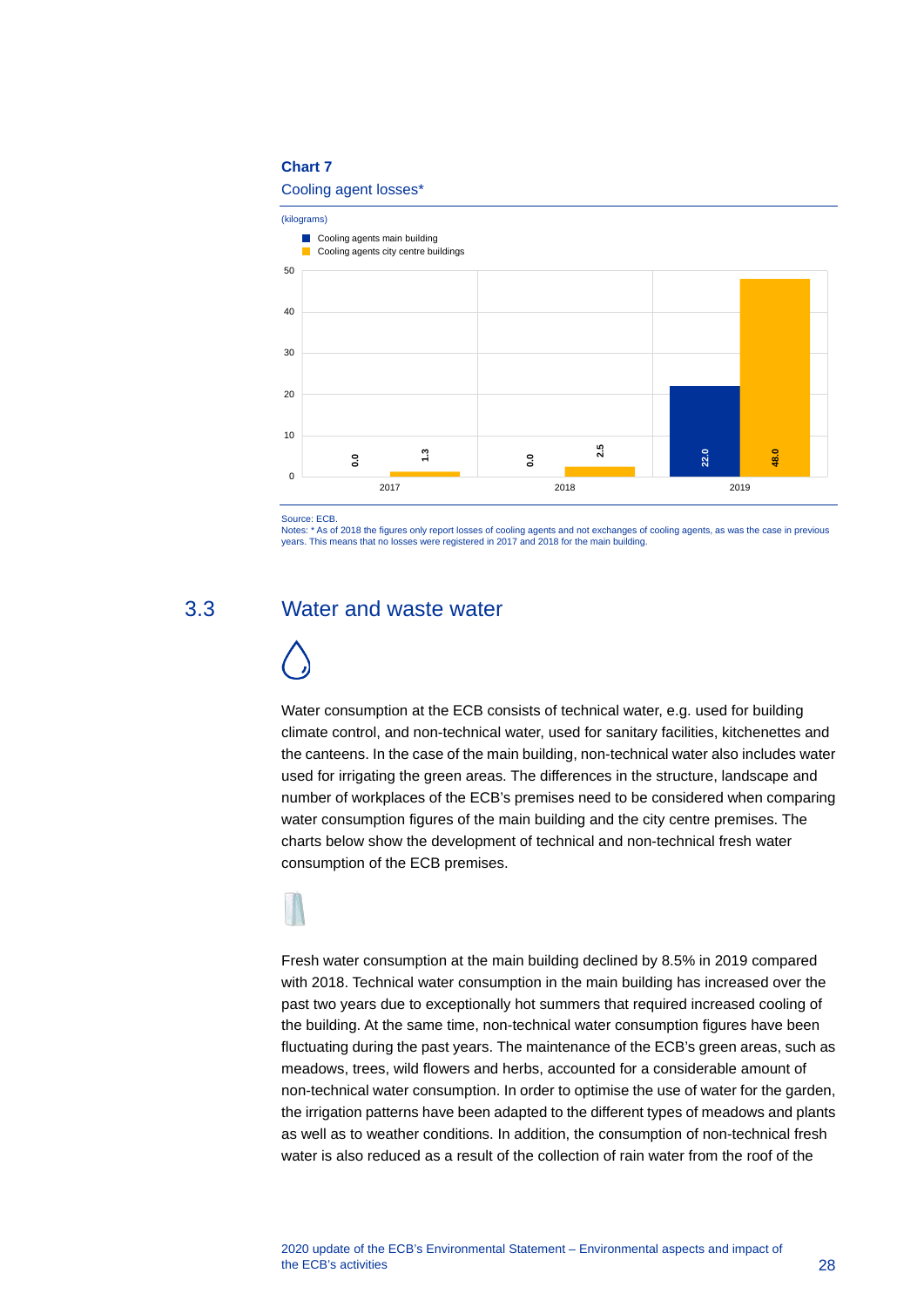#### **Chart 7**

#### Cooling agent losses\*



Source: ECB.

<span id="page-28-0"></span>Notes: \* As of 2018 the figures only report losses of cooling agents and not exchanges of cooling agents, as was the case in previous years. This means that no losses were registered in 2017 and 2018 for the main building.

## 3.3 Water and waste water

Water consumption at the ECB consists of technical water, e.g. used for building climate control, and non-technical water, used for sanitary facilities, kitchenettes and the canteens. In the case of the main building, non-technical water also includes water used for irrigating the green areas. The differences in the structure, landscape and number of workplaces of the ECB's premises need to be considered when comparing water consumption figures of the main building and the city centre premises. The charts below show the development of technical and non-technical fresh water consumption of the ECB premises.

Fresh water consumption at the main building declined by 8.5% in 2019 compared with 2018. Technical water consumption in the main building has increased over the past two years due to exceptionally hot summers that required increased cooling of the building. At the same time, non-technical water consumption figures have been fluctuating during the past years. The maintenance of the ECB's green areas, such as meadows, trees, wild flowers and herbs, accounted for a considerable amount of non-technical water consumption. In order to optimise the use of water for the garden, the irrigation patterns have been adapted to the different types of meadows and plants as well as to weather conditions. In addition, the consumption of non-technical fresh B<br>
Source is CD.<br>
Source is CD.<br>
Source is a region on the collection of the collection of the collection of the collection of the collection of the collection of the collection of the collection of the collection of the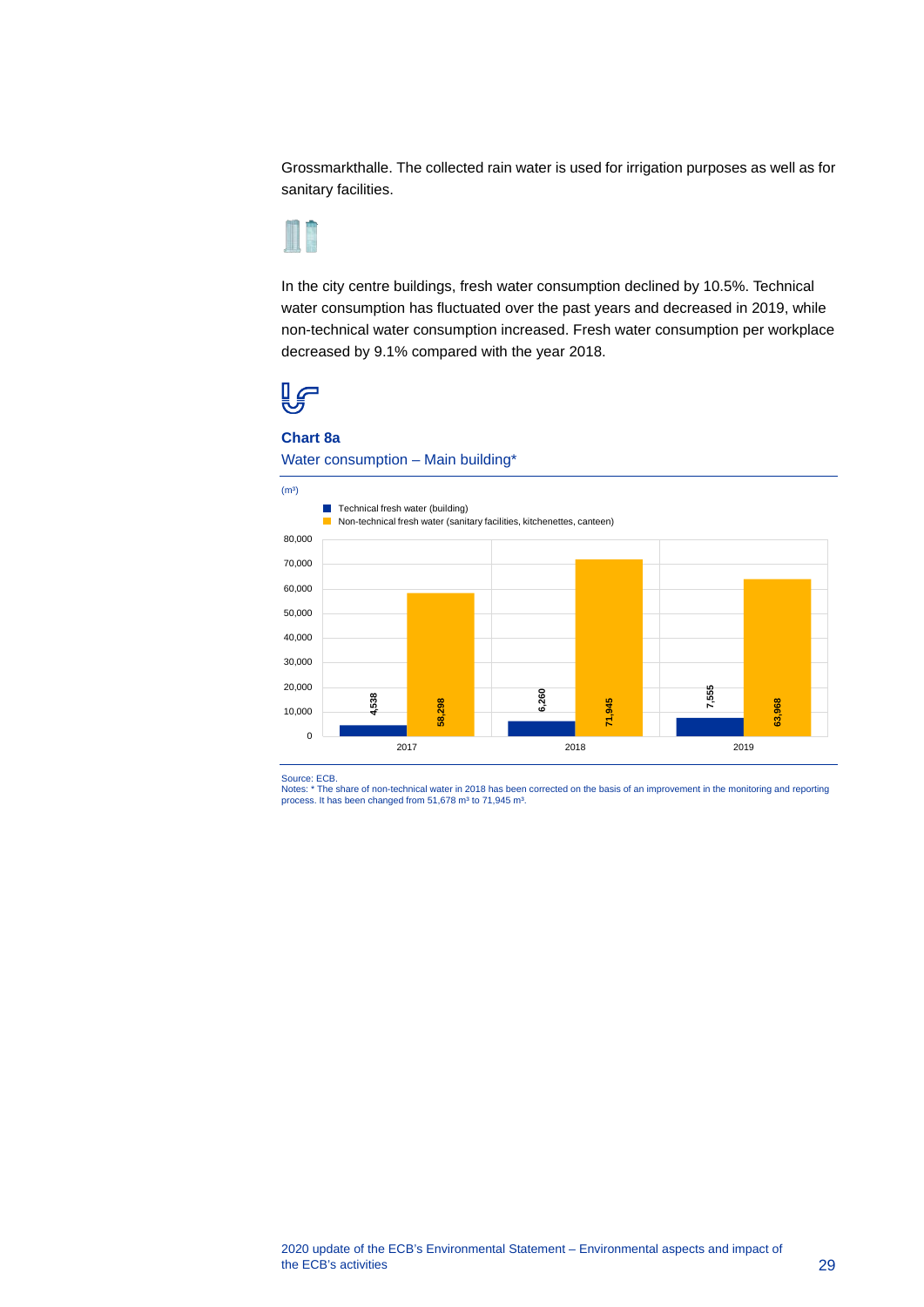Grossmarkthalle. The collected rain water is used for irrigation purposes as well as for sanitary facilities.



In the city centre buildings, fresh water consumption declined by 10.5%. Technical water consumption has fluctuated over the past years and decreased in 2019, while non-technical water consumption increased. Fresh water consumption per workplace decreased by 9.1% compared with the year 2018.



#### **Chart 8a**

Water consumption – Main building\*

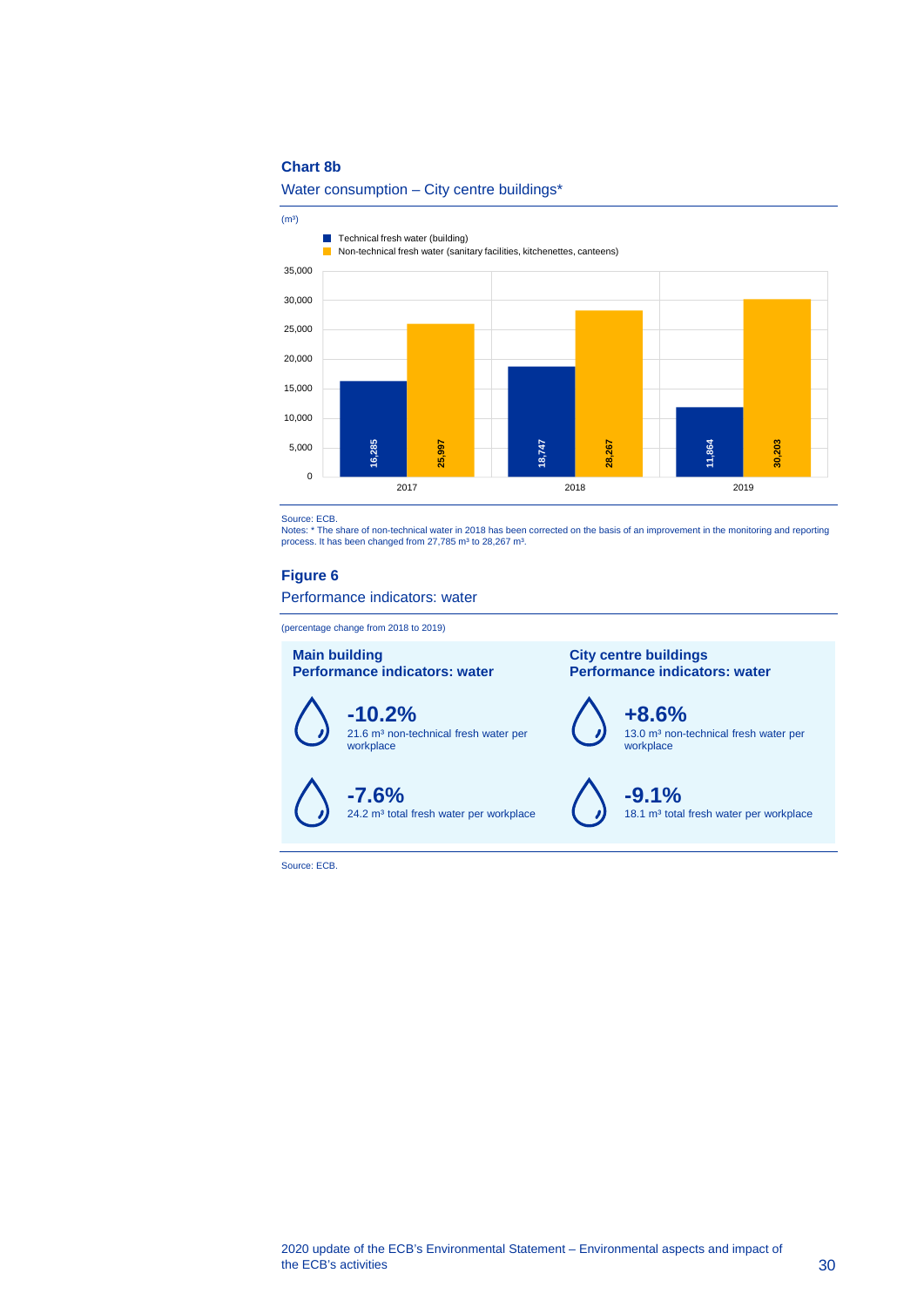#### **Chart 8b**



 $(m<sup>3</sup>)$ 

**Technical fresh water (building) Non-technical fresh water (sanitary facilities, kitchenettes, canteens)** 



Source: ECB.<br>Notes: \* The share of non-technical water in 2018 has been corrected on the basis of an improvement in the monitoring and reporting<br>process. It has been changed from 27,785 mª to 28,267 mª.

#### **Figure 6**

Performance indicators: water

(percentage change from 2018 to 2019)



<span id="page-30-0"></span>Source: ECB.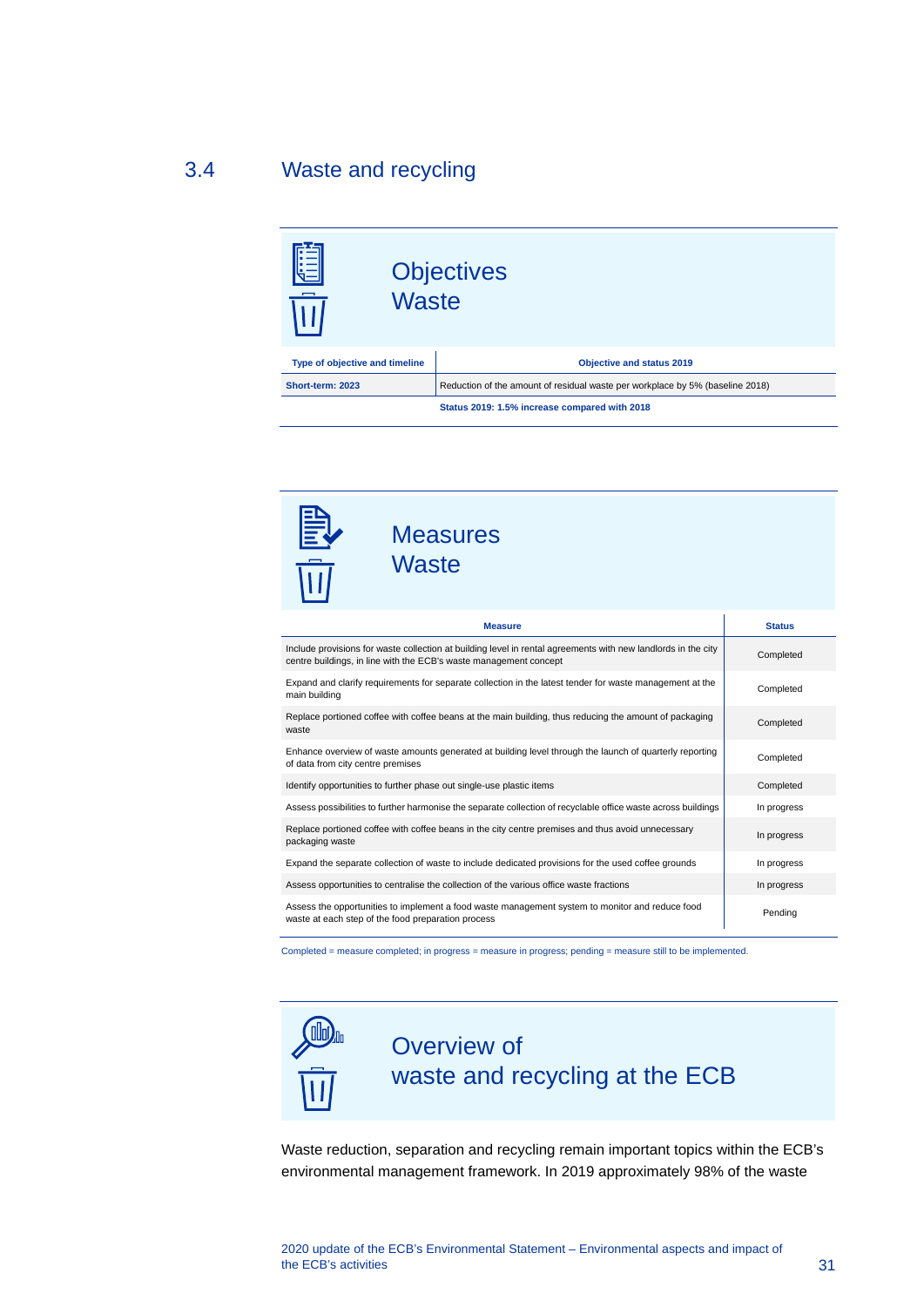## 3.4 Waste and recycling

<span id="page-31-0"></span>

| l⊞<br><b>Waste</b><br>$\overline{\overline{\mathbf{u}}\overline{\mathbf{u}}}$ | <b>Objectives</b>                                                             |  |
|-------------------------------------------------------------------------------|-------------------------------------------------------------------------------|--|
| Type of objective and timeline                                                | <b>Objective and status 2019</b>                                              |  |
| Short-term: 2023                                                              | Reduction of the amount of residual waste per workplace by 5% (baseline 2018) |  |
|                                                                               | Status 2019: 1.5% increase compared with 2018                                 |  |

| <b>Measures</b><br><b>Waste</b>                                                                                                                                                    |               |  |
|------------------------------------------------------------------------------------------------------------------------------------------------------------------------------------|---------------|--|
| <b>Measure</b>                                                                                                                                                                     | <b>Status</b> |  |
| Include provisions for waste collection at building level in rental agreements with new landlords in the city<br>centre buildings, in line with the ECB's waste management concept | Completed     |  |
| Expand and clarify requirements for separate collection in the latest tender for waste management at the<br>main building                                                          | Completed     |  |
| Replace portioned coffee with coffee beans at the main building, thus reducing the amount of packaging<br>waste                                                                    | Completed     |  |
| Enhance overview of waste amounts generated at building level through the launch of quarterly reporting<br>of data from city centre premises                                       | Completed     |  |
| Identify opportunities to further phase out single-use plastic items                                                                                                               | Completed     |  |
| Assess possibilities to further harmonise the separate collection of recyclable office waste across buildings                                                                      | In progress   |  |
| Replace portioned coffee with coffee beans in the city centre premises and thus avoid unnecessary<br>In progress<br>packaging waste                                                |               |  |
| Expand the separate collection of waste to include dedicated provisions for the used coffee grounds                                                                                | In progress   |  |
| Assess opportunities to centralise the collection of the various office waste fractions                                                                                            | In progress   |  |
| Assess the opportunities to implement a food waste management system to monitor and reduce food<br>waste at each step of the food preparation process                              | Pending       |  |

Completed = measure completed; in progress = measure in progress; pending = measure still to be implemented.



Waste reduction, separation and recycling remain important topics within the ECB's environmental management framework. In 2019 approximately 98% of the waste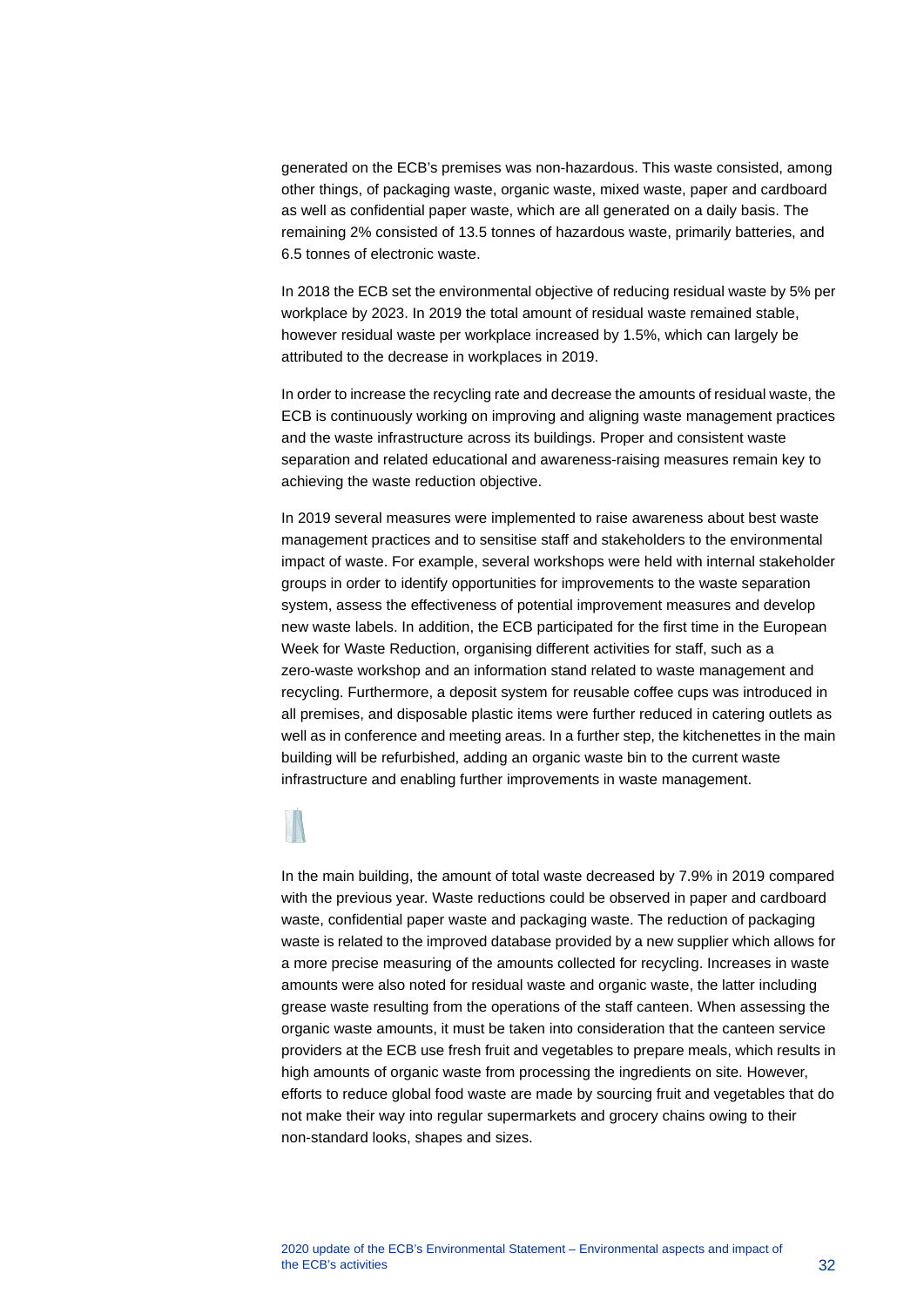generated on the ECB's premises was non-hazardous. This waste consisted, among other things, of packaging waste, organic waste, mixed waste, paper and cardboard as well as confidential paper waste, which are all generated on a daily basis. The remaining 2% consisted of 13.5 tonnes of hazardous waste, primarily batteries, and 6.5 tonnes of electronic waste.

In 2018 the ECB set the environmental objective of reducing residual waste by 5% per workplace by 2023. In 2019 the total amount of residual waste remained stable, however residual waste per workplace increased by 1.5%, which can largely be attributed to the decrease in workplaces in 2019.

In order to increase the recycling rate and decrease the amounts of residual waste, the ECB is continuously working on improving and aligning waste management practices and the waste infrastructure across its buildings. Proper and consistent waste separation and related educational and awareness-raising measures remain key to achieving the waste reduction objective.

In 2019 several measures were implemented to raise awareness about best waste management practices and to sensitise staff and stakeholders to the environmental impact of waste. For example, several workshops were held with internal stakeholder groups in order to identify opportunities for improvements to the waste separation system, assess the effectiveness of potential improvement measures and develop new waste labels. In addition, the ECB participated for the first time in the European Week for Waste Reduction, organising different activities for staff, such as a zero-waste workshop and an information stand related to waste management and recycling. Furthermore, a deposit system for reusable coffee cups was introduced in all premises, and disposable plastic items were further reduced in catering outlets as well as in conference and meeting areas. In a further step, the kitchenettes in the main building will be refurbished, adding an organic waste bin to the current waste infrastructure and enabling further improvements in waste management.

In the main building, the amount of total waste decreased by 7.9% in 2019 compared with the previous year. Waste reductions could be observed in paper and cardboard waste, confidential paper waste and packaging waste. The reduction of packaging waste is related to the improved database provided by a new supplier which allows for a more precise measuring of the amounts collected for recycling. Increases in waste amounts were also noted for residual waste and organic waste, the latter including grease waste resulting from the operations of the staff canteen. When assessing the organic waste amounts, it must be taken into consideration that the canteen service providers at the ECB use fresh fruit and vegetables to prepare meals, which results in high amounts of organic waste from processing the ingredients on site. However, efforts to reduce global food waste are made by sourcing fruit and vegetables that do not make their way into regular supermarkets and grocery chains owing to their non-standard looks, shapes and sizes.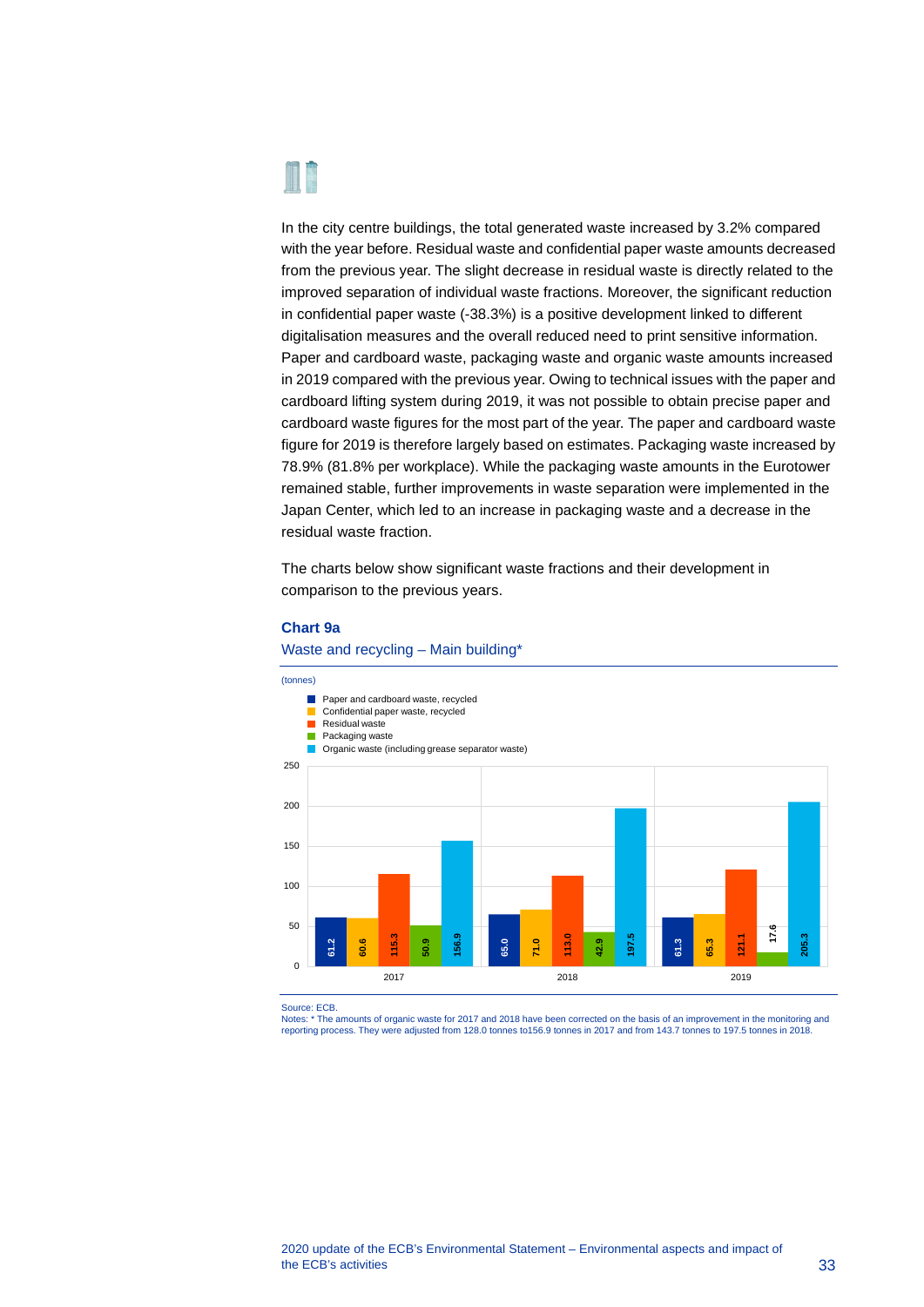

In the city centre buildings, the total generated waste increased by 3.2% compared with the year before. Residual waste and confidential paper waste amounts decreased from the previous year. The slight decrease in residual waste is directly related to the improved separation of individual waste fractions. Moreover, the significant reduction in confidential paper waste (-38.3%) is a positive development linked to different digitalisation measures and the overall reduced need to print sensitive information. Paper and cardboard waste, packaging waste and organic waste amounts increased in 2019 compared with the previous year. Owing to technical issues with the paper and cardboard lifting system during 2019, it was not possible to obtain precise paper and cardboard waste figures for the most part of the year. The paper and cardboard waste figure for 2019 is therefore largely based on estimates. Packaging waste increased by 78.9% (81.8% per workplace). While the packaging waste amounts in the Eurotower remained stable, further improvements in waste separation were implemented in the Japan Center, which led to an increase in packaging waste and a decrease in the residual waste fraction.

The charts below show significant waste fractions and their development in comparison to the previous years.

#### **Chart 9a**



Waste and recycling – Main building\*

Source: ECB.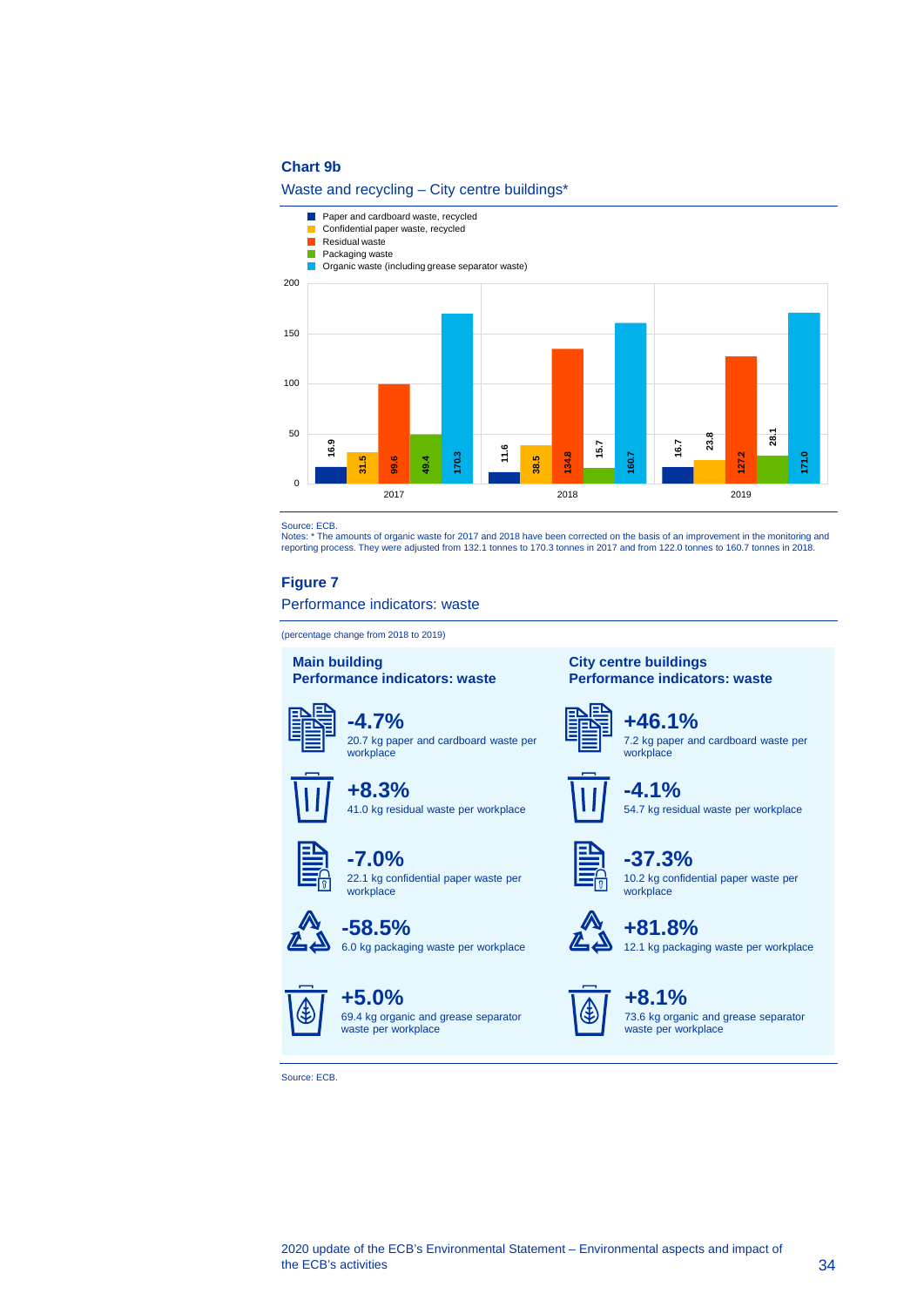#### **Chart 9b**

#### Waste and recycling – City centre buildings\*



reporting process. They were adjusted from 132.1 tonnes to 170.3 tonnes in 2017 and from 122.0 tonnes to 160.7 tonnes in 2018.

#### **Figure 7**

#### Performance indicators: waste

(percentage change from 2018 to 2019)

#### **Main building Performance indicators: waste**

**+8.3%**

**-7.0%**

workplace

**-58.5%**

**+5.0%**



**-4.7%** 20.7 kg paper and cardboard waste per

41.0 kg residual waste per workplace

22.1 kg confidential paper waste per

6.0 kg packaging waste per workplace



**City centre buildings**

**Performance indicators: waste**

**+46.1%** 7.2 kg paper and cardboard waste per workplace



**-4.1%** 54.7 kg residual waste per workplace



**-37.3%** 10.2 kg confidential paper waste per workplace



**+81.8%** 12.1 kg packaging waste per workplace



**+8.1%** 73.6 kg organic and grease separator waste per workplace



69.4 kg organic and grease separator waste per workplace

Source: ECB.

# Source: ECB. Notes: \* The amounts of organic waste for 2017 and 2018 have been corrected on the basis of an improvement in the monitoring and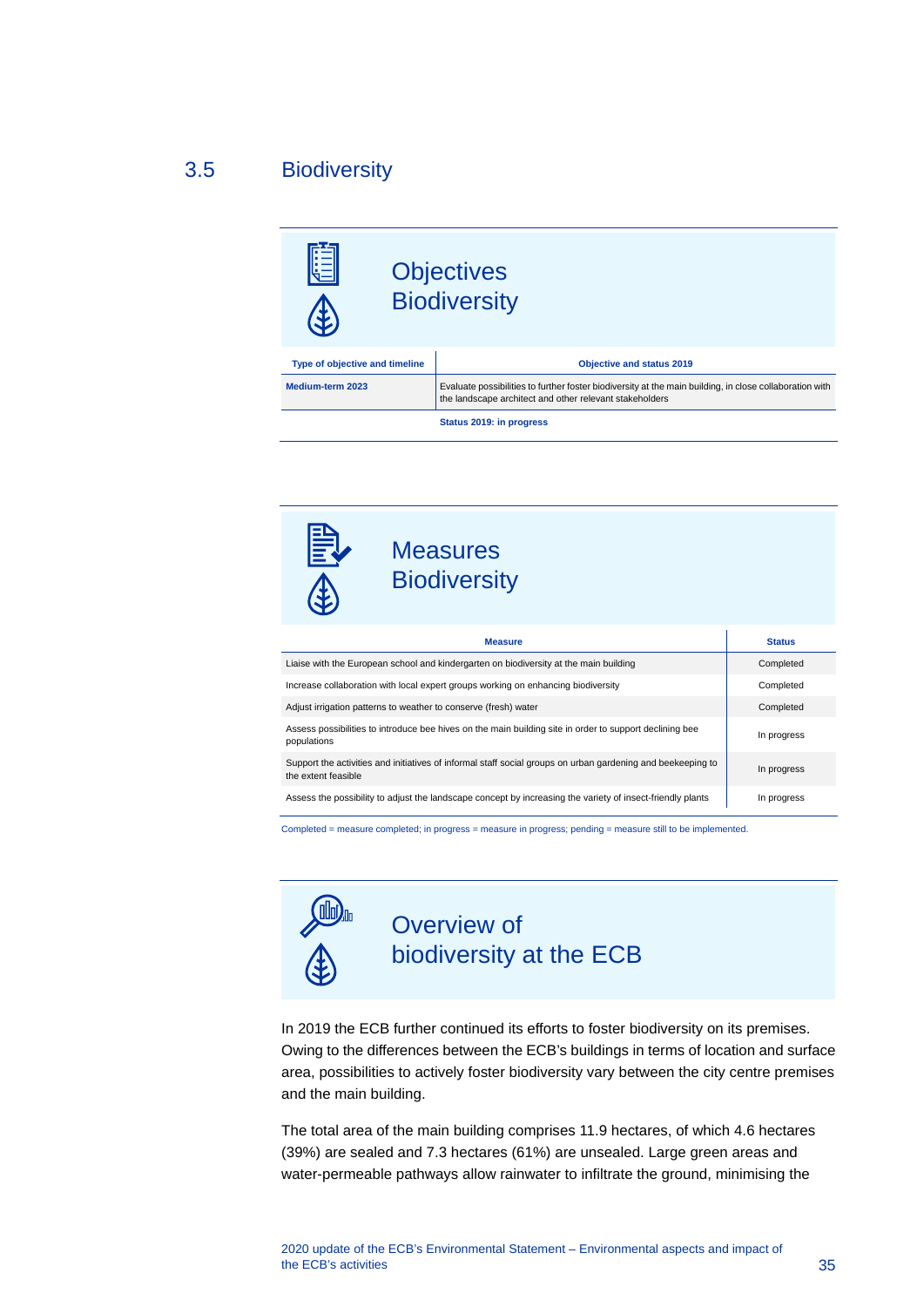## 3.5 Biodiversity

<span id="page-35-0"></span>

**Status 2019: in progress**



## **Measures Biodiversity**

| <b>Measure</b>                                                                                                                     | <b>Status</b> |
|------------------------------------------------------------------------------------------------------------------------------------|---------------|
| Liaise with the European school and kindergarten on biodiversity at the main building                                              | Completed     |
| Increase collaboration with local expert groups working on enhancing biodiversity                                                  | Completed     |
| Adjust irrigation patterns to weather to conserve (fresh) water                                                                    | Completed     |
| Assess possibilities to introduce bee hives on the main building site in order to support declining bee<br>populations             | In progress   |
| Support the activities and initiatives of informal staff social groups on urban gardening and beekeeping to<br>the extent feasible | In progress   |
| Assess the possibility to adjust the landscape concept by increasing the variety of insect-friendly plants                         | In progress   |

Completed = measure completed; in progress = measure in progress; pending = measure still to be implemented.



## Overview of biodiversity at the ECB

In 2019 the ECB further continued its efforts to foster biodiversity on its premises. Owing to the differences between the ECB's buildings in terms of location and surface area, possibilities to actively foster biodiversity vary between the city centre premises and the main building.

The total area of the main building comprises 11.9 hectares, of which 4.6 hectares (39%) are sealed and 7.3 hectares (61%) are unsealed. Large green areas and water-permeable pathways allow rainwater to infiltrate the ground, minimising the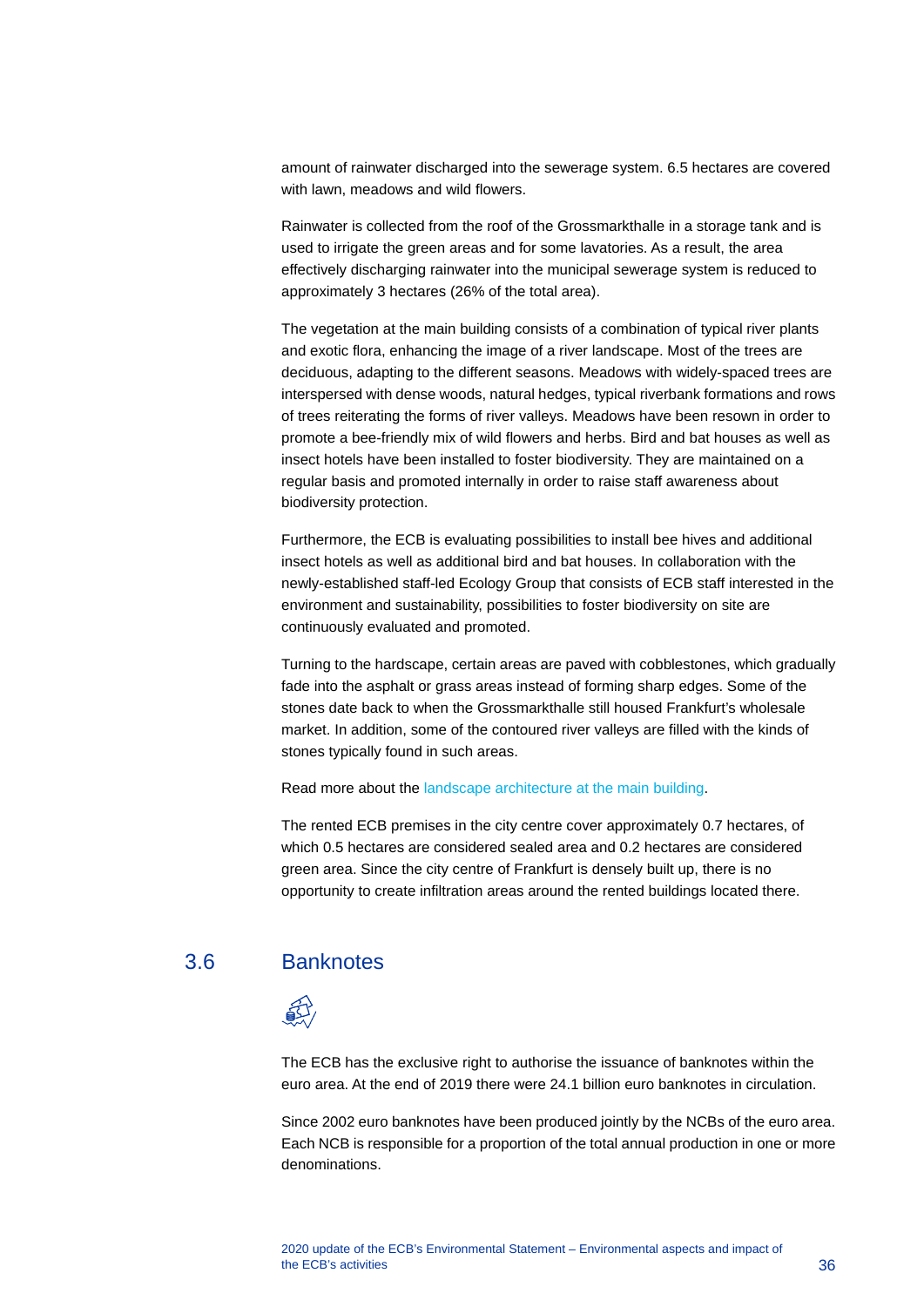amount of rainwater discharged into the sewerage system. 6.5 hectares are covered with lawn, meadows and wild flowers.

Rainwater is collected from the roof of the Grossmarkthalle in a storage tank and is used to irrigate the green areas and for some lavatories. As a result, the area effectively discharging rainwater into the municipal sewerage system is reduced to approximately 3 hectares (26% of the total area).

The vegetation at the main building consists of a combination of typical river plants and exotic flora, enhancing the image of a river landscape. Most of the trees are deciduous, adapting to the different seasons. Meadows with widely-spaced trees are interspersed with dense woods, natural hedges, typical riverbank formations and rows of trees reiterating the forms of river valleys. Meadows have been resown in order to promote a bee-friendly mix of wild flowers and herbs. Bird and bat houses as well as insect hotels have been installed to foster biodiversity. They are maintained on a regular basis and promoted internally in order to raise staff awareness about biodiversity protection.

Furthermore, the ECB is evaluating possibilities to install bee hives and additional insect hotels as well as additional bird and bat houses. In collaboration with the newly-established staff-led Ecology Group that consists of ECB staff interested in the environment and sustainability, possibilities to foster biodiversity on site are continuously evaluated and promoted.

Turning to the hardscape, certain areas are paved with cobblestones, which gradually fade into the asphalt or grass areas instead of forming sharp edges. Some of the stones date back to when the Grossmarkthalle still housed Frankfurt's wholesale market. In addition, some of the contoured river valleys are filled with the kinds of stones typically found in such areas.

#### Read more about the [landscape architecture at the main building.](https://www.ecb.europa.eu/ecb/premises/construction/landscape/html/index.en.html)

The rented ECB premises in the city centre cover approximately 0.7 hectares, of which 0.5 hectares are considered sealed area and 0.2 hectares are considered green area. Since the city centre of Frankfurt is densely built up, there is no opportunity to create infiltration areas around the rented buildings located there.

#### 3.6 Banknotes

<span id="page-36-0"></span>

The ECB has the exclusive right to authorise the issuance of banknotes within the euro area. At the end of 2019 there were 24.1 billion euro banknotes in circulation.

Since 2002 euro banknotes have been produced jointly by the NCBs of the euro area. Each NCB is responsible for a proportion of the total annual production in one or more denominations.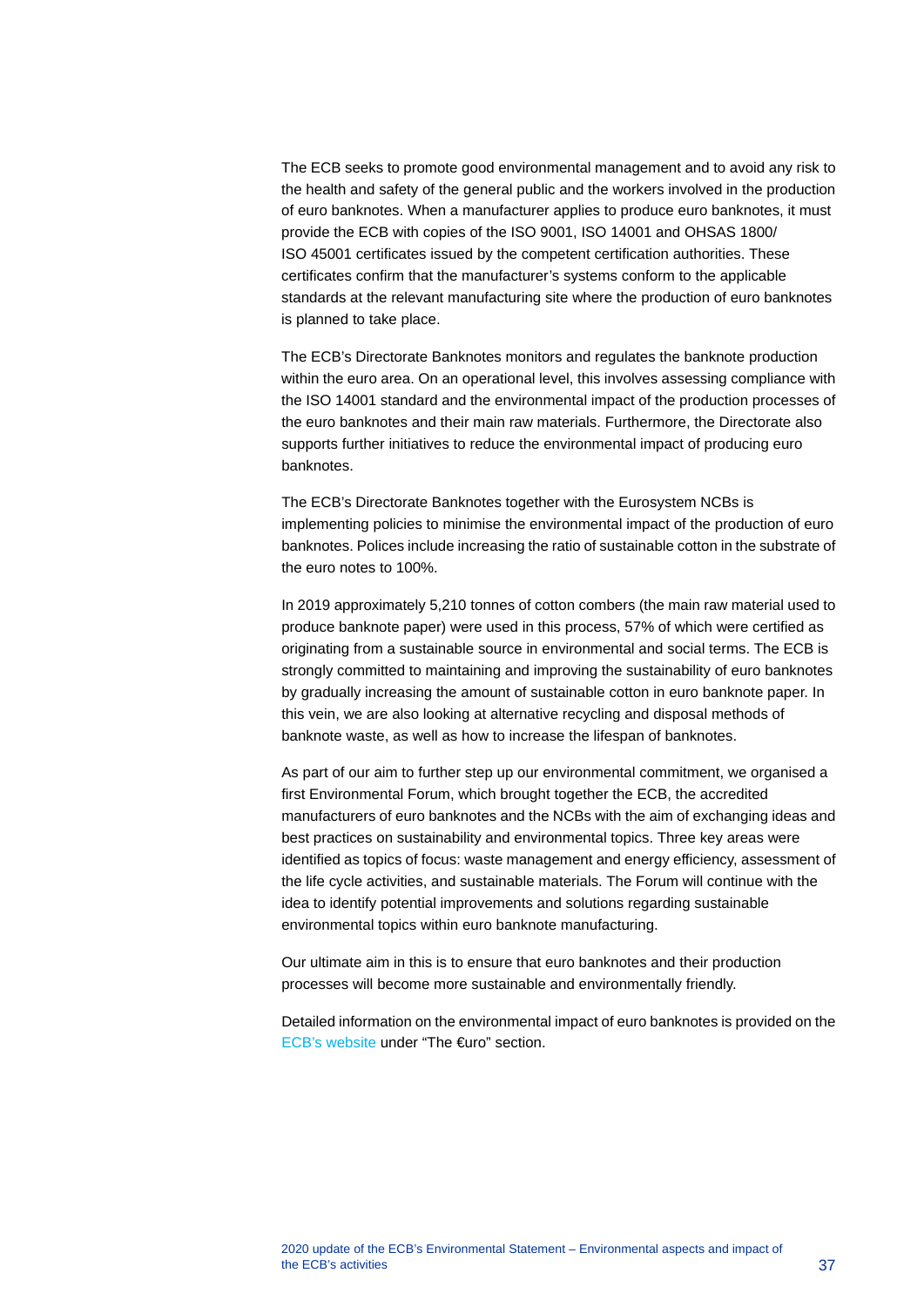The ECB seeks to promote good environmental management and to avoid any risk to the health and safety of the general public and the workers involved in the production of euro banknotes. When a manufacturer applies to produce euro banknotes, it must provide the ECB with copies of the ISO 9001, ISO 14001 and OHSAS 1800/ ISO 45001 certificates issued by the competent certification authorities. These certificates confirm that the manufacturer's systems conform to the applicable standards at the relevant manufacturing site where the production of euro banknotes is planned to take place.

The ECB's Directorate Banknotes monitors and regulates the banknote production within the euro area. On an operational level, this involves assessing compliance with the ISO 14001 standard and the environmental impact of the production processes of the euro banknotes and their main raw materials. Furthermore, the Directorate also supports further initiatives to reduce the environmental impact of producing euro banknotes.

The ECB's Directorate Banknotes together with the Eurosystem NCBs is implementing policies to minimise the environmental impact of the production of euro banknotes. Polices include increasing the ratio of sustainable cotton in the substrate of the euro notes to 100%.

In 2019 approximately 5,210 tonnes of cotton combers (the main raw material used to produce banknote paper) were used in this process, 57% of which were certified as originating from a sustainable source in environmental and social terms. The ECB is strongly committed to maintaining and improving the sustainability of euro banknotes by gradually increasing the amount of sustainable cotton in euro banknote paper. In this vein, we are also looking at alternative recycling and disposal methods of banknote waste, as well as how to increase the lifespan of banknotes.

As part of our aim to further step up our environmental commitment, we organised a first Environmental Forum, which brought together the ECB, the accredited manufacturers of euro banknotes and the NCBs with the aim of exchanging ideas and best practices on sustainability and environmental topics. Three key areas were identified as topics of focus: waste management and energy efficiency, assessment of the life cycle activities, and sustainable materials. The Forum will continue with the idea to identify potential improvements and solutions regarding sustainable environmental topics within euro banknote manufacturing.

Our ultimate aim in this is to ensure that euro banknotes and their production processes will become more sustainable and environmentally friendly.

Detailed information on the environmental impact of euro banknotes is provided on the [ECB's website](https://www.ecb.europa.eu/euro/html/index.en.html) under "The €uro" section.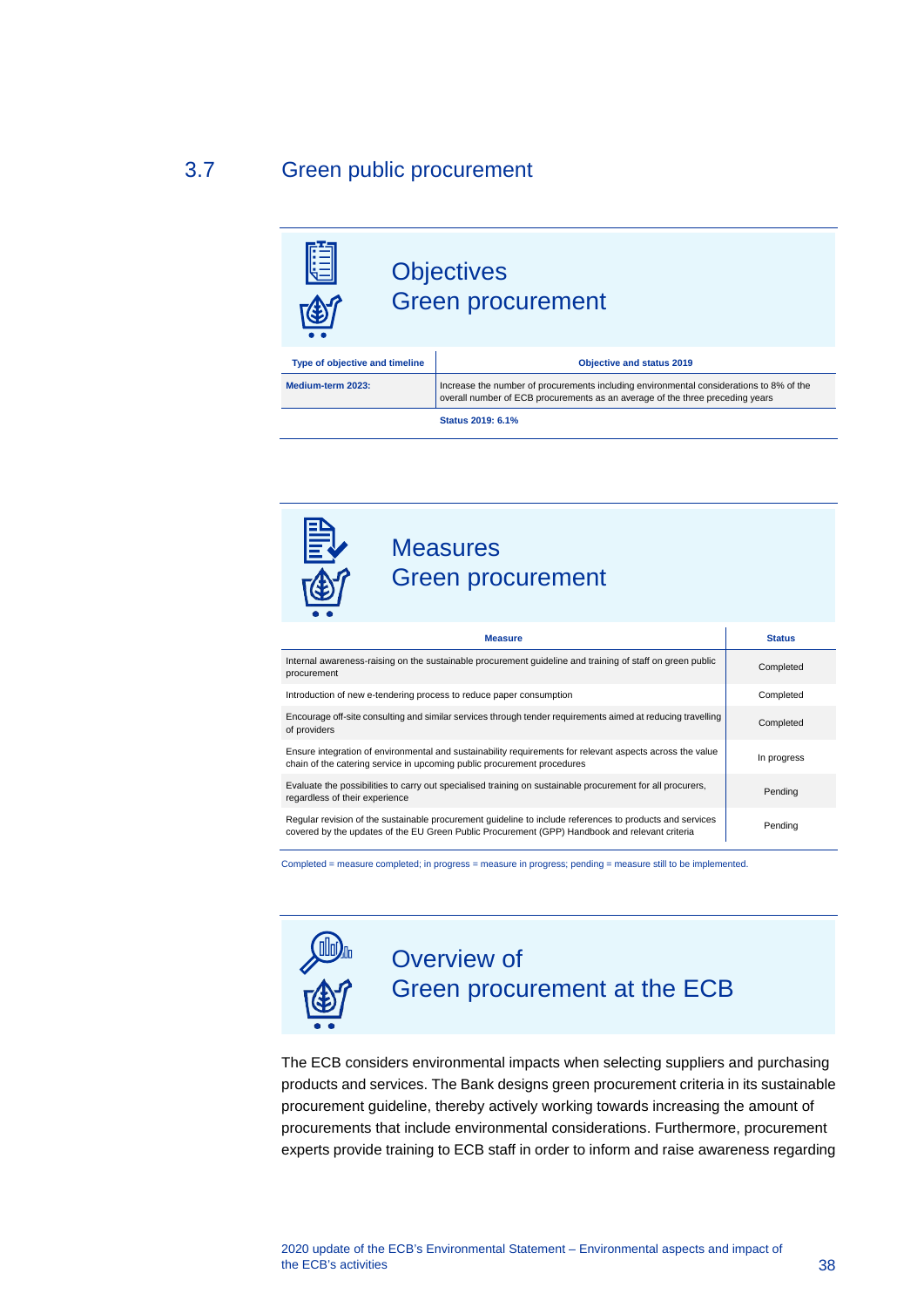## 3.7 Green public procurement

<span id="page-38-0"></span>

**Status 2019: 6.1%**



| <b>Measure</b>                                                                                                                                                                                             | <b>Status</b> |
|------------------------------------------------------------------------------------------------------------------------------------------------------------------------------------------------------------|---------------|
| Internal awareness-raising on the sustainable procurement quideline and training of staff on green public<br>procurement                                                                                   | Completed     |
| Introduction of new e-tendering process to reduce paper consumption                                                                                                                                        | Completed     |
| Encourage off-site consulting and similar services through tender requirements aimed at reducing travelling<br>of providers                                                                                | Completed     |
| Ensure integration of environmental and sustainability requirements for relevant aspects across the value<br>chain of the catering service in upcoming public procurement procedures                       | In progress   |
| Evaluate the possibilities to carry out specialised training on sustainable procurement for all procurers,<br>regardless of their experience                                                               | Pending       |
| Regular revision of the sustainable procurement guideline to include references to products and services<br>covered by the updates of the EU Green Public Procurement (GPP) Handbook and relevant criteria | Pending       |

Completed = measure completed; in progress = measure in progress; pending = measure still to be implemented.



## Overview of Green procurement at the ECB

The ECB considers environmental impacts when selecting suppliers and purchasing products and services. The Bank designs green procurement criteria in its sustainable procurement guideline, thereby actively working towards increasing the amount of procurements that include environmental considerations. Furthermore, procurement experts provide training to ECB staff in order to inform and raise awareness regarding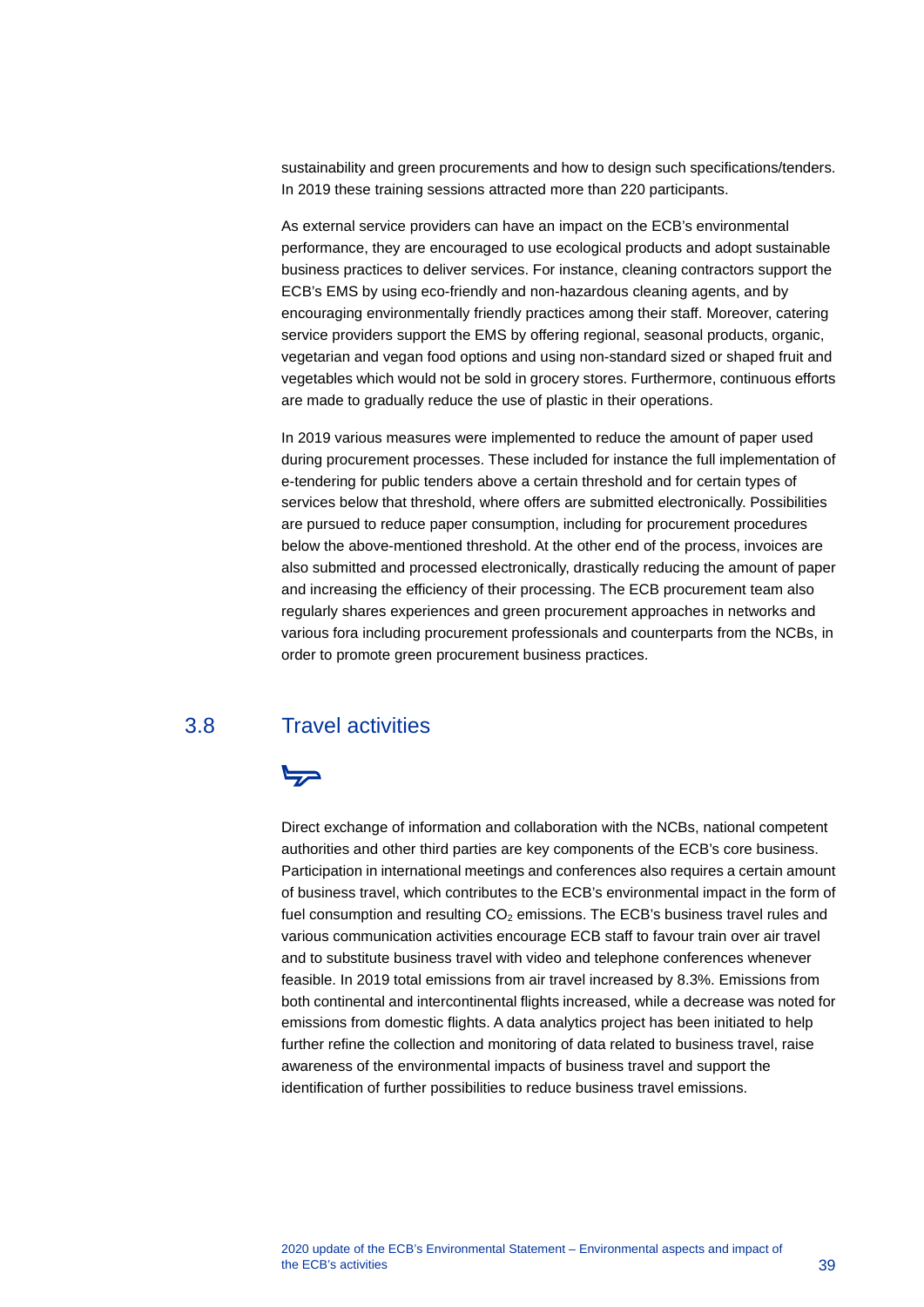sustainability and green procurements and how to design such specifications/tenders. In 2019 these training sessions attracted more than 220 participants.

As external service providers can have an impact on the ECB's environmental performance, they are encouraged to use ecological products and adopt sustainable business practices to deliver services. For instance, cleaning contractors support the ECB's EMS by using eco-friendly and non-hazardous cleaning agents, and by encouraging environmentally friendly practices among their staff. Moreover, catering service providers support the EMS by offering regional, seasonal products, organic, vegetarian and vegan food options and using non-standard sized or shaped fruit and vegetables which would not be sold in grocery stores. Furthermore, continuous efforts are made to gradually reduce the use of plastic in their operations.

In 2019 various measures were implemented to reduce the amount of paper used during procurement processes. These included for instance the full implementation of e-tendering for public tenders above a certain threshold and for certain types of services below that threshold, where offers are submitted electronically. Possibilities are pursued to reduce paper consumption, including for procurement procedures below the above-mentioned threshold. At the other end of the process, invoices are also submitted and processed electronically, drastically reducing the amount of paper and increasing the efficiency of their processing. The ECB procurement team also regularly shares experiences and green procurement approaches in networks and various fora including procurement professionals and counterparts from the NCBs, in order to promote green procurement business practices.

## 3.8 Travel activities

## <span id="page-39-0"></span>حركا

Direct exchange of information and collaboration with the NCBs, national competent authorities and other third parties are key components of the ECB's core business. Participation in international meetings and conferences also requires a certain amount of business travel, which contributes to the ECB's environmental impact in the form of fuel consumption and resulting  $CO<sub>2</sub>$  emissions. The ECB's business travel rules and various communication activities encourage ECB staff to favour train over air travel and to substitute business travel with video and telephone conferences whenever feasible. In 2019 total emissions from air travel increased by 8.3%. Emissions from both continental and intercontinental flights increased, while a decrease was noted for emissions from domestic flights. A data analytics project has been initiated to help further refine the collection and monitoring of data related to business travel, raise awareness of the environmental impacts of business travel and support the identification of further possibilities to reduce business travel emissions.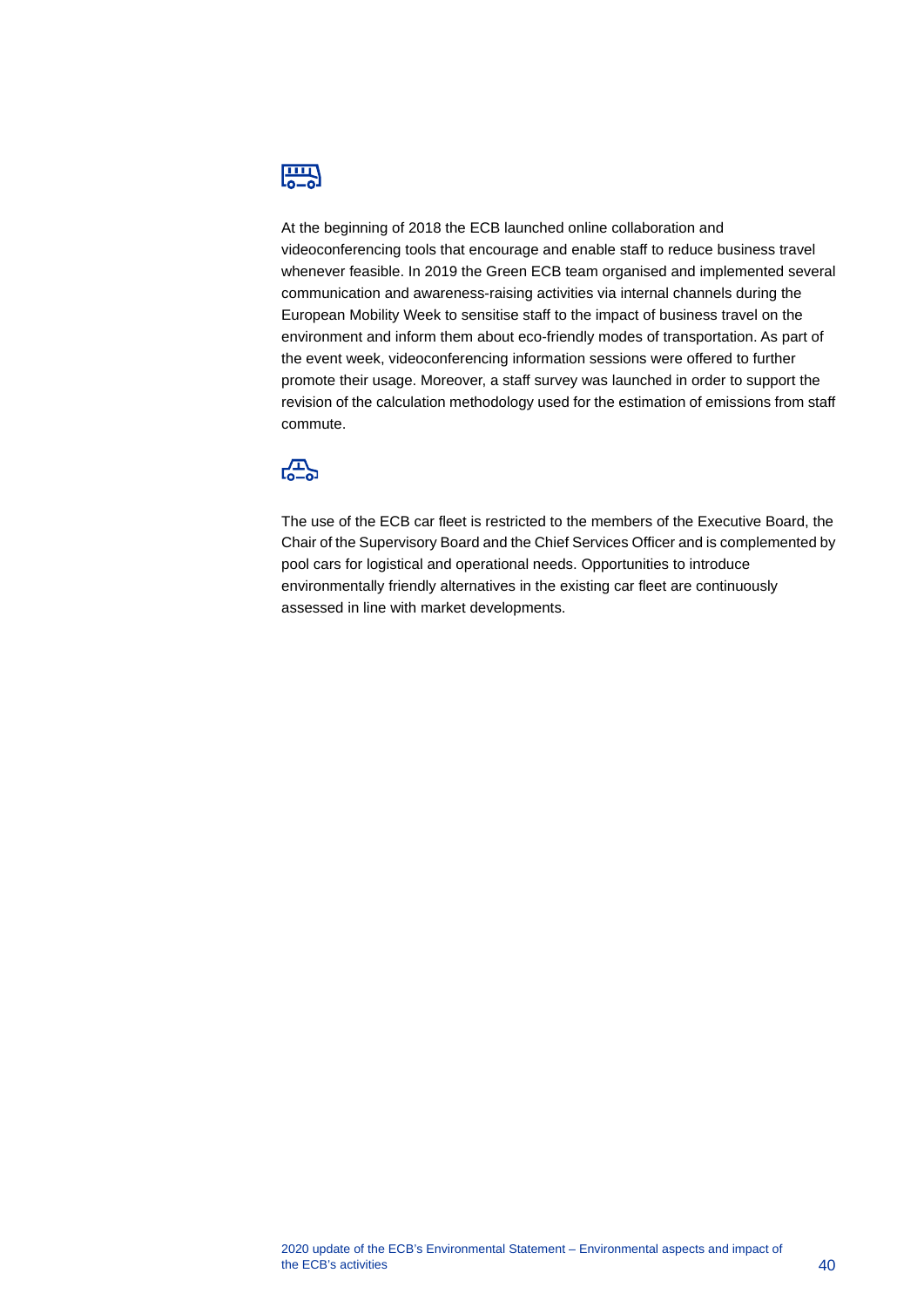

At the beginning of 2018 the ECB launched online collaboration and videoconferencing tools that encourage and enable staff to reduce business travel whenever feasible. In 2019 the Green ECB team organised and implemented several communication and awareness-raising activities via internal channels during the European Mobility Week to sensitise staff to the impact of business travel on the environment and inform them about eco-friendly modes of transportation. As part of the event week, videoconferencing information sessions were offered to further promote their usage. Moreover, a staff survey was launched in order to support the revision of the calculation methodology used for the estimation of emissions from staff commute.



The use of the ECB car fleet is restricted to the members of the Executive Board, the Chair of the Supervisory Board and the Chief Services Officer and is complemented by pool cars for logistical and operational needs. Opportunities to introduce environmentally friendly alternatives in the existing car fleet are continuously assessed in line with market developments.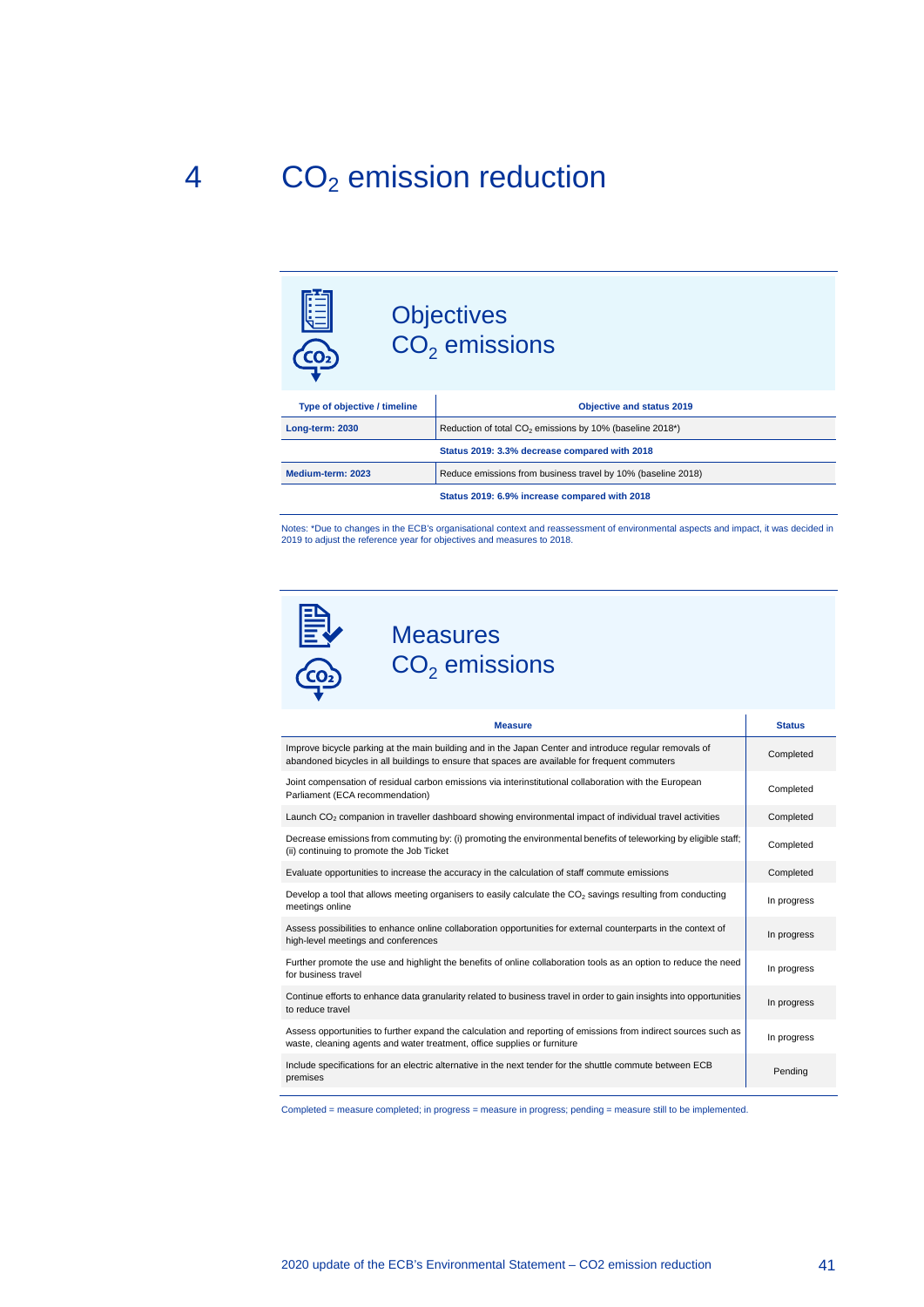## <span id="page-41-0"></span> $4$   $CO<sub>2</sub>$  emission reduction



Notes: \*Due to changes in the ECB's organisational context and reassessment of environmental aspects and impact, it was decided in 2019 to adjust the reference year for objectives and measures to 2018.



## **Measures**  $CO<sub>2</sub>$  emissions

| <b>Measure</b>                                                                                                                                                                                           | <b>Status</b> |
|----------------------------------------------------------------------------------------------------------------------------------------------------------------------------------------------------------|---------------|
| Improve bicycle parking at the main building and in the Japan Center and introduce regular removals of<br>abandoned bicycles in all buildings to ensure that spaces are available for frequent commuters | Completed     |
| Joint compensation of residual carbon emissions via interinstitutional collaboration with the European<br>Parliament (ECA recommendation)                                                                | Completed     |
| Launch CO <sub>2</sub> companion in traveller dashboard showing environmental impact of individual travel activities                                                                                     | Completed     |
| Decrease emissions from commuting by: (i) promoting the environmental benefits of teleworking by eligible staff;<br>(ii) continuing to promote the Job Ticket                                            | Completed     |
| Evaluate opportunities to increase the accuracy in the calculation of staff commute emissions                                                                                                            | Completed     |
| Develop a tool that allows meeting organisers to easily calculate the $CO2$ savings resulting from conducting<br>meetings online                                                                         | In progress   |
| Assess possibilities to enhance online collaboration opportunities for external counterparts in the context of<br>high-level meetings and conferences                                                    | In progress   |
| Further promote the use and highlight the benefits of online collaboration tools as an option to reduce the need<br>for business travel                                                                  | In progress   |
| Continue efforts to enhance data granularity related to business travel in order to gain insights into opportunities<br>to reduce travel                                                                 | In progress   |
| Assess opportunities to further expand the calculation and reporting of emissions from indirect sources such as<br>waste, cleaning agents and water treatment, office supplies or furniture              | In progress   |
| Include specifications for an electric alternative in the next tender for the shuttle commute between ECB<br>premises                                                                                    | Pending       |

Completed = measure completed; in progress = measure in progress; pending = measure still to be implemented.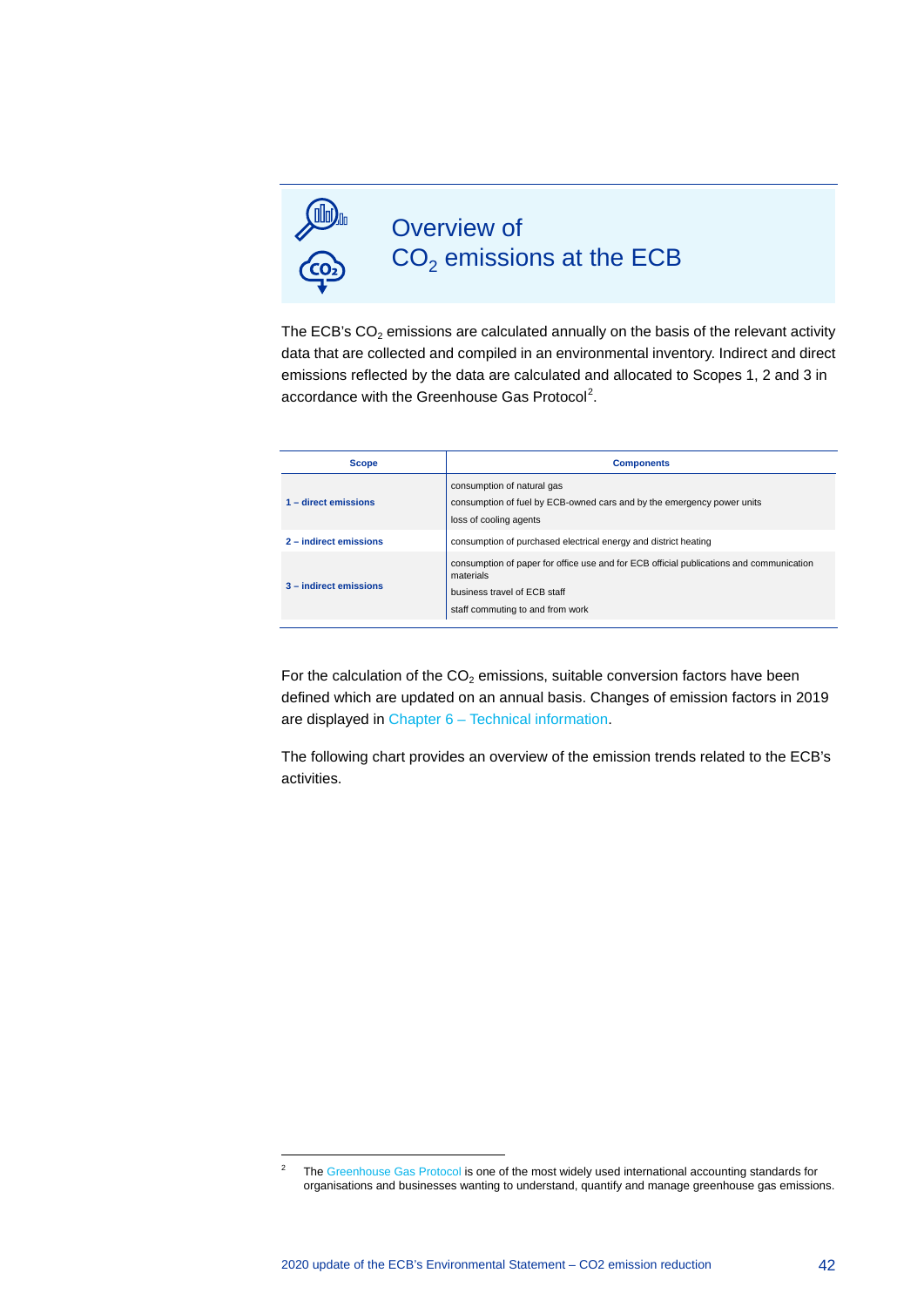

 $\overline{a}$ 

## Overview of  $CO<sub>2</sub>$  emissions at the ECB

The ECB's  $CO<sub>2</sub>$  emissions are calculated annually on the basis of the relevant activity data that are collected and compiled in an environmental inventory. Indirect and direct emissions reflected by the data are calculated and allocated to Scopes 1, 2 and 3 in accordance with the Greenhouse Gas Protocol<sup>[2](#page-42-0)</sup>.

| <b>Scope</b>           | <b>Components</b>                                                                                                                                                        |
|------------------------|--------------------------------------------------------------------------------------------------------------------------------------------------------------------------|
| 1 - direct emissions   | consumption of natural gas<br>consumption of fuel by ECB-owned cars and by the emergency power units<br>loss of cooling agents                                           |
| 2 - indirect emissions | consumption of purchased electrical energy and district heating                                                                                                          |
| 3 - indirect emissions | consumption of paper for office use and for ECB official publications and communication<br>materials<br>business travel of ECB staff<br>staff commuting to and from work |

For the calculation of the  $CO<sub>2</sub>$  emissions, suitable conversion factors have been defined which are updated on an annual basis. Changes of emission factors in 2019 are displayed in Chapter 6 – [Technical information.](#page-48-0)

The following chart provides an overview of the emission trends related to the ECB's activities.

<span id="page-42-0"></span><sup>&</sup>lt;sup>2</sup> Th[e Greenhouse Gas Protocol](http://www.ghgprotocol.org/) is one of the most widely used international accounting standards for organisations and businesses wanting to understand, quantify and manage greenhouse gas emissions.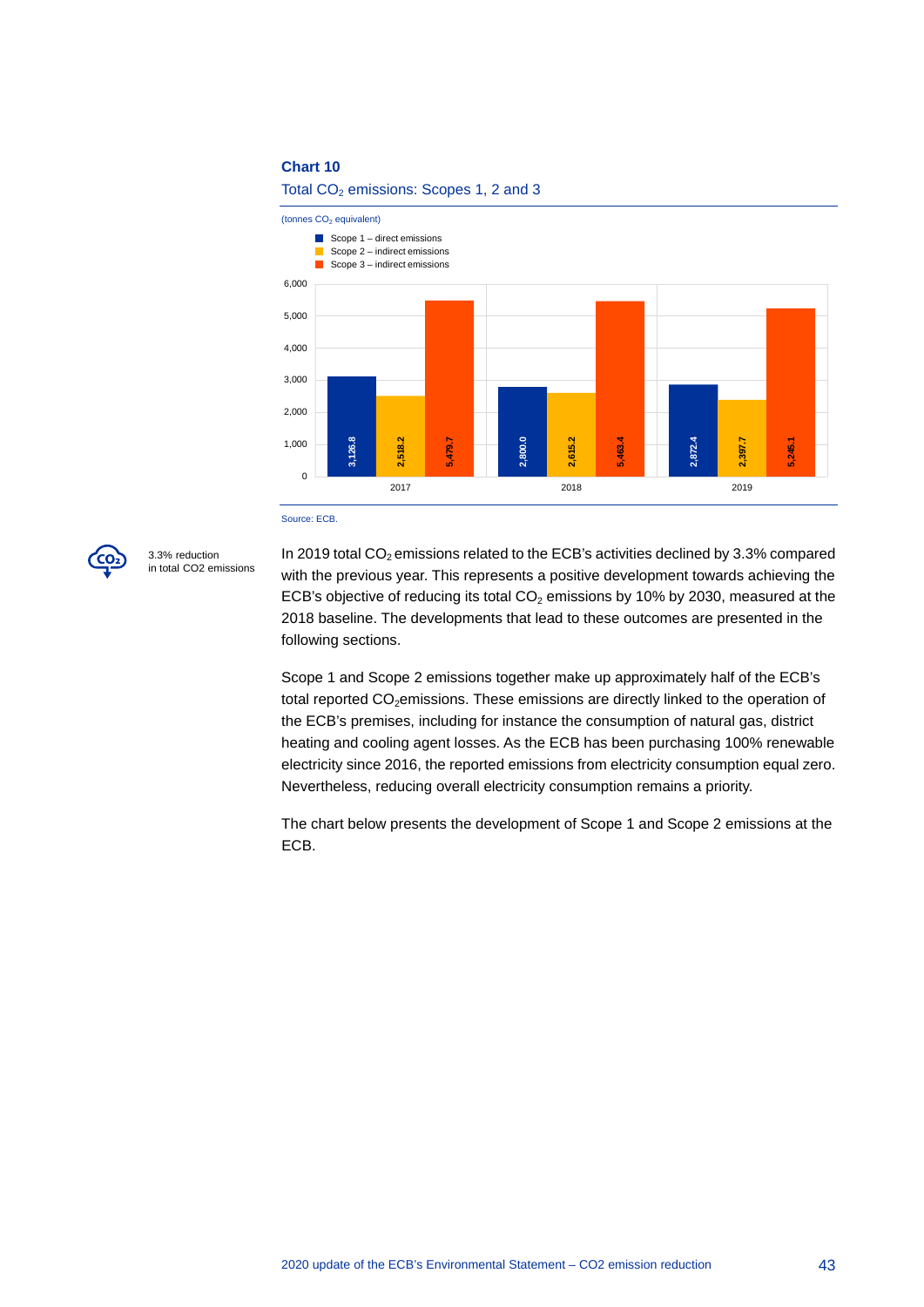#### **Chart 10**

Total  $CO<sub>2</sub>$  emissions: Scopes 1, 2 and 3





3.3% reduction in total CO2 emissions

In 2019 total  $CO<sub>2</sub>$  emissions related to the ECB's activities declined by 3.3% compared with the previous year. This represents a positive development towards achieving the ECB's objective of reducing its total  $CO<sub>2</sub>$  emissions by 10% by 2030, measured at the 2018 baseline. The developments that lead to these outcomes are presented in the following sections.

Scope 1 and Scope 2 emissions together make up approximately half of the ECB's total reported CO<sub>2</sub>emissions. These emissions are directly linked to the operation of the ECB's premises, including for instance the consumption of natural gas, district heating and cooling agent losses. As the ECB has been purchasing 100% renewable electricity since 2016, the reported emissions from electricity consumption equal zero. Nevertheless, reducing overall electricity consumption remains a priority.

The chart below presents the development of Scope 1 and Scope 2 emissions at the ECB.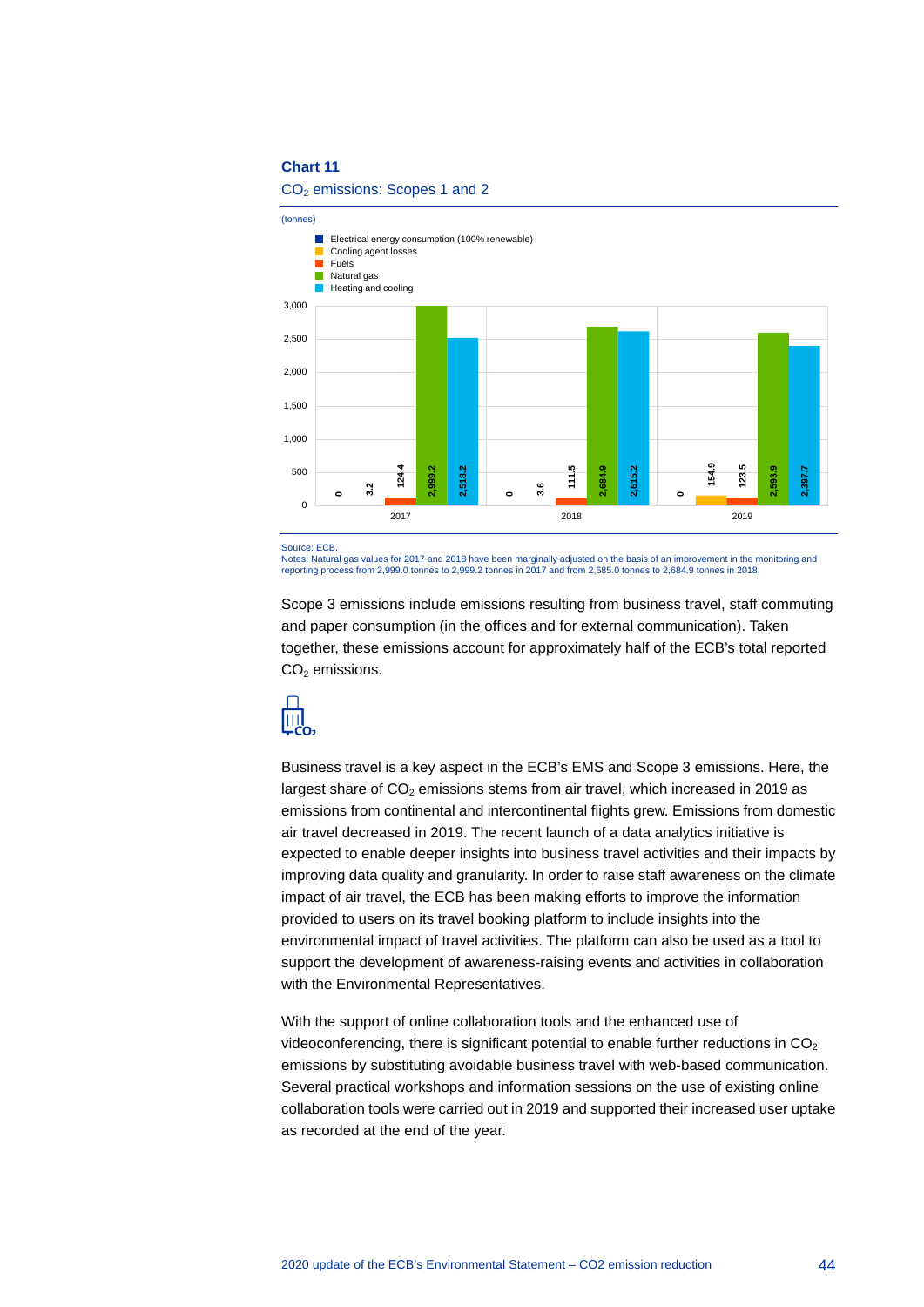#### **Chart 11**

#### CO<sub>2</sub> emissions: Scopes 1 and 2



Source: ECB

Notes: Natural gas values for 2017 and 2018 have been marginally adjusted on the basis of an improvement in the monitoring and reporting process from 2,999.0 tonnes to 2,999.2 tonnes in 2017 and from 2,685.0 tonnes to 2,684.9 tonnes in 2018.

Scope 3 emissions include emissions resulting from business travel, staff commuting and paper consumption (in the offices and for external communication). Taken together, these emissions account for approximately half of the ECB's total reported  $CO<sub>2</sub>$  emissions.



Business travel is a key aspect in the ECB's EMS and Scope 3 emissions. Here, the largest share of  $CO<sub>2</sub>$  emissions stems from air travel, which increased in 2019 as emissions from continental and intercontinental flights grew. Emissions from domestic air travel decreased in 2019. The recent launch of a data analytics initiative is expected to enable deeper insights into business travel activities and their impacts by improving data quality and granularity. In order to raise staff awareness on the climate impact of air travel, the ECB has been making efforts to improve the information provided to users on its travel booking platform to include insights into the environmental impact of travel activities. The platform can also be used as a tool to support the development of awareness-raising events and activities in collaboration with the Environmental Representatives.

With the support of online collaboration tools and the enhanced use of videoconferencing, there is significant potential to enable further reductions in  $CO<sub>2</sub>$ emissions by substituting avoidable business travel with web-based communication. Several practical workshops and information sessions on the use of existing online collaboration tools were carried out in 2019 and supported their increased user uptake as recorded at the end of the year.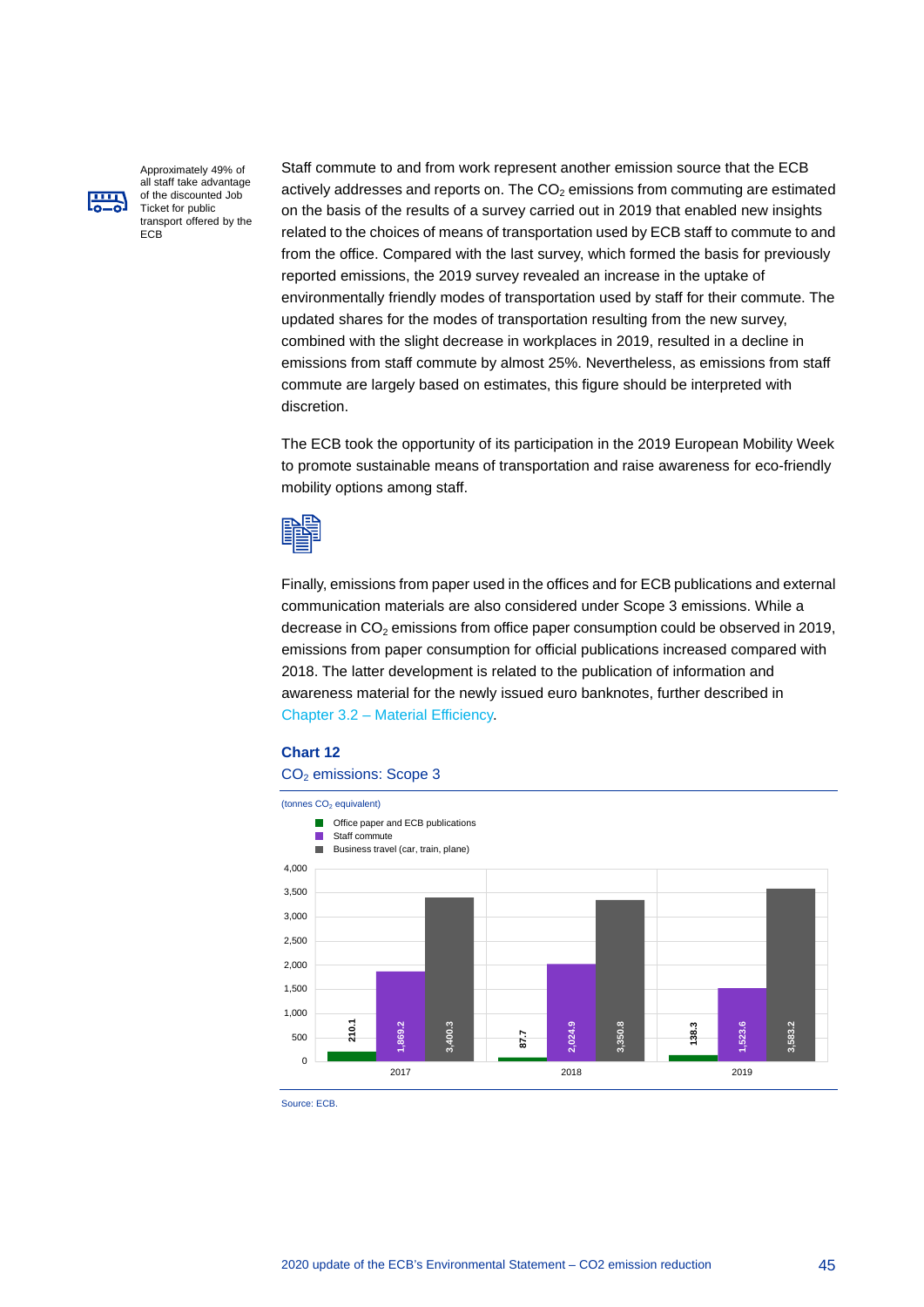

Approximately 49% of all staff take advantage of the discounted Job Ticket for public transport offered by the **ECB** 

Staff commute to and from work represent another emission source that the ECB actively addresses and reports on. The  $CO<sub>2</sub>$  emissions from commuting are estimated on the basis of the results of a survey carried out in 2019 that enabled new insights related to the choices of means of transportation used by ECB staff to commute to and from the office. Compared with the last survey, which formed the basis for previously reported emissions, the 2019 survey revealed an increase in the uptake of environmentally friendly modes of transportation used by staff for their commute. The updated shares for the modes of transportation resulting from the new survey, combined with the slight decrease in workplaces in 2019, resulted in a decline in emissions from staff commute by almost 25%. Nevertheless, as emissions from staff commute are largely based on estimates, this figure should be interpreted with discretion.

The ECB took the opportunity of its participation in the 2019 European Mobility Week to promote sustainable means of transportation and raise awareness for eco-friendly mobility options among staff.



Finally, emissions from paper used in the offices and for ECB publications and external communication materials are also considered under Scope 3 emissions. While a decrease in  $CO<sub>2</sub>$  emissions from office paper consumption could be observed in 2019, emissions from paper consumption for official publications increased compared with 2018. The latter development is related to the publication of information and awareness material for the newly issued euro banknotes, further described in Chapter 3.2 – [Material Efficiency.](#page-21-0)

#### **Chart 12**

#### CO<sub>2</sub> emissions: Scope 3



Source: ECB.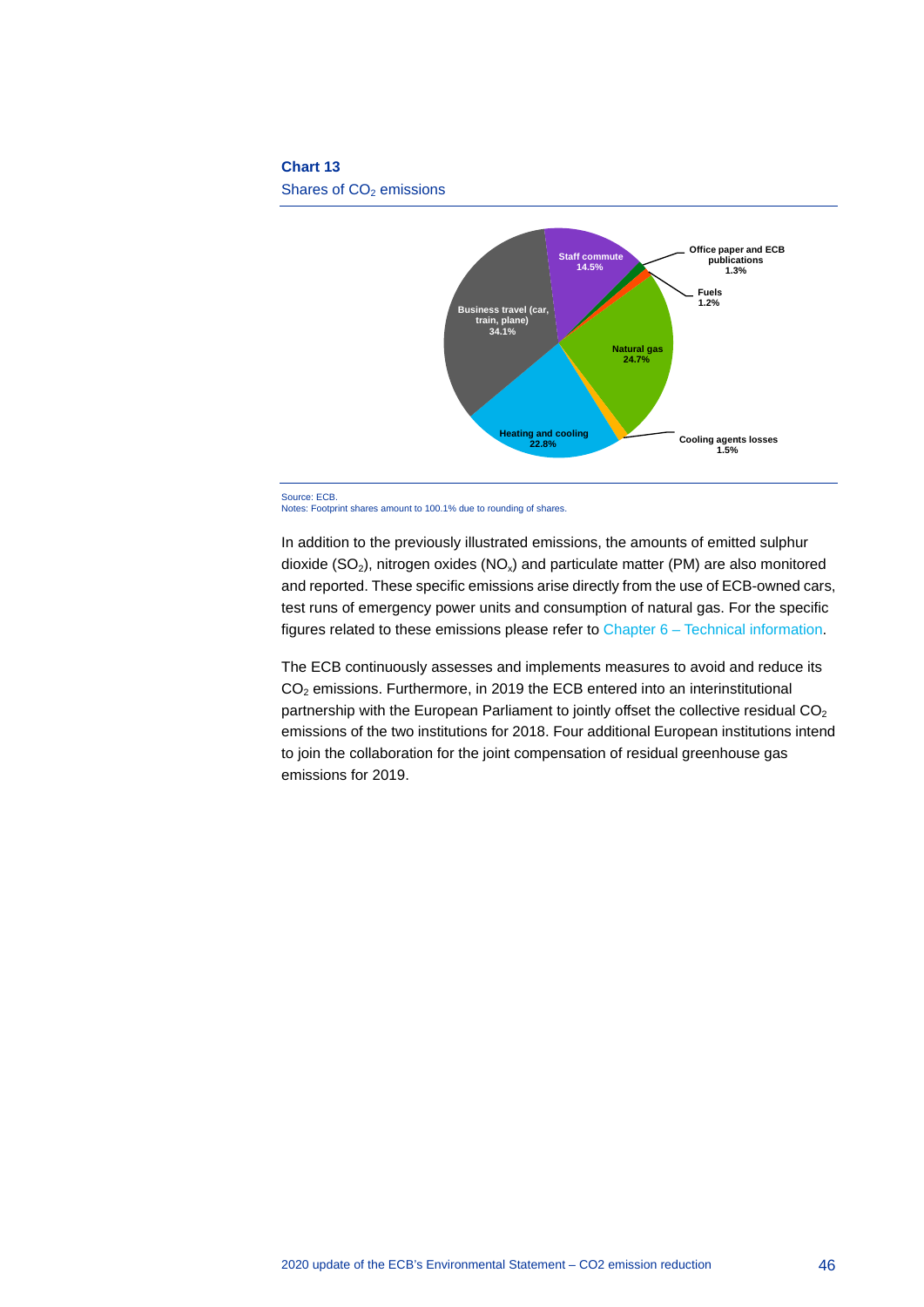#### **Chart 13**

Shares of CO<sub>2</sub> emissions



Notes: Footprint shares amount to 100.1% due to rounding of shares.

In addition to the previously illustrated emissions, the amounts of emitted sulphur dioxide ( $SO<sub>2</sub>$ ), nitrogen oxides ( $NO<sub>x</sub>$ ) and particulate matter (PM) are also monitored and reported. These specific emissions arise directly from the use of ECB-owned cars, test runs of emergency power units and consumption of natural gas. For the specific figures related to these emissions please refer to Chapter 6 – [Technical information.](#page-48-0)

The ECB continuously assesses and implements measures to avoid and reduce its  $CO<sub>2</sub>$  emissions. Furthermore, in 2019 the ECB entered into an interinstitutional partnership with the European Parliament to jointly offset the collective residual  $CO<sub>2</sub>$ emissions of the two institutions for 2018. Four additional European institutions intend to join the collaboration for the joint compensation of residual greenhouse gas emissions for 2019.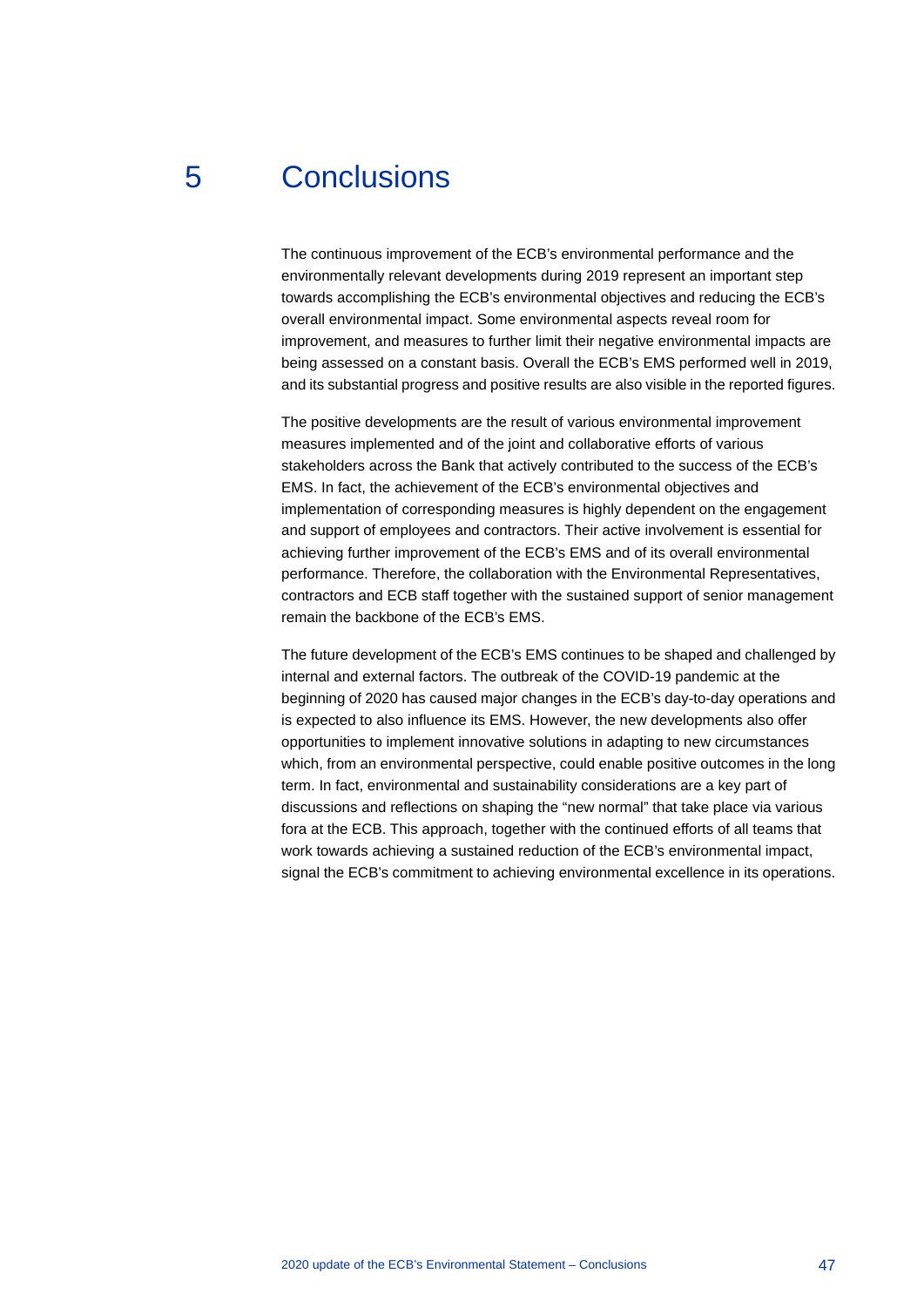## 5 Conclusions

<span id="page-47-0"></span>The continuous improvement of the ECB's environmental performance and the environmentally relevant developments during 2019 represent an important step towards accomplishing the ECB's environmental objectives and reducing the ECB's overall environmental impact. Some environmental aspects reveal room for improvement, and measures to further limit their negative environmental impacts are being assessed on a constant basis. Overall the ECB's EMS performed well in 2019, and its substantial progress and positive results are also visible in the reported figures.

The positive developments are the result of various environmental improvement measures implemented and of the joint and collaborative efforts of various stakeholders across the Bank that actively contributed to the success of the ECB's EMS. In fact, the achievement of the ECB's environmental objectives and implementation of corresponding measures is highly dependent on the engagement and support of employees and contractors. Their active involvement is essential for achieving further improvement of the ECB's EMS and of its overall environmental performance. Therefore, the collaboration with the Environmental Representatives, contractors and ECB staff together with the sustained support of senior management remain the backbone of the ECB's EMS.

The future development of the ECB's EMS continues to be shaped and challenged by internal and external factors. The outbreak of the COVID-19 pandemic at the beginning of 2020 has caused major changes in the ECB's day-to-day operations and is expected to also influence its EMS. However, the new developments also offer opportunities to implement innovative solutions in adapting to new circumstances which, from an environmental perspective, could enable positive outcomes in the long term. In fact, environmental and sustainability considerations are a key part of discussions and reflections on shaping the "new normal" that take place via various fora at the ECB. This approach, together with the continued efforts of all teams that work towards achieving a sustained reduction of the ECB's environmental impact, signal the ECB's commitment to achieving environmental excellence in its operations.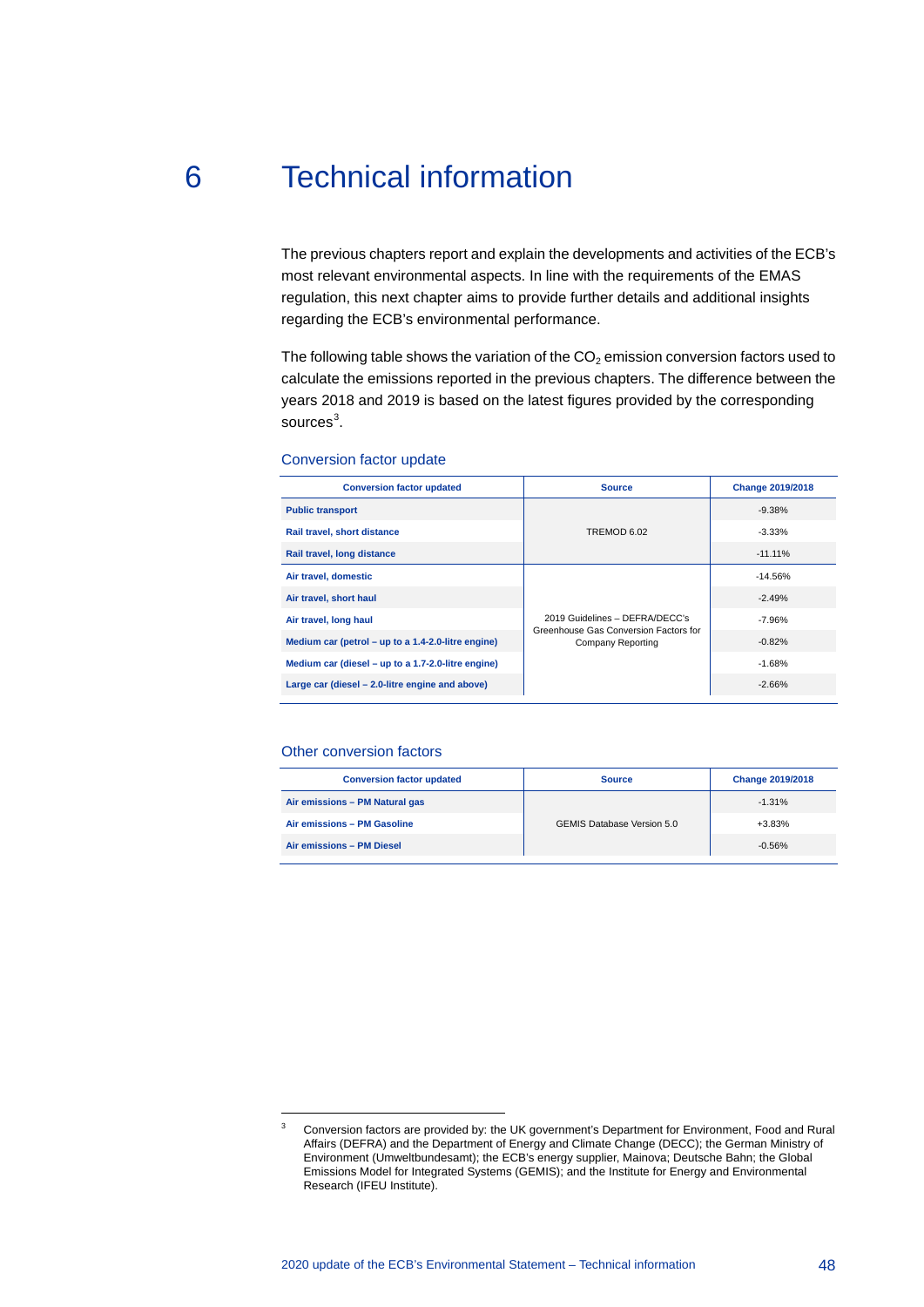# 6 Technical information

<span id="page-48-0"></span>The previous chapters report and explain the developments and activities of the ECB's most relevant environmental aspects. In line with the requirements of the EMAS regulation, this next chapter aims to provide further details and additional insights regarding the ECB's environmental performance.

The following table shows the variation of the  $CO<sub>2</sub>$  emission conversion factors used to calculate the emissions reported in the previous chapters. The difference between the years 2018 and 2019 is based on the latest figures provided by the corresponding sources $^3$  $^3$ .

| Conversion factor update |  |  |
|--------------------------|--|--|
|--------------------------|--|--|

| <b>Conversion factor updated</b>                   | <b>Source</b>                                                           | <b>Change 2019/2018</b> |
|----------------------------------------------------|-------------------------------------------------------------------------|-------------------------|
| <b>Public transport</b>                            |                                                                         | $-9.38%$                |
| Rail travel, short distance                        | TREMOD 6.02<br>$-3.33%$                                                 |                         |
| Rail travel, long distance                         |                                                                         | $-11.11\%$              |
| Air travel, domestic                               |                                                                         | $-14.56%$               |
| Air travel, short haul                             |                                                                         | $-2.49%$                |
| Air travel, long haul                              | 2019 Guidelines - DEFRA/DECC's<br>Greenhouse Gas Conversion Factors for | $-7.96%$                |
| Medium car (petrol – up to a 1.4-2.0-litre engine) | Company Reporting                                                       | $-0.82%$                |
| Medium car (diesel – up to a 1.7-2.0-litre engine) |                                                                         | $-1.68%$                |
| Large car (diesel – 2.0-litre engine and above)    |                                                                         | $-2.66%$                |

#### Other conversion factors

 $\overline{a}$ 

| <b>Conversion factor updated</b> | <b>Source</b>                     | <b>Change 2019/2018</b> |  |
|----------------------------------|-----------------------------------|-------------------------|--|
| Air emissions - PM Natural gas   |                                   | $-1.31%$                |  |
| Air emissions - PM Gasoline      | <b>GEMIS Database Version 5.0</b> | $+3.83%$                |  |
| Air emissions - PM Diesel        |                                   | $-0.56%$                |  |

<span id="page-48-1"></span><sup>&</sup>lt;sup>3</sup> Conversion factors are provided by: the UK government's Department for Environment, Food and Rural Affairs (DEFRA) and the Department of Energy and Climate Change (DECC); the German Ministry of Environment (Umweltbundesamt); the ECB's energy supplier, Mainova; Deutsche Bahn; the Global Emissions Model for Integrated Systems (GEMIS); and the Institute for Energy and Environmental Research (IFEU Institute).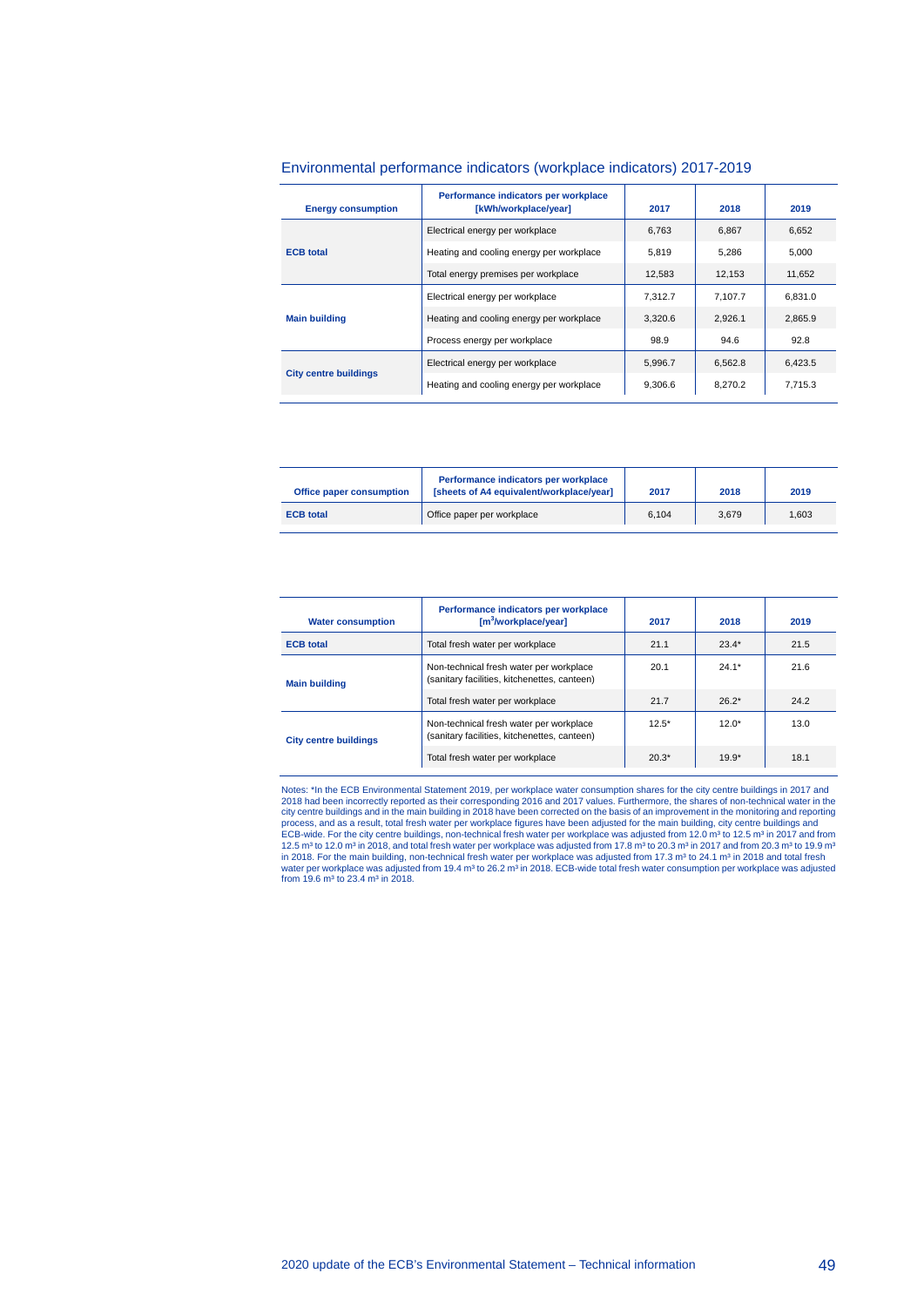| <b>Energy consumption</b>    | Performance indicators per workplace<br>[kWh/workplace/year] | 2017    | 2018    | 2019    |
|------------------------------|--------------------------------------------------------------|---------|---------|---------|
|                              | Electrical energy per workplace                              | 6.763   | 6.867   | 6.652   |
| <b>ECB</b> total             | Heating and cooling energy per workplace                     | 5.819   | 5.286   | 5.000   |
|                              | Total energy premises per workplace                          | 12.583  | 12,153  | 11,652  |
| <b>Main building</b>         | Electrical energy per workplace                              | 7.312.7 | 7.107.7 | 6.831.0 |
|                              | Heating and cooling energy per workplace                     | 3.320.6 | 2.926.1 | 2.865.9 |
|                              | Process energy per workplace                                 | 98.9    | 94.6    | 92.8    |
|                              | Electrical energy per workplace                              | 5.996.7 | 6.562.8 | 6.423.5 |
| <b>City centre buildings</b> | Heating and cooling energy per workplace                     | 9.306.6 | 8.270.2 | 7.715.3 |

#### Environmental performance indicators (workplace indicators) 2017-2019

| Office paper consumption | Performance indicators per workplace<br>[sheets of A4 equivalent/workplace/year] | 2017  | 2018  | 2019  |
|--------------------------|----------------------------------------------------------------------------------|-------|-------|-------|
| <b>ECB</b> total         | Office paper per workplace                                                       | 6.104 | 3.679 | 1.603 |

| <b>Water consumption</b>     | Performance indicators per workplace<br>$\lceil m^3$ /workplace/year]                   | 2017    | 2018    | 2019 |
|------------------------------|-----------------------------------------------------------------------------------------|---------|---------|------|
| <b>ECB</b> total             | Total fresh water per workplace                                                         | 21.1    | $23.4*$ | 21.5 |
| <b>Main building</b>         | Non-technical fresh water per workplace<br>(sanitary facilities, kitchenettes, canteen) | 20.1    | $24.1*$ | 21.6 |
|                              | Total fresh water per workplace                                                         | 21.7    | $26.2*$ | 24.2 |
| <b>City centre buildings</b> | Non-technical fresh water per workplace<br>(sanitary facilities, kitchenettes, canteen) | $12.5*$ | $12.0*$ | 13.0 |
|                              | Total fresh water per workplace                                                         | $20.3*$ | $19.9*$ | 18.1 |

Notes: \*In the ECB Environmental Statement 2019, per workplace water consumption shares for the city centre buildings in 2017 and 2018 had been incorrectly reported as their corresponding 2016 and 2017 values. Furthermore, the shares of non-technical water in the city centre buildings and in the main building in 2018 have been corrected on the basis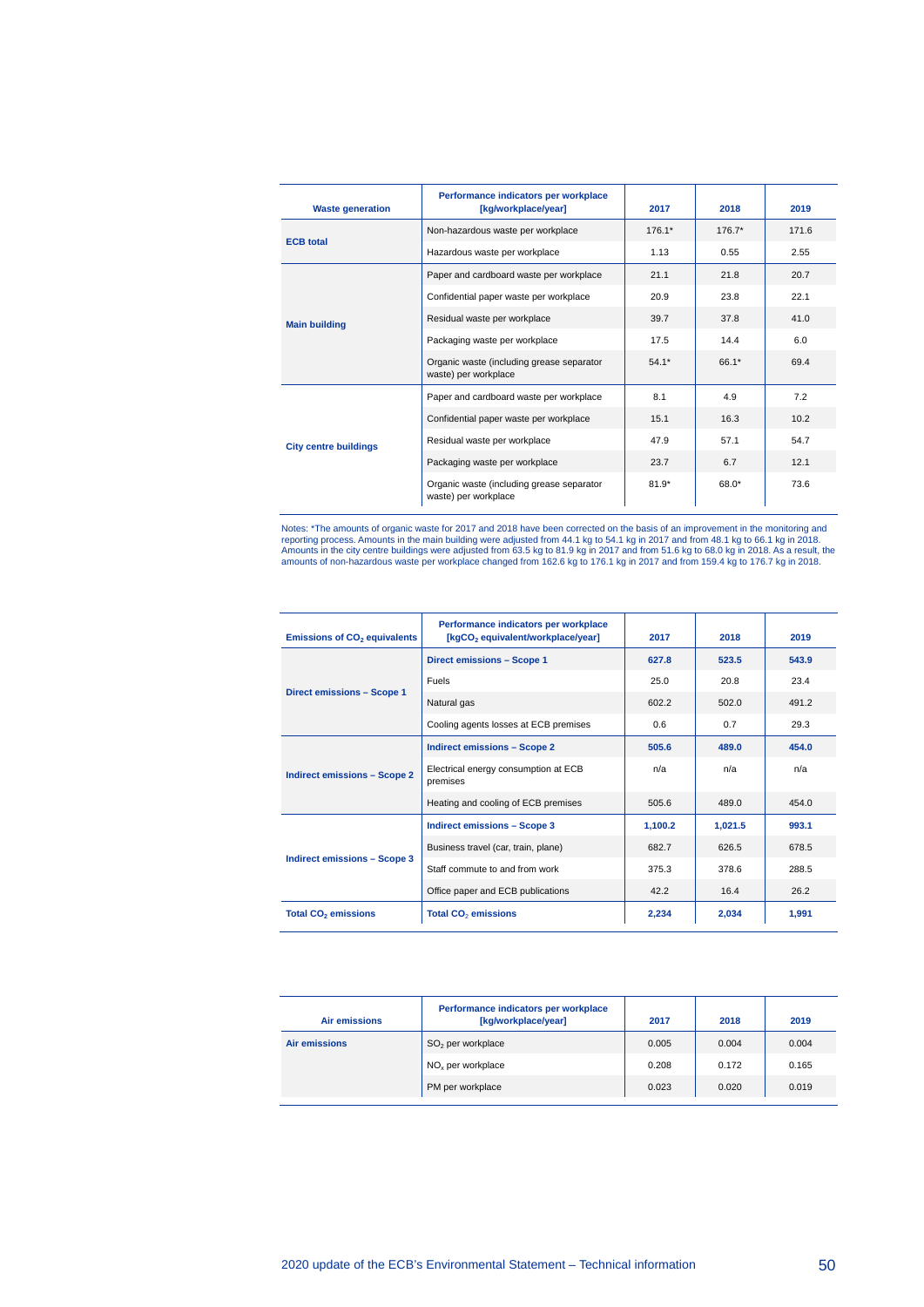| <b>Waste generation</b>      | Performance indicators per workplace<br>[kg/workplace/year]       | 2017     | 2018     | 2019  |
|------------------------------|-------------------------------------------------------------------|----------|----------|-------|
|                              | Non-hazardous waste per workplace                                 | $176.1*$ | $176.7*$ | 171.6 |
| <b>ECB</b> total             | Hazardous waste per workplace                                     | 1.13     | 0.55     | 2.55  |
|                              | Paper and cardboard waste per workplace                           | 21.1     | 21.8     | 20.7  |
|                              | Confidential paper waste per workplace                            | 20.9     | 23.8     | 22.1  |
| <b>Main building</b>         | Residual waste per workplace                                      | 39.7     | 37.8     | 41.0  |
|                              | Packaging waste per workplace                                     | 17.5     | 14.4     | 6.0   |
|                              | Organic waste (including grease separator<br>waste) per workplace | $54.1*$  | 66.1*    | 69.4  |
| <b>City centre buildings</b> | Paper and cardboard waste per workplace                           | 8.1      | 4.9      | 7.2   |
|                              | Confidential paper waste per workplace                            | 15.1     | 16.3     | 10.2  |
|                              | Residual waste per workplace                                      | 47.9     | 57.1     | 54.7  |
|                              | Packaging waste per workplace                                     | 23.7     | 6.7      | 12.1  |
|                              | Organic waste (including grease separator<br>waste) per workplace | $81.9*$  | 68.0*    | 73.6  |

Notes: "The amounts of organic waste for 2017 and 2018 have been corrected on the basis of an improvement in the monitoring and<br>reporting process. Amounts in the main building were adjusted from 44.1 kg to 54.1 kg in 2017

| <b>Emissions of CO<sub>2</sub></b> equivalents | Performance indicators per workplace<br>[kgCO <sub>2</sub> equivalent/workplace/year] | 2017    | 2018    | 2019  |
|------------------------------------------------|---------------------------------------------------------------------------------------|---------|---------|-------|
| Direct emissions - Scope 1                     |                                                                                       | 627.8   | 523.5   | 543.9 |
|                                                | Fuels                                                                                 | 25.0    | 20.8    | 23.4  |
| Direct emissions - Scope 1                     | Natural gas                                                                           | 602.2   | 502.0   | 491.2 |
|                                                | Cooling agents losses at ECB premises                                                 | 0.6     | 0.7     | 29.3  |
|                                                | <b>Indirect emissions - Scope 2</b>                                                   | 505.6   | 489.0   | 454.0 |
| <b>Indirect emissions - Scope 2</b>            | Electrical energy consumption at ECB<br>premises                                      | n/a     | n/a     | n/a   |
|                                                | Heating and cooling of ECB premises                                                   | 505.6   | 489.0   | 454.0 |
|                                                | <b>Indirect emissions - Scope 3</b>                                                   | 1,100.2 | 1,021.5 | 993.1 |
|                                                | Business travel (car, train, plane)                                                   | 682.7   | 626.5   | 678.5 |
| Indirect emissions - Scope 3                   | Staff commute to and from work                                                        | 375.3   | 378.6   | 288.5 |
|                                                | Office paper and ECB publications                                                     | 42.2    | 16.4    | 26.2  |
| <b>Total CO<sub>2</sub></b> emissions          | Total CO <sub>2</sub> emissions                                                       | 2.234   | 2,034   | 1.991 |

| Air emissions        | Performance indicators per workplace<br>[kg/workplace/year] | 2017  | 2018  | 2019  |
|----------------------|-------------------------------------------------------------|-------|-------|-------|
| <b>Air emissions</b> | $SO2$ per workplace                                         | 0.005 | 0.004 | 0.004 |
|                      | $NOx$ per workplace                                         | 0.208 | 0.172 | 0.165 |
|                      | PM per workplace                                            | 0.023 | 0.020 | 0.019 |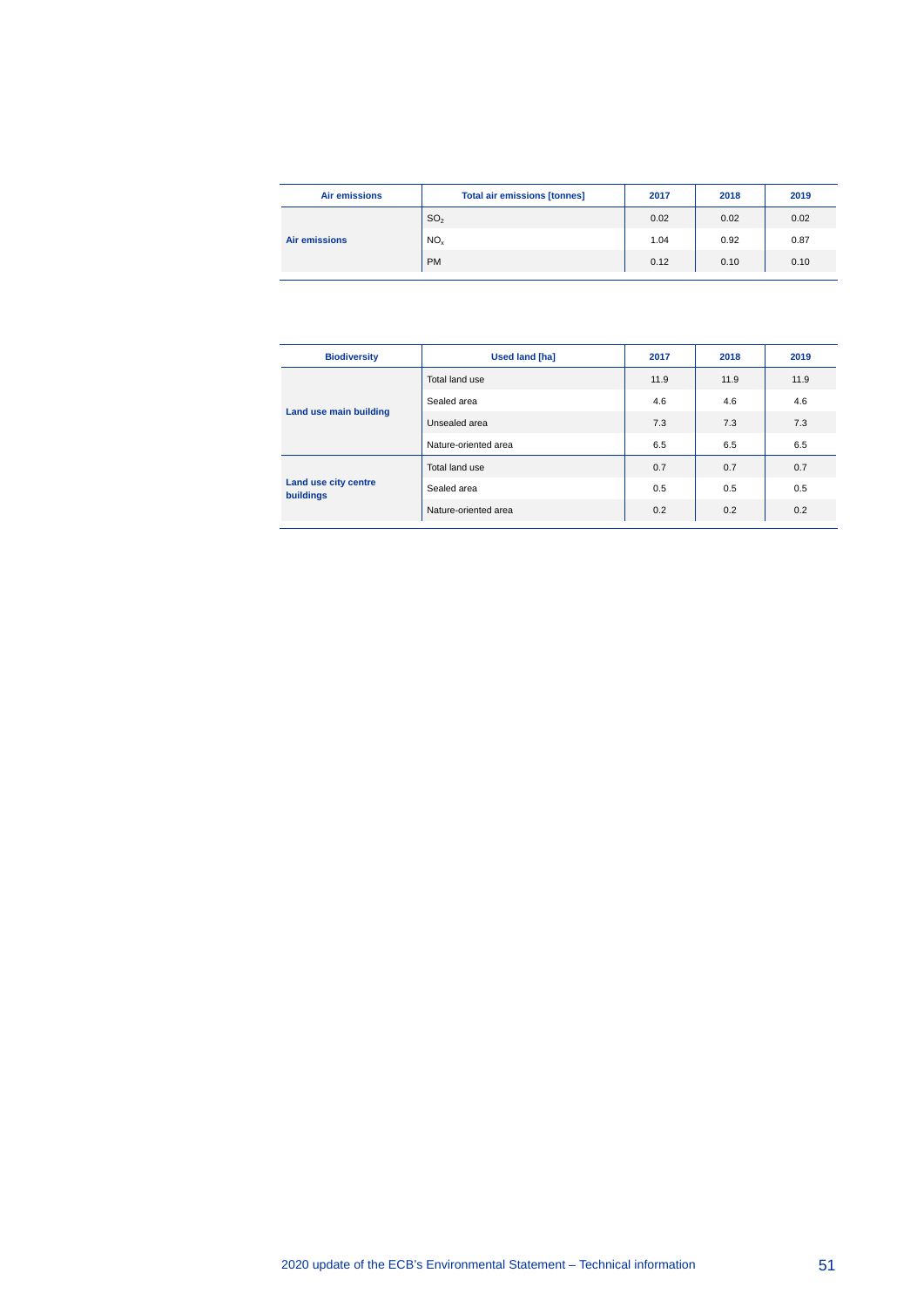| <b>Air emissions</b> | <b>Total air emissions [tonnes]</b> | 2017 | 2018 | 2019 |
|----------------------|-------------------------------------|------|------|------|
|                      | SO <sub>2</sub>                     | 0.02 | 0.02 | 0.02 |
| <b>Air emissions</b> | NO <sub>x</sub>                     | 1.04 | 0.92 | 0.87 |
|                      | <b>PM</b>                           | 0.12 | 0.10 | 0.10 |

| <b>Biodiversity</b>                      | <b>Used land [ha]</b> | 2017 | 2018 | 2019 |
|------------------------------------------|-----------------------|------|------|------|
|                                          | Total land use        | 11.9 | 11.9 | 11.9 |
| Land use main building                   | Sealed area           | 4.6  | 4.6  | 4.6  |
|                                          | Unsealed area         | 7.3  | 7.3  | 7.3  |
|                                          | Nature-oriented area  | 6.5  | 6.5  | 6.5  |
|                                          | Total land use        | 0.7  | 0.7  | 0.7  |
| Land use city centre<br><b>buildings</b> | Sealed area           | 0.5  | 0.5  | 0.5  |
|                                          | Nature-oriented area  | 0.2  | 0.2  | 0.2  |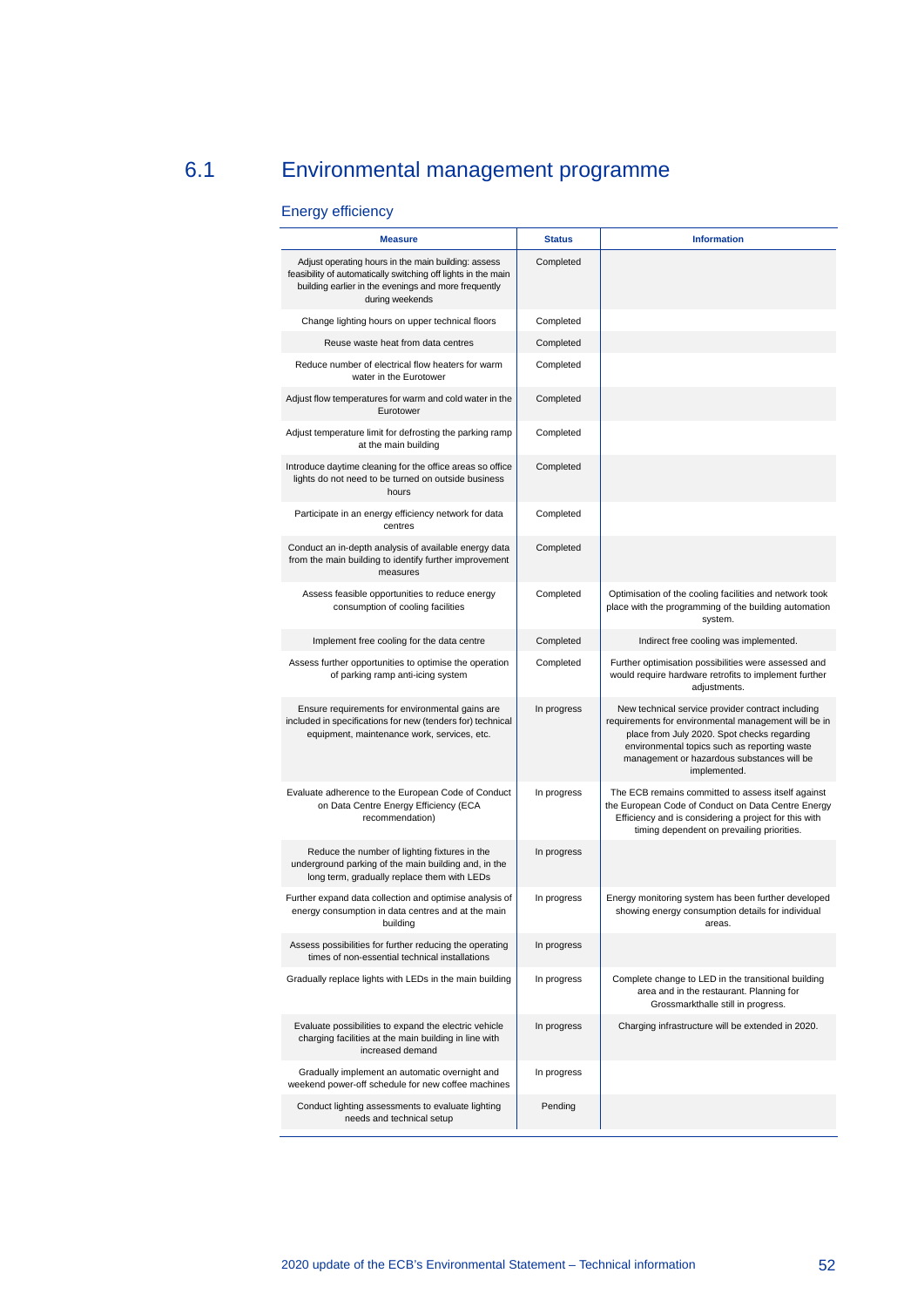## 6.1 Environmental management programme

#### <span id="page-52-0"></span>Energy efficiency

| <b>Measure</b>                                                                                                                                                                                  | <b>Status</b> | <b>Information</b>                                                                                                                                                                                                                                                     |
|-------------------------------------------------------------------------------------------------------------------------------------------------------------------------------------------------|---------------|------------------------------------------------------------------------------------------------------------------------------------------------------------------------------------------------------------------------------------------------------------------------|
| Adjust operating hours in the main building: assess<br>feasibility of automatically switching off lights in the main<br>building earlier in the evenings and more frequently<br>during weekends | Completed     |                                                                                                                                                                                                                                                                        |
| Change lighting hours on upper technical floors                                                                                                                                                 | Completed     |                                                                                                                                                                                                                                                                        |
| Reuse waste heat from data centres                                                                                                                                                              | Completed     |                                                                                                                                                                                                                                                                        |
| Reduce number of electrical flow heaters for warm<br>water in the Eurotower                                                                                                                     | Completed     |                                                                                                                                                                                                                                                                        |
| Adjust flow temperatures for warm and cold water in the<br>Eurotower                                                                                                                            | Completed     |                                                                                                                                                                                                                                                                        |
| Adjust temperature limit for defrosting the parking ramp<br>at the main building                                                                                                                | Completed     |                                                                                                                                                                                                                                                                        |
| Introduce daytime cleaning for the office areas so office<br>lights do not need to be turned on outside business<br>hours                                                                       | Completed     |                                                                                                                                                                                                                                                                        |
| Participate in an energy efficiency network for data<br>centres                                                                                                                                 | Completed     |                                                                                                                                                                                                                                                                        |
| Conduct an in-depth analysis of available energy data<br>from the main building to identify further improvement<br>measures                                                                     | Completed     |                                                                                                                                                                                                                                                                        |
| Assess feasible opportunities to reduce energy<br>consumption of cooling facilities                                                                                                             | Completed     | Optimisation of the cooling facilities and network took<br>place with the programming of the building automation<br>system.                                                                                                                                            |
| Implement free cooling for the data centre                                                                                                                                                      | Completed     | Indirect free cooling was implemented.                                                                                                                                                                                                                                 |
| Assess further opportunities to optimise the operation<br>of parking ramp anti-icing system                                                                                                     | Completed     | Further optimisation possibilities were assessed and<br>would require hardware retrofits to implement further<br>adjustments.                                                                                                                                          |
| Ensure requirements for environmental gains are<br>included in specifications for new (tenders for) technical<br>equipment, maintenance work, services, etc.                                    | In progress   | New technical service provider contract including<br>requirements for environmental management will be in<br>place from July 2020. Spot checks regarding<br>environmental topics such as reporting waste<br>management or hazardous substances will be<br>implemented. |
| Evaluate adherence to the European Code of Conduct<br>on Data Centre Energy Efficiency (ECA<br>recommendation)                                                                                  | In progress   | The ECB remains committed to assess itself against<br>the European Code of Conduct on Data Centre Energy<br>Efficiency and is considering a project for this with<br>timing dependent on prevailing priorities.                                                        |
| Reduce the number of lighting fixtures in the<br>underground parking of the main building and, in the<br>long term, gradually replace them with LEDs                                            | In progress   |                                                                                                                                                                                                                                                                        |
| Further expand data collection and optimise analysis of<br>energy consumption in data centres and at the main<br>building                                                                       | In progress   | Energy monitoring system has been further developed<br>showing energy consumption details for individual<br>areas.                                                                                                                                                     |
| Assess possibilities for further reducing the operating<br>times of non-essential technical installations                                                                                       | In progress   |                                                                                                                                                                                                                                                                        |
| Gradually replace lights with LEDs in the main building                                                                                                                                         | In progress   | Complete change to LED in the transitional building<br>area and in the restaurant. Planning for<br>Grossmarkthalle still in progress.                                                                                                                                  |
| Evaluate possibilities to expand the electric vehicle<br>charging facilities at the main building in line with<br>increased demand                                                              | In progress   | Charging infrastructure will be extended in 2020.                                                                                                                                                                                                                      |
| Gradually implement an automatic overnight and<br>weekend power-off schedule for new coffee machines                                                                                            | In progress   |                                                                                                                                                                                                                                                                        |
| Conduct lighting assessments to evaluate lighting<br>needs and technical setup                                                                                                                  | Pending       |                                                                                                                                                                                                                                                                        |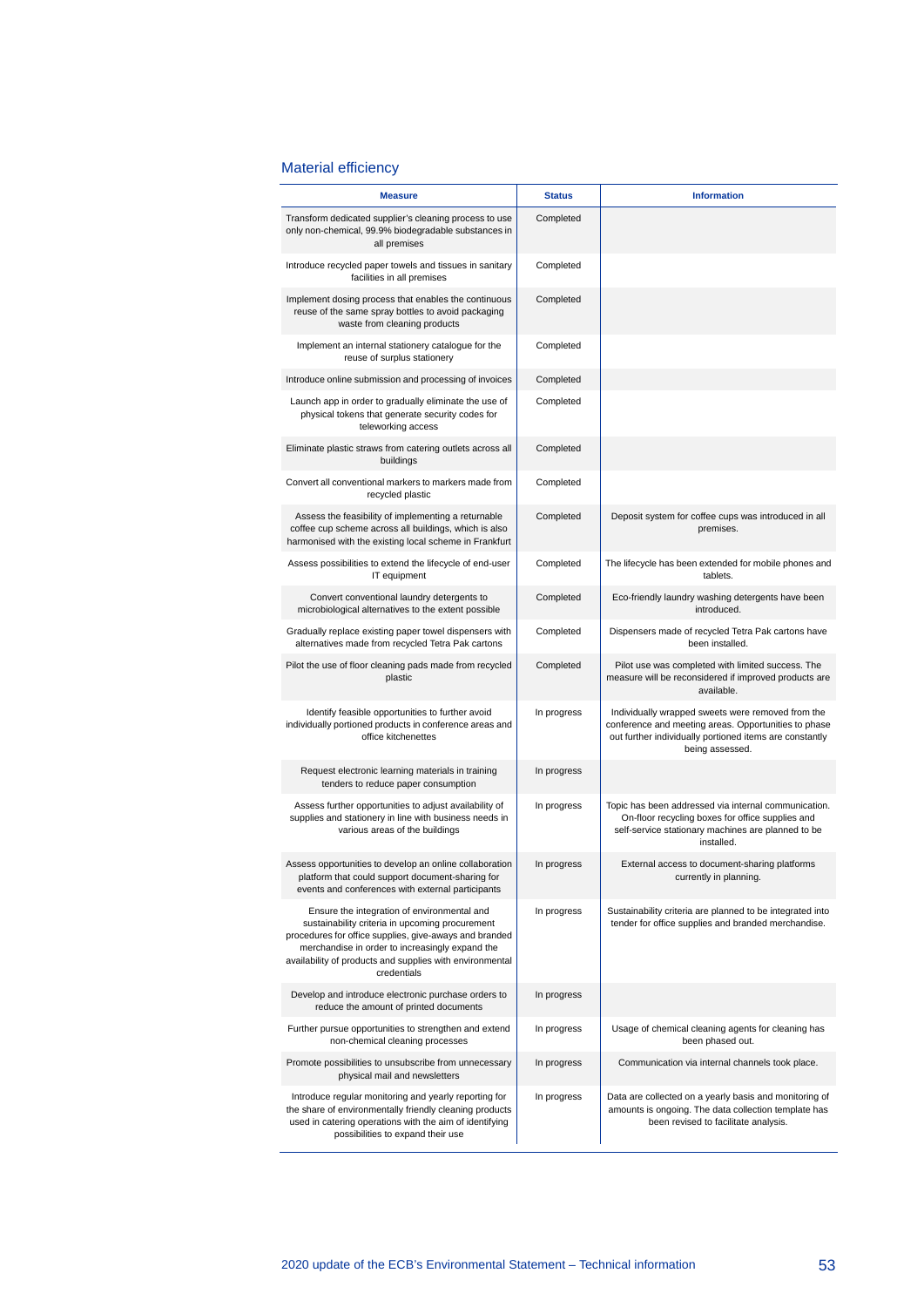#### Material efficiency

| <b>Measure</b>                                                                                                                                                                                                                                                                         | <b>Status</b> | <b>Information</b>                                                                                                                                                                      |
|----------------------------------------------------------------------------------------------------------------------------------------------------------------------------------------------------------------------------------------------------------------------------------------|---------------|-----------------------------------------------------------------------------------------------------------------------------------------------------------------------------------------|
| Transform dedicated supplier's cleaning process to use<br>only non-chemical, 99.9% biodegradable substances in<br>all premises                                                                                                                                                         | Completed     |                                                                                                                                                                                         |
| Introduce recycled paper towels and tissues in sanitary<br>facilities in all premises                                                                                                                                                                                                  | Completed     |                                                                                                                                                                                         |
| Implement dosing process that enables the continuous<br>reuse of the same spray bottles to avoid packaging<br>waste from cleaning products                                                                                                                                             | Completed     |                                                                                                                                                                                         |
| Implement an internal stationery catalogue for the<br>reuse of surplus stationery                                                                                                                                                                                                      | Completed     |                                                                                                                                                                                         |
| Introduce online submission and processing of invoices                                                                                                                                                                                                                                 | Completed     |                                                                                                                                                                                         |
| Launch app in order to gradually eliminate the use of<br>physical tokens that generate security codes for<br>teleworking access                                                                                                                                                        | Completed     |                                                                                                                                                                                         |
| Eliminate plastic straws from catering outlets across all<br>buildings                                                                                                                                                                                                                 | Completed     |                                                                                                                                                                                         |
| Convert all conventional markers to markers made from<br>recycled plastic                                                                                                                                                                                                              | Completed     |                                                                                                                                                                                         |
| Assess the feasibility of implementing a returnable<br>coffee cup scheme across all buildings, which is also<br>harmonised with the existing local scheme in Frankfurt                                                                                                                 | Completed     | Deposit system for coffee cups was introduced in all<br>premises.                                                                                                                       |
| Assess possibilities to extend the lifecycle of end-user<br>IT equipment                                                                                                                                                                                                               | Completed     | The lifecycle has been extended for mobile phones and<br>tablets.                                                                                                                       |
| Convert conventional laundry detergents to<br>microbiological alternatives to the extent possible                                                                                                                                                                                      | Completed     | Eco-friendly laundry washing detergents have been<br>introduced.                                                                                                                        |
| Gradually replace existing paper towel dispensers with<br>alternatives made from recycled Tetra Pak cartons                                                                                                                                                                            | Completed     | Dispensers made of recycled Tetra Pak cartons have<br>been installed.                                                                                                                   |
| Pilot the use of floor cleaning pads made from recycled<br>plastic                                                                                                                                                                                                                     | Completed     | Pilot use was completed with limited success. The<br>measure will be reconsidered if improved products are<br>available.                                                                |
| Identify feasible opportunities to further avoid<br>individually portioned products in conference areas and<br>office kitchenettes                                                                                                                                                     | In progress   | Individually wrapped sweets were removed from the<br>conference and meeting areas. Opportunities to phase<br>out further individually portioned items are constantly<br>being assessed. |
| Request electronic learning materials in training<br>tenders to reduce paper consumption                                                                                                                                                                                               | In progress   |                                                                                                                                                                                         |
| Assess further opportunities to adjust availability of<br>supplies and stationery in line with business needs in<br>various areas of the buildings                                                                                                                                     | In progress   | Topic has been addressed via internal communication.<br>On-floor recycling boxes for office supplies and<br>self-service stationary machines are planned to be<br>installed.            |
| Assess opportunities to develop an online collaboration<br>platform that could support document-sharing for<br>events and conferences with external participants                                                                                                                       | In progress   | External access to document-sharing platforms<br>currently in planning.                                                                                                                 |
| Ensure the integration of environmental and<br>sustainability criteria in upcoming procurement<br>procedures for office supplies, give-aways and branded<br>merchandise in order to increasingly expand the<br>availability of products and supplies with environmental<br>credentials | In progress   | Sustainability criteria are planned to be integrated into<br>tender for office supplies and branded merchandise.                                                                        |
| Develop and introduce electronic purchase orders to<br>reduce the amount of printed documents                                                                                                                                                                                          | In progress   |                                                                                                                                                                                         |
| Further pursue opportunities to strengthen and extend<br>non-chemical cleaning processes                                                                                                                                                                                               | In progress   | Usage of chemical cleaning agents for cleaning has<br>been phased out.                                                                                                                  |
| Promote possibilities to unsubscribe from unnecessary<br>physical mail and newsletters                                                                                                                                                                                                 | In progress   | Communication via internal channels took place.                                                                                                                                         |
| Introduce regular monitoring and yearly reporting for<br>the share of environmentally friendly cleaning products<br>used in catering operations with the aim of identifying<br>possibilities to expand their use                                                                       | In progress   | Data are collected on a yearly basis and monitoring of<br>amounts is ongoing. The data collection template has<br>been revised to facilitate analysis.                                  |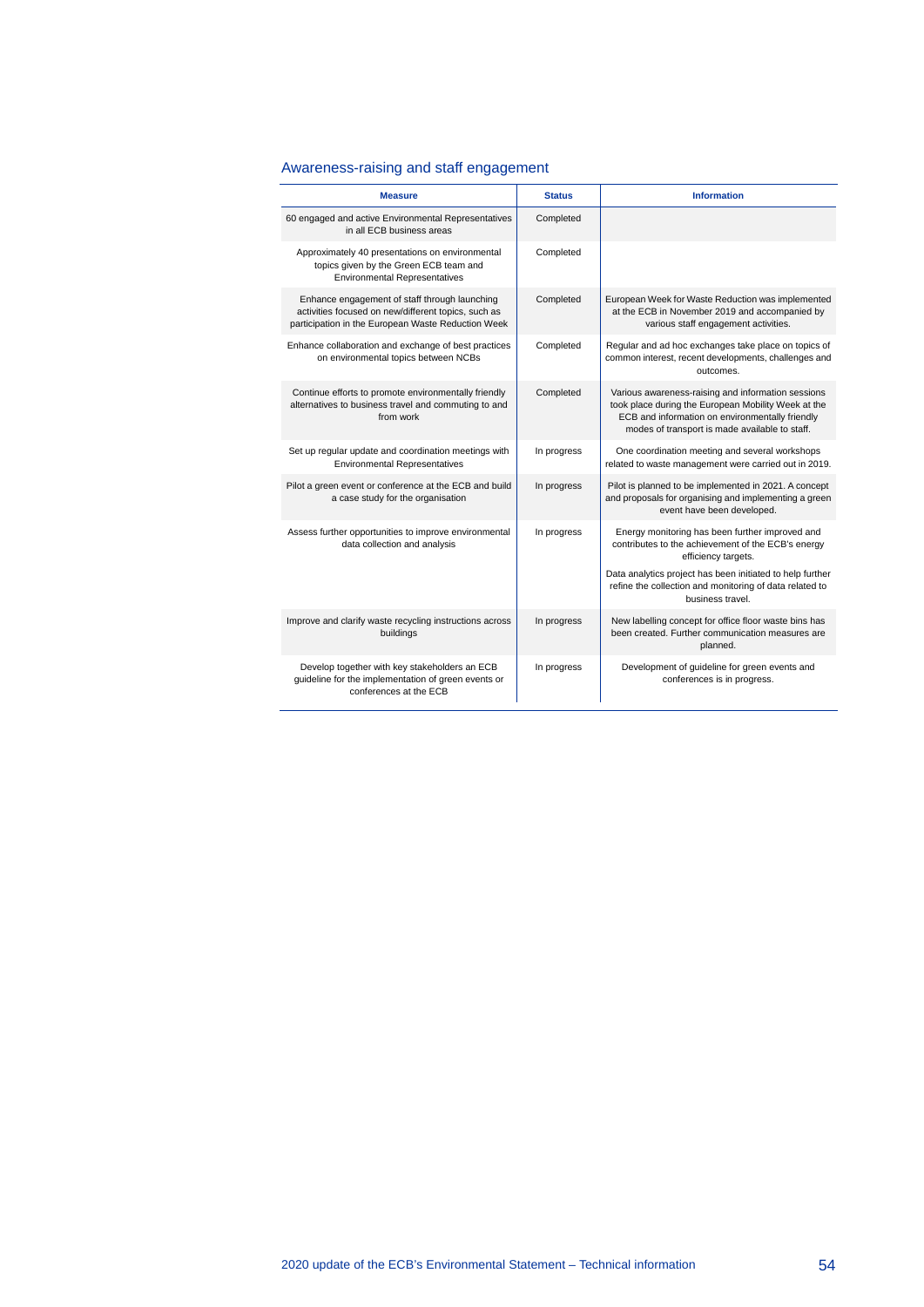### Awareness-raising and staff engagement

| <b>Measure</b>                                                                                                                                             | <b>Status</b> | <b>Information</b>                                                                                                                                                                                             |
|------------------------------------------------------------------------------------------------------------------------------------------------------------|---------------|----------------------------------------------------------------------------------------------------------------------------------------------------------------------------------------------------------------|
| 60 engaged and active Environmental Representatives<br>in all ECB business areas                                                                           | Completed     |                                                                                                                                                                                                                |
| Approximately 40 presentations on environmental<br>topics given by the Green ECB team and<br><b>Environmental Representatives</b>                          | Completed     |                                                                                                                                                                                                                |
| Enhance engagement of staff through launching<br>activities focused on new/different topics, such as<br>participation in the European Waste Reduction Week | Completed     | European Week for Waste Reduction was implemented<br>at the ECB in November 2019 and accompanied by<br>various staff engagement activities.                                                                    |
| Enhance collaboration and exchange of best practices<br>on environmental topics between NCBs                                                               | Completed     | Regular and ad hoc exchanges take place on topics of<br>common interest, recent developments, challenges and<br>outcomes.                                                                                      |
| Continue efforts to promote environmentally friendly<br>alternatives to business travel and commuting to and<br>from work                                  | Completed     | Various awareness-raising and information sessions<br>took place during the European Mobility Week at the<br>ECB and information on environmentally friendly<br>modes of transport is made available to staff. |
| Set up regular update and coordination meetings with<br><b>Environmental Representatives</b>                                                               | In progress   | One coordination meeting and several workshops<br>related to waste management were carried out in 2019.                                                                                                        |
| Pilot a green event or conference at the ECB and build<br>a case study for the organisation                                                                | In progress   | Pilot is planned to be implemented in 2021. A concept<br>and proposals for organising and implementing a green<br>event have been developed.                                                                   |
| Assess further opportunities to improve environmental<br>data collection and analysis                                                                      | In progress   | Energy monitoring has been further improved and<br>contributes to the achievement of the ECB's energy<br>efficiency targets.                                                                                   |
|                                                                                                                                                            |               | Data analytics project has been initiated to help further<br>refine the collection and monitoring of data related to<br>business travel.                                                                       |
| Improve and clarify waste recycling instructions across<br>buildings                                                                                       | In progress   | New labelling concept for office floor waste bins has<br>been created. Further communication measures are<br>planned.                                                                                          |
| Develop together with key stakeholders an ECB<br>guideline for the implementation of green events or<br>conferences at the ECB                             | In progress   | Development of guideline for green events and<br>conferences is in progress.                                                                                                                                   |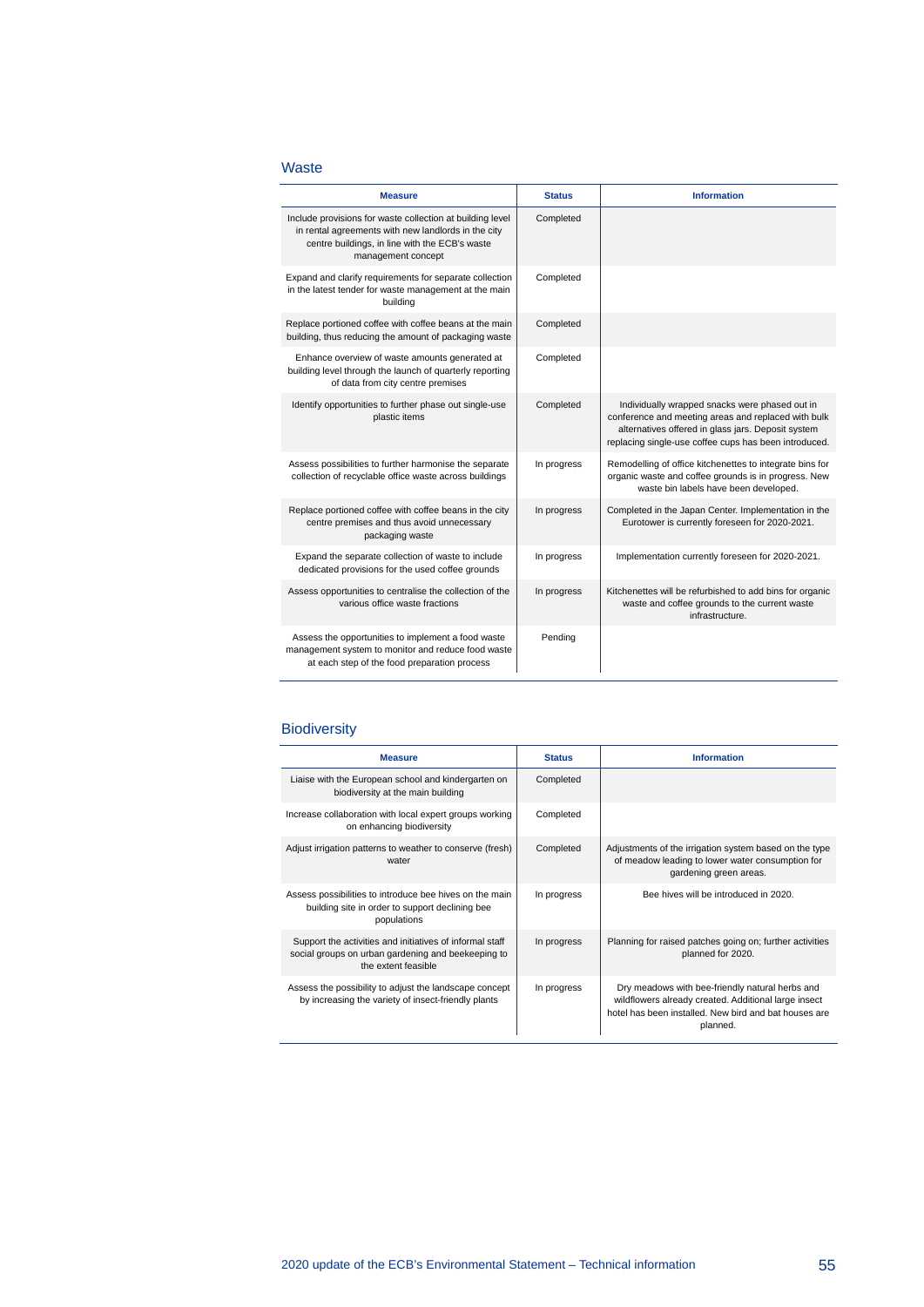#### Waste

| <b>Measure</b>                                                                                                                                                                           | <b>Status</b> | <b>Information</b>                                                                                                                                                                                                   |
|------------------------------------------------------------------------------------------------------------------------------------------------------------------------------------------|---------------|----------------------------------------------------------------------------------------------------------------------------------------------------------------------------------------------------------------------|
| Include provisions for waste collection at building level<br>in rental agreements with new landlords in the city<br>centre buildings, in line with the ECB's waste<br>management concept | Completed     |                                                                                                                                                                                                                      |
| Expand and clarify requirements for separate collection<br>in the latest tender for waste management at the main<br>building                                                             | Completed     |                                                                                                                                                                                                                      |
| Replace portioned coffee with coffee beans at the main<br>building, thus reducing the amount of packaging waste                                                                          | Completed     |                                                                                                                                                                                                                      |
| Enhance overview of waste amounts generated at<br>building level through the launch of quarterly reporting<br>of data from city centre premises                                          | Completed     |                                                                                                                                                                                                                      |
| Identify opportunities to further phase out single-use<br>plastic items                                                                                                                  | Completed     | Individually wrapped snacks were phased out in<br>conference and meeting areas and replaced with bulk<br>alternatives offered in glass jars. Deposit system<br>replacing single-use coffee cups has been introduced. |
| Assess possibilities to further harmonise the separate<br>collection of recyclable office waste across buildings                                                                         | In progress   | Remodelling of office kitchenettes to integrate bins for<br>organic waste and coffee grounds is in progress. New<br>waste bin labels have been developed.                                                            |
| Replace portioned coffee with coffee beans in the city<br>centre premises and thus avoid unnecessary<br>packaging waste                                                                  | In progress   | Completed in the Japan Center. Implementation in the<br>Eurotower is currently foreseen for 2020-2021.                                                                                                               |
| Expand the separate collection of waste to include<br>dedicated provisions for the used coffee grounds                                                                                   | In progress   | Implementation currently foreseen for 2020-2021.                                                                                                                                                                     |
| Assess opportunities to centralise the collection of the<br>various office waste fractions                                                                                               | In progress   | Kitchenettes will be refurbished to add bins for organic<br>waste and coffee grounds to the current waste<br>infrastructure.                                                                                         |
| Assess the opportunities to implement a food waste<br>management system to monitor and reduce food waste<br>at each step of the food preparation process                                 | Pending       |                                                                                                                                                                                                                      |

#### **Biodiversity**

| <b>Measure</b>                                                                                                                        | <b>Status</b> | <b>Information</b>                                                                                                                                                           |
|---------------------------------------------------------------------------------------------------------------------------------------|---------------|------------------------------------------------------------------------------------------------------------------------------------------------------------------------------|
| Liaise with the European school and kindergarten on<br>biodiversity at the main building                                              | Completed     |                                                                                                                                                                              |
| Increase collaboration with local expert groups working<br>on enhancing biodiversity                                                  | Completed     |                                                                                                                                                                              |
| Adjust irrigation patterns to weather to conserve (fresh)<br>water                                                                    | Completed     | Adjustments of the irrigation system based on the type<br>of meadow leading to lower water consumption for<br>gardening green areas.                                         |
| Assess possibilities to introduce bee hives on the main<br>building site in order to support declining bee<br>populations             | In progress   | Bee hives will be introduced in 2020.                                                                                                                                        |
| Support the activities and initiatives of informal staff<br>social groups on urban gardening and beekeeping to<br>the extent feasible | In progress   | Planning for raised patches going on; further activities<br>planned for 2020.                                                                                                |
| Assess the possibility to adjust the landscape concept<br>by increasing the variety of insect-friendly plants                         | In progress   | Dry meadows with bee-friendly natural herbs and<br>wildflowers already created. Additional large insect<br>hotel has been installed. New bird and bat houses are<br>planned. |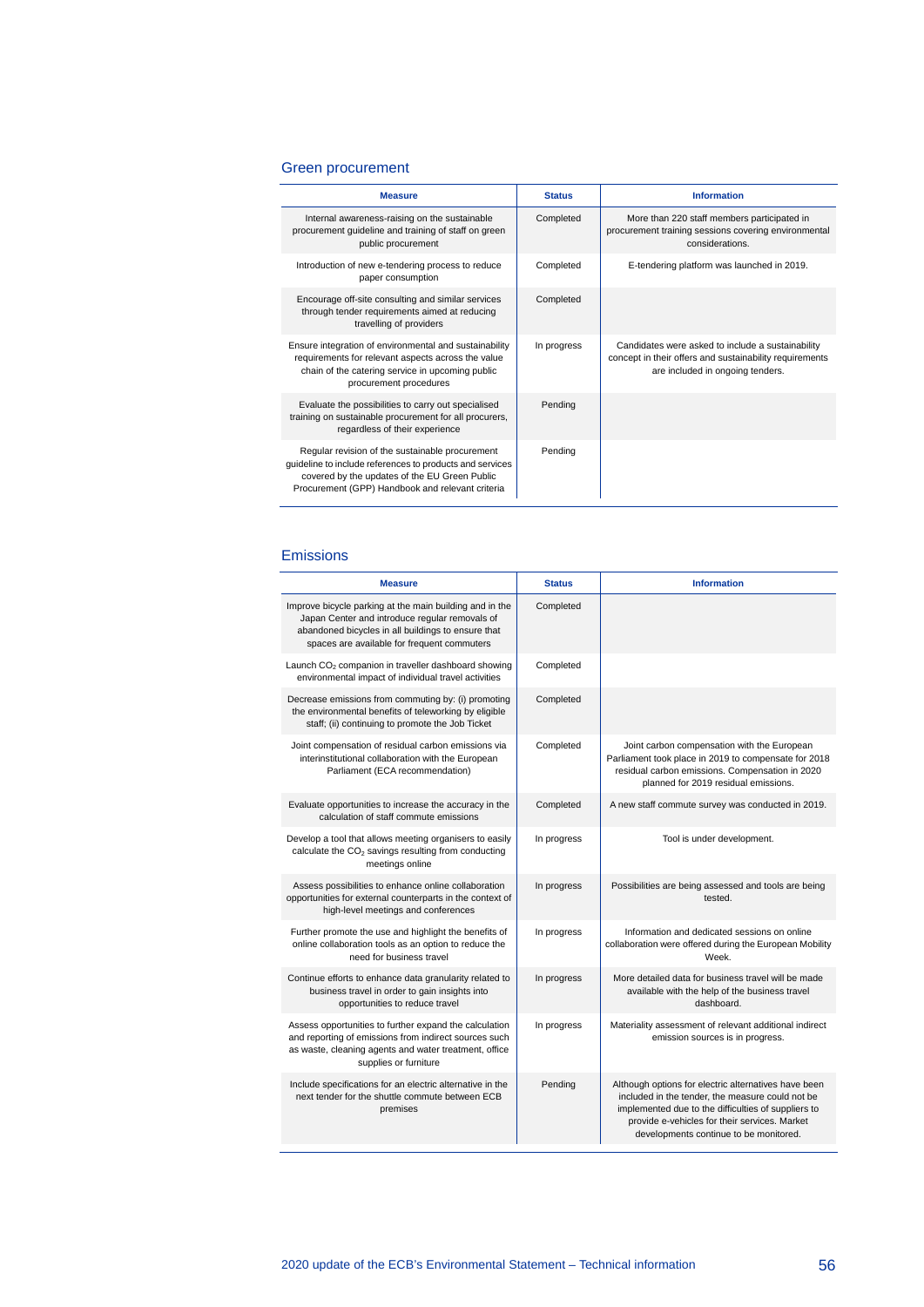#### Green procurement

| <b>Measure</b>                                                                                                                                                                                                   | <b>Status</b> | <b>Information</b>                                                                                                                               |
|------------------------------------------------------------------------------------------------------------------------------------------------------------------------------------------------------------------|---------------|--------------------------------------------------------------------------------------------------------------------------------------------------|
| Internal awareness-raising on the sustainable<br>procurement guideline and training of staff on green<br>public procurement                                                                                      | Completed     | More than 220 staff members participated in<br>procurement training sessions covering environmental<br>considerations.                           |
| Introduction of new e-tendering process to reduce<br>paper consumption                                                                                                                                           | Completed     | E-tendering platform was launched in 2019.                                                                                                       |
| Encourage off-site consulting and similar services<br>through tender requirements aimed at reducing<br>travelling of providers                                                                                   | Completed     |                                                                                                                                                  |
| Ensure integration of environmental and sustainability<br>requirements for relevant aspects across the value<br>chain of the catering service in upcoming public<br>procurement procedures                       | In progress   | Candidates were asked to include a sustainability<br>concept in their offers and sustainability requirements<br>are included in ongoing tenders. |
| Evaluate the possibilities to carry out specialised<br>training on sustainable procurement for all procurers,<br>regardless of their experience                                                                  | Pending       |                                                                                                                                                  |
| Regular revision of the sustainable procurement<br>guideline to include references to products and services<br>covered by the updates of the EU Green Public<br>Procurement (GPP) Handbook and relevant criteria | Pending       |                                                                                                                                                  |

#### Emissions

| <b>Measure</b>                                                                                                                                                                                                 | <b>Status</b> | <b>Information</b>                                                                                                                                                                                                                                         |
|----------------------------------------------------------------------------------------------------------------------------------------------------------------------------------------------------------------|---------------|------------------------------------------------------------------------------------------------------------------------------------------------------------------------------------------------------------------------------------------------------------|
| Improve bicycle parking at the main building and in the<br>Japan Center and introduce regular removals of<br>abandoned bicycles in all buildings to ensure that<br>spaces are available for frequent commuters | Completed     |                                                                                                                                                                                                                                                            |
| Launch CO <sub>2</sub> companion in traveller dashboard showing<br>environmental impact of individual travel activities                                                                                        | Completed     |                                                                                                                                                                                                                                                            |
| Decrease emissions from commuting by: (i) promoting<br>the environmental benefits of teleworking by eligible<br>staff; (ii) continuing to promote the Job Ticket                                               | Completed     |                                                                                                                                                                                                                                                            |
| Joint compensation of residual carbon emissions via<br>interinstitutional collaboration with the European<br>Parliament (ECA recommendation)                                                                   | Completed     | Joint carbon compensation with the European<br>Parliament took place in 2019 to compensate for 2018<br>residual carbon emissions. Compensation in 2020<br>planned for 2019 residual emissions.                                                             |
| Evaluate opportunities to increase the accuracy in the<br>calculation of staff commute emissions                                                                                                               | Completed     | A new staff commute survey was conducted in 2019.                                                                                                                                                                                                          |
| Develop a tool that allows meeting organisers to easily<br>calculate the CO <sub>2</sub> savings resulting from conducting<br>meetings online                                                                  | In progress   | Tool is under development.                                                                                                                                                                                                                                 |
| Assess possibilities to enhance online collaboration<br>opportunities for external counterparts in the context of<br>high-level meetings and conferences                                                       | In progress   | Possibilities are being assessed and tools are being<br>tested.                                                                                                                                                                                            |
| Further promote the use and highlight the benefits of<br>online collaboration tools as an option to reduce the<br>need for business travel                                                                     | In progress   | Information and dedicated sessions on online<br>collaboration were offered during the European Mobility<br>Week.                                                                                                                                           |
| Continue efforts to enhance data granularity related to<br>business travel in order to gain insights into<br>opportunities to reduce travel                                                                    | In progress   | More detailed data for business travel will be made<br>available with the help of the business travel<br>dashboard.                                                                                                                                        |
| Assess opportunities to further expand the calculation<br>and reporting of emissions from indirect sources such<br>as waste, cleaning agents and water treatment, office<br>supplies or furniture              | In progress   | Materiality assessment of relevant additional indirect<br>emission sources is in progress.                                                                                                                                                                 |
| Include specifications for an electric alternative in the<br>next tender for the shuttle commute between ECB<br>premises                                                                                       | Pending       | Although options for electric alternatives have been<br>included in the tender, the measure could not be<br>implemented due to the difficulties of suppliers to<br>provide e-vehicles for their services. Market<br>developments continue to be monitored. |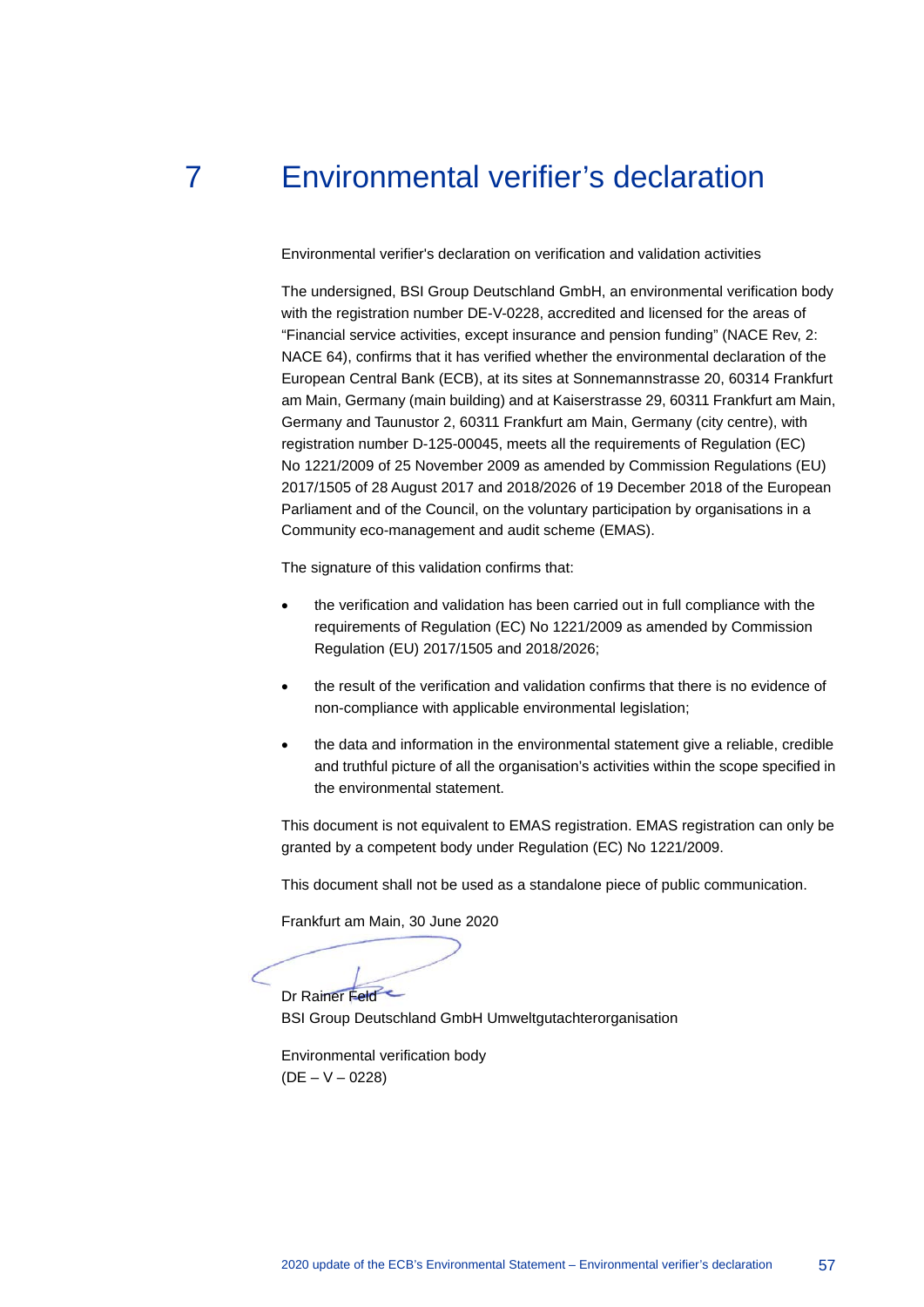## 7 Environmental verifier's declaration

<span id="page-57-0"></span>Environmental verifier's declaration on verification and validation activities

The undersigned, BSI Group Deutschland GmbH, an environmental verification body with the registration number DE-V-0228, accredited and licensed for the areas of "Financial service activities, except insurance and pension funding" (NACE Rev, 2: NACE 64), confirms that it has verified whether the environmental declaration of the European Central Bank (ECB), at its sites at Sonnemannstrasse 20, 60314 Frankfurt am Main, Germany (main building) and at Kaiserstrasse 29, 60311 Frankfurt am Main, Germany and Taunustor 2, 60311 Frankfurt am Main, Germany (city centre), with registration number D-125-00045, meets all the requirements of Regulation (EC) No 1221/2009 of 25 November 2009 as amended by Commission Regulations (EU) 2017/1505 of 28 August 2017 and 2018/2026 of 19 December 2018 of the European Parliament and of the Council, on the voluntary participation by organisations in a Community eco-management and audit scheme (EMAS).

The signature of this validation confirms that:

- the verification and validation has been carried out in full compliance with the requirements of Regulation (EC) No 1221/2009 as amended by Commission Regulation (EU) 2017/1505 and 2018/2026;
- the result of the verification and validation confirms that there is no evidence of non-compliance with applicable environmental legislation;
- the data and information in the environmental statement give a reliable, credible and truthful picture of all the organisation's activities within the scope specified in the environmental statement.

This document is not equivalent to EMAS registration. EMAS registration can only be granted by a competent body under Regulation (EC) No 1221/2009.

This document shall not be used as a standalone piece of public communication.

Frankfurt am Main, 30 June 2020

Dr Rainer Feld

BSI Group Deutschland GmbH Umweltgutachterorganisation

Environmental verification body  $(DE - V - 0228)$